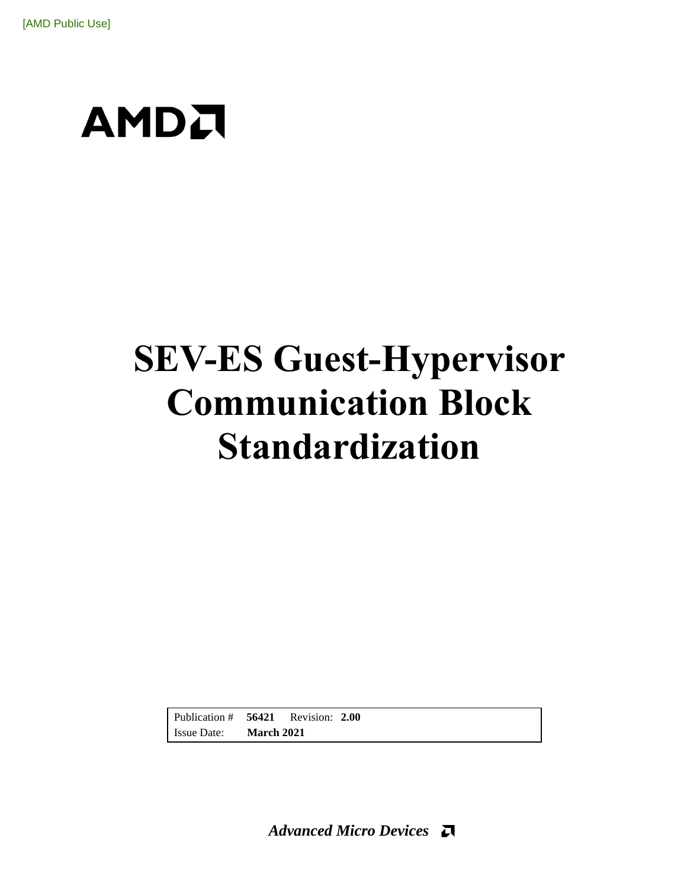# **SEV-ES Guest-Hypervisor Communication Block Standardization**

Publication # **56421** Revision: **2.00** Issue Date: **March 2021**

*Advanced Micro Devices*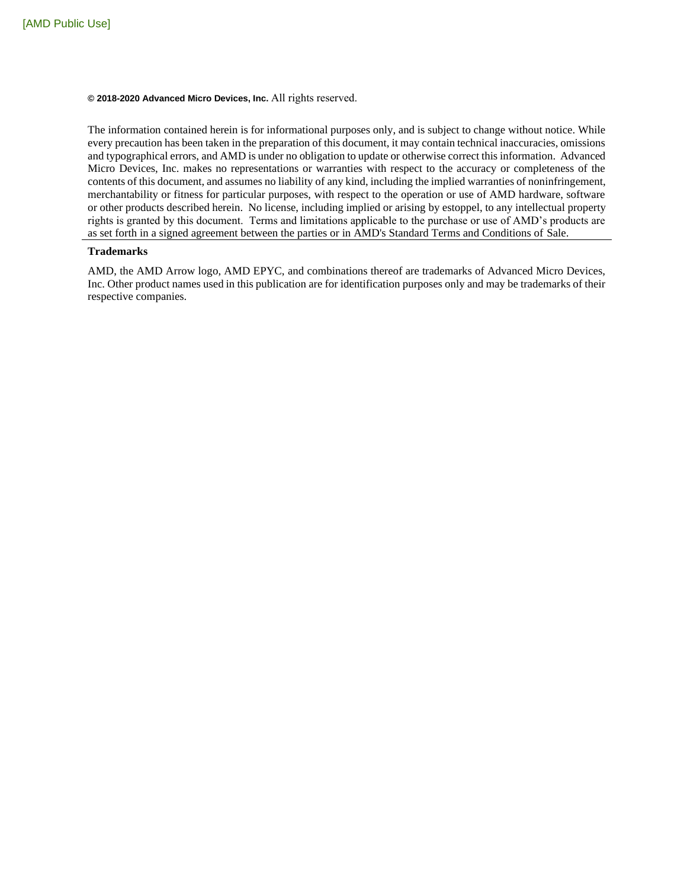#### **© 2018-2020 Advanced Micro Devices, Inc.** All rights reserved.

The information contained herein is for informational purposes only, and is subject to change without notice. While every precaution has been taken in the preparation of this document, it may contain technical inaccuracies, omissions and typographical errors, and AMD is under no obligation to update or otherwise correct this information. Advanced Micro Devices, Inc. makes no representations or warranties with respect to the accuracy or completeness of the contents of this document, and assumes no liability of any kind, including the implied warranties of noninfringement, merchantability or fitness for particular purposes, with respect to the operation or use of AMD hardware, software or other products described herein. No license, including implied or arising by estoppel, to any intellectual property rights is granted by this document. Terms and limitations applicable to the purchase or use of AMD's products are as set forth in a signed agreement between the parties or in AMD's Standard Terms and Conditions of Sale.

#### **Trademarks**

AMD, the AMD Arrow logo, AMD EPYC, and combinations thereof are trademarks of Advanced Micro Devices, Inc. Other product names used in this publication are for identification purposes only and may be trademarks of their respective companies.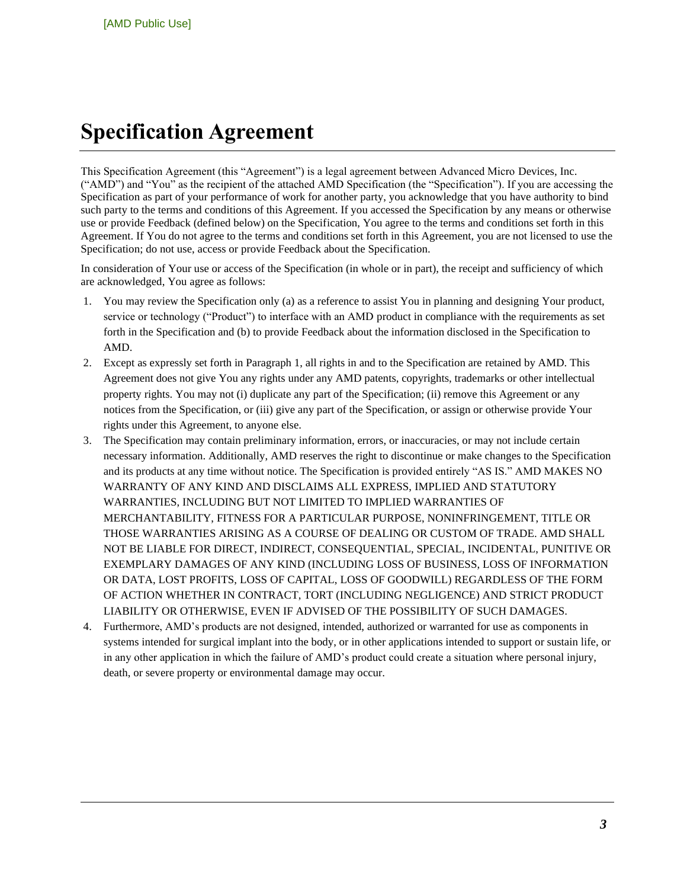## <span id="page-2-0"></span>**Specification Agreement**

This Specification Agreement (this "Agreement") is a legal agreement between Advanced Micro Devices, Inc. ("AMD") and "You" as the recipient of the attached AMD Specification (the "Specification"). If you are accessing the Specification as part of your performance of work for another party, you acknowledge that you have authority to bind such party to the terms and conditions of this Agreement. If you accessed the Specification by any means or otherwise use or provide Feedback (defined below) on the Specification, You agree to the terms and conditions set forth in this Agreement. If You do not agree to the terms and conditions set forth in this Agreement, you are not licensed to use the Specification; do not use, access or provide Feedback about the Specification.

In consideration of Your use or access of the Specification (in whole or in part), the receipt and sufficiency of which are acknowledged, You agree as follows:

- 1. You may review the Specification only (a) as a reference to assist You in planning and designing Your product, service or technology ("Product") to interface with an AMD product in compliance with the requirements as set forth in the Specification and (b) to provide Feedback about the information disclosed in the Specification to AMD.
- 2. Except as expressly set forth in Paragraph 1, all rights in and to the Specification are retained by AMD. This Agreement does not give You any rights under any AMD patents, copyrights, trademarks or other intellectual property rights. You may not (i) duplicate any part of the Specification; (ii) remove this Agreement or any notices from the Specification, or (iii) give any part of the Specification, or assign or otherwise provide Your rights under this Agreement, to anyone else.
- 3. The Specification may contain preliminary information, errors, or inaccuracies, or may not include certain necessary information. Additionally, AMD reserves the right to discontinue or make changes to the Specification and its products at any time without notice. The Specification is provided entirely "AS IS." AMD MAKES NO WARRANTY OF ANY KIND AND DISCLAIMS ALL EXPRESS, IMPLIED AND STATUTORY WARRANTIES, INCLUDING BUT NOT LIMITED TO IMPLIED WARRANTIES OF MERCHANTABILITY, FITNESS FOR A PARTICULAR PURPOSE, NONINFRINGEMENT, TITLE OR THOSE WARRANTIES ARISING AS A COURSE OF DEALING OR CUSTOM OF TRADE. AMD SHALL NOT BE LIABLE FOR DIRECT, INDIRECT, CONSEQUENTIAL, SPECIAL, INCIDENTAL, PUNITIVE OR EXEMPLARY DAMAGES OF ANY KIND (INCLUDING LOSS OF BUSINESS, LOSS OF INFORMATION OR DATA, LOST PROFITS, LOSS OF CAPITAL, LOSS OF GOODWILL) REGARDLESS OF THE FORM OF ACTION WHETHER IN CONTRACT, TORT (INCLUDING NEGLIGENCE) AND STRICT PRODUCT LIABILITY OR OTHERWISE, EVEN IF ADVISED OF THE POSSIBILITY OF SUCH DAMAGES.
- 4. Furthermore, AMD's products are not designed, intended, authorized or warranted for use as components in systems intended for surgical implant into the body, or in other applications intended to support or sustain life, or in any other application in which the failure of AMD's product could create a situation where personal injury, death, or severe property or environmental damage may occur.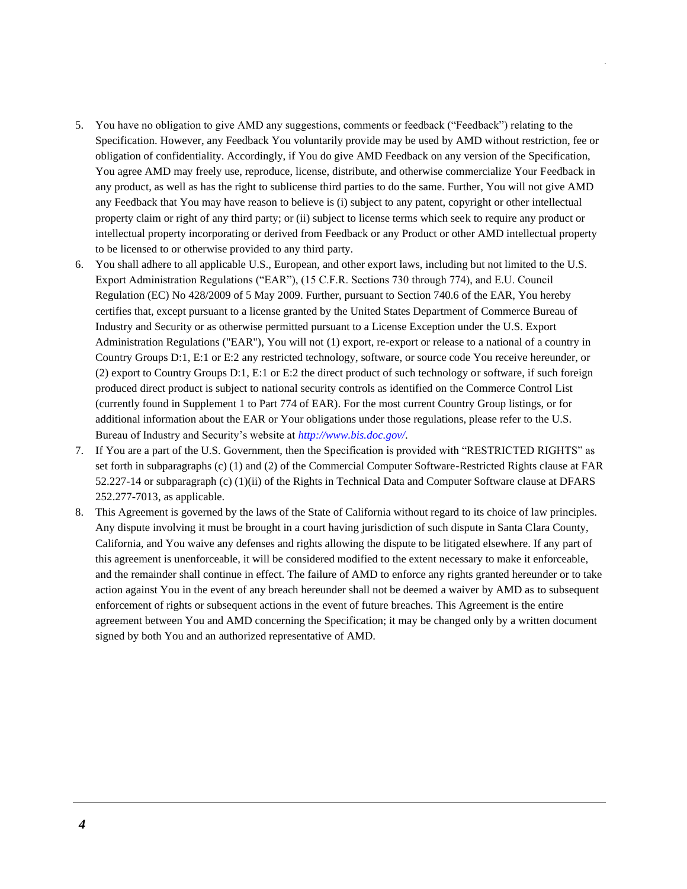- 5. You have no obligation to give AMD any suggestions, comments or feedback ("Feedback") relating to the Specification. However, any Feedback You voluntarily provide may be used by AMD without restriction, fee or obligation of confidentiality. Accordingly, if You do give AMD Feedback on any version of the Specification, You agree AMD may freely use, reproduce, license, distribute, and otherwise commercialize Your Feedback in any product, as well as has the right to sublicense third parties to do the same. Further, You will not give AMD any Feedback that You may have reason to believe is (i) subject to any patent, copyright or other intellectual property claim or right of any third party; or (ii) subject to license terms which seek to require any product or intellectual property incorporating or derived from Feedback or any Product or other AMD intellectual property to be licensed to or otherwise provided to any third party.
- 6. You shall adhere to all applicable U.S., European, and other export laws, including but not limited to the U.S. Export Administration Regulations ("EAR"), (15 C.F.R. Sections 730 through 774), and E.U. Council Regulation (EC) No 428/2009 of 5 May 2009. Further, pursuant to Section 740.6 of the EAR, You hereby certifies that, except pursuant to a license granted by the United States Department of Commerce Bureau of Industry and Security or as otherwise permitted pursuant to a License Exception under the U.S. Export Administration Regulations ("EAR"), You will not (1) export, re-export or release to a national of a country in Country Groups D:1, E:1 or E:2 any restricted technology, software, or source code You receive hereunder, or (2) export to Country Groups D:1, E:1 or E:2 the direct product of such technology or software, if such foreign produced direct product is subject to national security controls as identified on the Commerce Control List (currently found in Supplement 1 to Part 774 of EAR). For the most current Country Group listings, or for additional information about the EAR or Your obligations under those regulations, please refer to the U.S. Bureau of Industry and Security's website at *<http://www.bis.doc.gov/>*.
- 7. If You are a part of the U.S. Government, then the Specification is provided with "RESTRICTED RIGHTS" as set forth in subparagraphs (c) (1) and (2) of the Commercial Computer Software-Restricted Rights clause at FAR 52.227-14 or subparagraph (c) (1)(ii) of the Rights in Technical Data and Computer Software clause at DFARS 252.277-7013, as applicable.
- 8. This Agreement is governed by the laws of the State of California without regard to its choice of law principles. Any dispute involving it must be brought in a court having jurisdiction of such dispute in Santa Clara County, California, and You waive any defenses and rights allowing the dispute to be litigated elsewhere. If any part of this agreement is unenforceable, it will be considered modified to the extent necessary to make it enforceable, and the remainder shall continue in effect. The failure of AMD to enforce any rights granted hereunder or to take action against You in the event of any breach hereunder shall not be deemed a waiver by AMD as to subsequent enforcement of rights or subsequent actions in the event of future breaches. This Agreement is the entire agreement between You and AMD concerning the Specification; it may be changed only by a written document signed by both You and an authorized representative of AMD.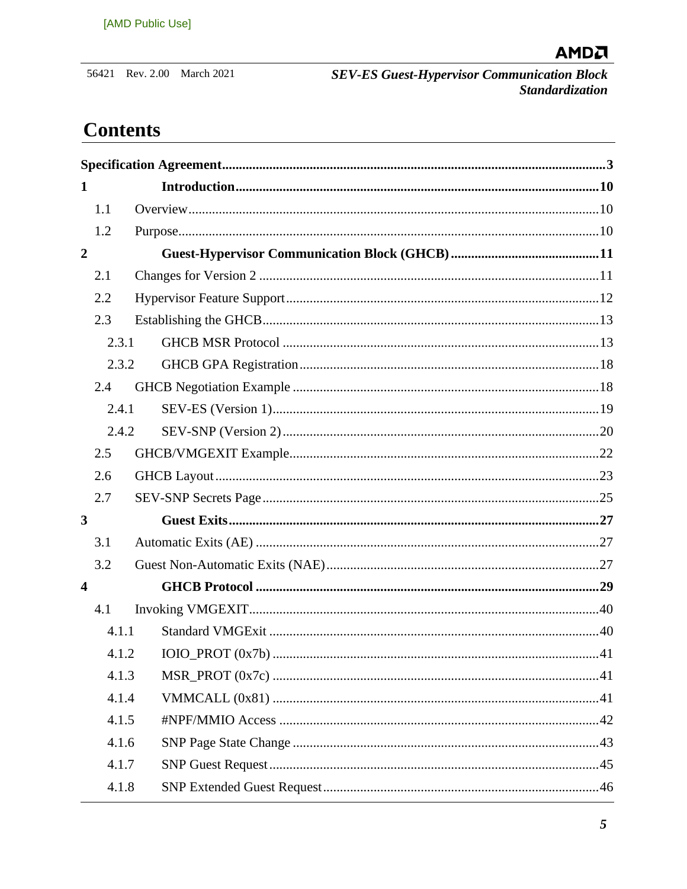56421 Rev. 2.00 March 2021

SEV-ES Guest-Hypervisor Communication Block<br>Standardization

## **Contents**

| $\mathbf{1}$            |       |  |  |  |  |  |
|-------------------------|-------|--|--|--|--|--|
|                         | 1.1   |  |  |  |  |  |
|                         | 1.2   |  |  |  |  |  |
| $\overline{2}$          |       |  |  |  |  |  |
|                         | 2.1   |  |  |  |  |  |
|                         | 2.2   |  |  |  |  |  |
|                         | 2.3   |  |  |  |  |  |
|                         | 2.3.1 |  |  |  |  |  |
|                         | 2.3.2 |  |  |  |  |  |
|                         | 2.4   |  |  |  |  |  |
|                         | 2.4.1 |  |  |  |  |  |
|                         | 2.4.2 |  |  |  |  |  |
|                         | 2.5   |  |  |  |  |  |
|                         | 2.6   |  |  |  |  |  |
|                         | 2.7   |  |  |  |  |  |
| $\mathbf{3}$            |       |  |  |  |  |  |
|                         | 3.1   |  |  |  |  |  |
|                         | 3.2   |  |  |  |  |  |
| $\overline{\mathbf{4}}$ |       |  |  |  |  |  |
|                         | 4.1   |  |  |  |  |  |
|                         | 4.1.1 |  |  |  |  |  |
|                         |       |  |  |  |  |  |
|                         | 4.1.3 |  |  |  |  |  |
|                         | 4.1.4 |  |  |  |  |  |
|                         | 4.1.5 |  |  |  |  |  |
|                         | 4.1.6 |  |  |  |  |  |
|                         | 4.1.7 |  |  |  |  |  |
|                         | 4.1.8 |  |  |  |  |  |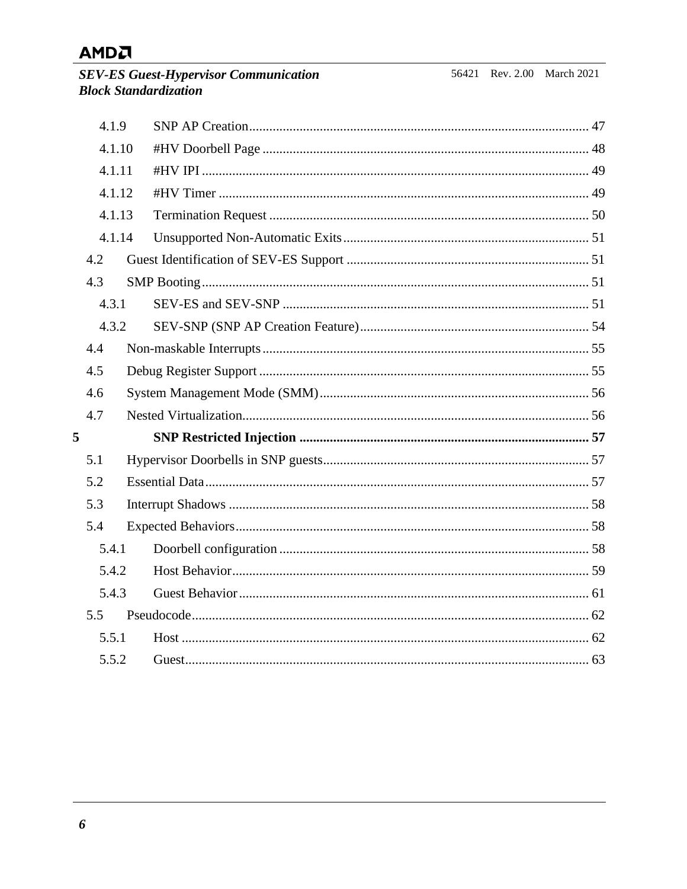**SEV-ES Guest-Hypervisor Communical Subset Standardization** 

|   | 4.1.9  |  |  |
|---|--------|--|--|
|   | 4.1.10 |  |  |
|   | 4.1.11 |  |  |
|   | 4.1.12 |  |  |
|   | 4.1.13 |  |  |
|   | 4.1.14 |  |  |
|   | 4.2    |  |  |
|   | 4.3    |  |  |
|   | 4.3.1  |  |  |
|   | 4.3.2  |  |  |
|   | 4.4    |  |  |
|   | 4.5    |  |  |
|   | 4.6    |  |  |
|   | 4.7    |  |  |
| 5 |        |  |  |
|   | 5.1    |  |  |
|   | 5.2    |  |  |
|   | 5.3    |  |  |
|   | 5.4    |  |  |
|   | 5.4.1  |  |  |
|   | 5.4.2  |  |  |
|   | 5.4.3  |  |  |
|   | 5.5    |  |  |
|   | 5.5.1  |  |  |
|   | 5.5.2  |  |  |
|   |        |  |  |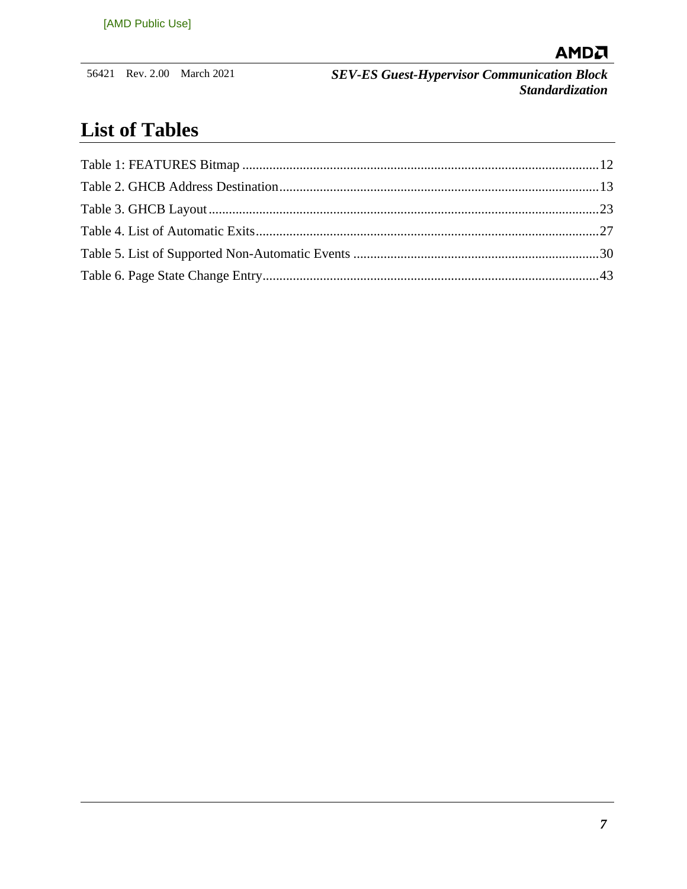

## **List of Tables**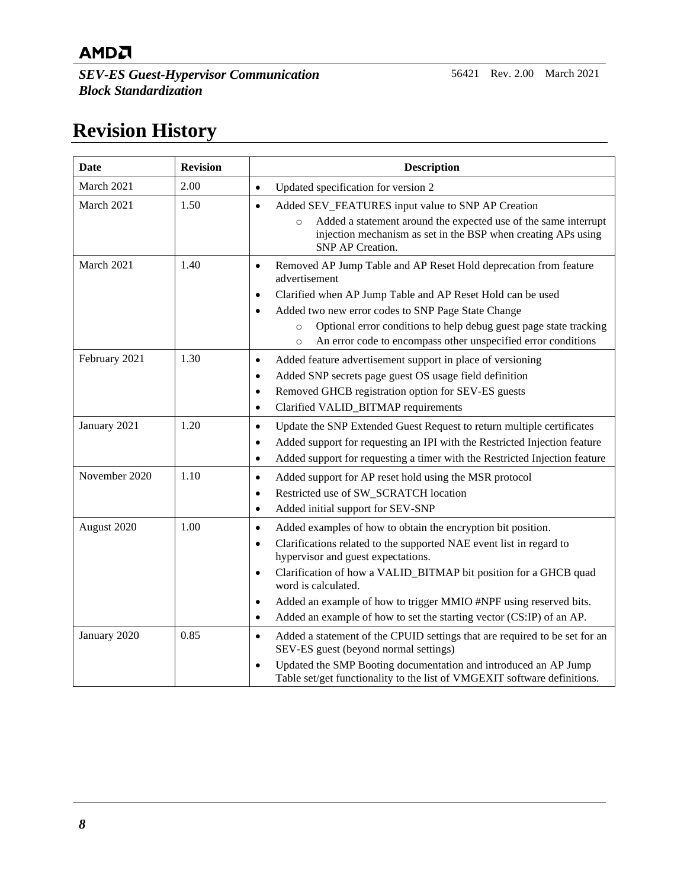*SEV-ES Guest-Hypervisor Communication Block Standardization*

## **Revision History**

| <b>Date</b>   | <b>Revision</b> | <b>Description</b>                                                                                                                                                                                                                                                                                                                                                                                                                                                                 |
|---------------|-----------------|------------------------------------------------------------------------------------------------------------------------------------------------------------------------------------------------------------------------------------------------------------------------------------------------------------------------------------------------------------------------------------------------------------------------------------------------------------------------------------|
| March 2021    | 2.00            | Updated specification for version 2<br>$\bullet$                                                                                                                                                                                                                                                                                                                                                                                                                                   |
| March 2021    | 1.50            | Added SEV_FEATURES input value to SNP AP Creation<br>$\bullet$<br>Added a statement around the expected use of the same interrupt<br>$\circ$<br>injection mechanism as set in the BSP when creating APs using<br><b>SNP AP Creation.</b>                                                                                                                                                                                                                                           |
| March 2021    | 1.40            | Removed AP Jump Table and AP Reset Hold deprecation from feature<br>$\bullet$<br>advertisement<br>Clarified when AP Jump Table and AP Reset Hold can be used<br>$\bullet$<br>Added two new error codes to SNP Page State Change<br>$\bullet$<br>Optional error conditions to help debug guest page state tracking<br>$\circ$<br>An error code to encompass other unspecified error conditions<br>$\circ$                                                                           |
| February 2021 | 1.30            | Added feature advertisement support in place of versioning<br>$\bullet$<br>Added SNP secrets page guest OS usage field definition<br>$\bullet$<br>Removed GHCB registration option for SEV-ES guests<br>$\bullet$<br>Clarified VALID_BITMAP requirements<br>$\bullet$                                                                                                                                                                                                              |
| January 2021  | 1.20            | Update the SNP Extended Guest Request to return multiple certificates<br>$\bullet$<br>Added support for requesting an IPI with the Restricted Injection feature<br>$\bullet$<br>Added support for requesting a timer with the Restricted Injection feature<br>$\bullet$                                                                                                                                                                                                            |
| November 2020 | 1.10            | Added support for AP reset hold using the MSR protocol<br>$\bullet$<br>Restricted use of SW_SCRATCH location<br>$\bullet$<br>Added initial support for SEV-SNP<br>$\bullet$                                                                                                                                                                                                                                                                                                        |
| August 2020   | 1.00            | Added examples of how to obtain the encryption bit position.<br>$\bullet$<br>Clarifications related to the supported NAE event list in regard to<br>$\bullet$<br>hypervisor and guest expectations.<br>Clarification of how a VALID_BITMAP bit position for a GHCB quad<br>$\bullet$<br>word is calculated.<br>Added an example of how to trigger MMIO #NPF using reserved bits.<br>$\bullet$<br>Added an example of how to set the starting vector (CS:IP) of an AP.<br>$\bullet$ |
| January 2020  | 0.85            | Added a statement of the CPUID settings that are required to be set for an<br>$\bullet$<br>SEV-ES guest (beyond normal settings)<br>Updated the SMP Booting documentation and introduced an AP Jump<br>$\bullet$<br>Table set/get functionality to the list of VMGEXIT software definitions.                                                                                                                                                                                       |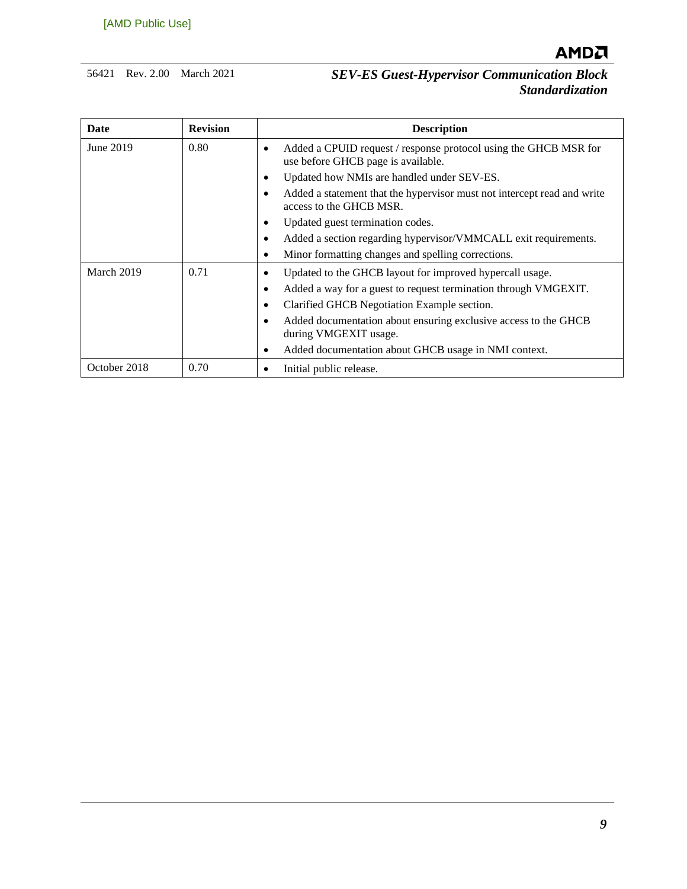

| Date              | <b>Revision</b> | <b>Description</b>                                                                                                  |
|-------------------|-----------------|---------------------------------------------------------------------------------------------------------------------|
| June 2019<br>0.80 |                 | Added a CPUID request / response protocol using the GHCB MSR for<br>$\bullet$<br>use before GHCB page is available. |
|                   |                 | Updated how NMIs are handled under SEV-ES.<br>٠                                                                     |
|                   |                 | Added a statement that the hypervisor must not intercept read and write<br>٠<br>access to the GHCB MSR.             |
|                   |                 | Updated guest termination codes.<br>٠                                                                               |
|                   |                 | Added a section regarding hypervisor/VMMCALL exit requirements.<br>٠                                                |
|                   |                 | Minor formatting changes and spelling corrections.<br>$\bullet$                                                     |
| March 2019        | 0.71            | Updated to the GHCB layout for improved hypercall usage.<br>$\bullet$                                               |
|                   |                 | Added a way for a guest to request termination through VMGEXIT.<br>٠                                                |
|                   |                 | Clarified GHCB Negotiation Example section.<br>٠                                                                    |
|                   |                 | Added documentation about ensuring exclusive access to the GHCB<br>$\bullet$<br>during VMGEXIT usage.               |
|                   |                 | Added documentation about GHCB usage in NMI context.<br>٠                                                           |
| October 2018      | 0.70            | Initial public release.                                                                                             |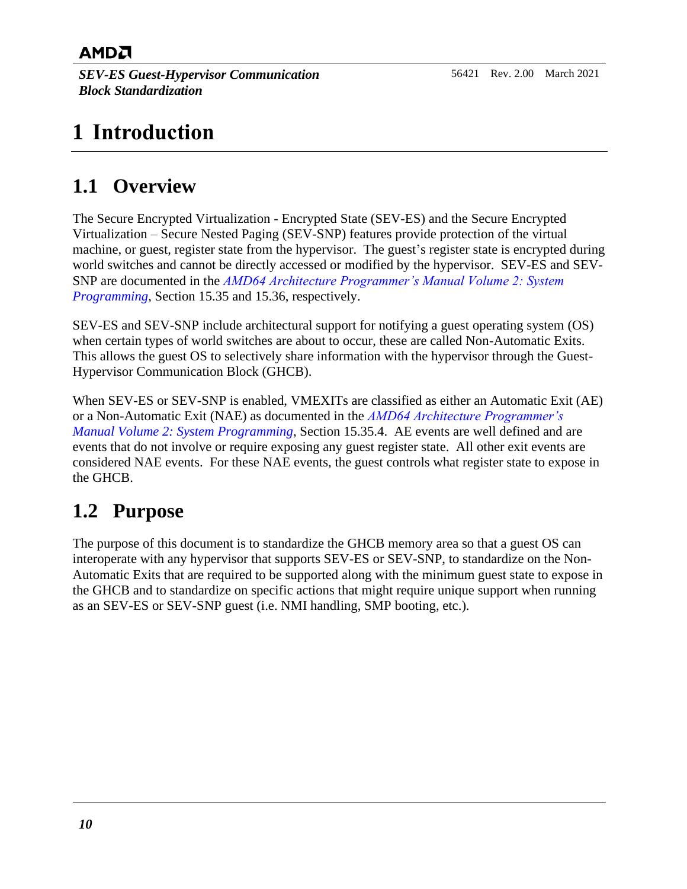*SEV-ES Guest-Hypervisor Communication Block Standardization*

## <span id="page-9-0"></span>**1 Introduction**

## <span id="page-9-1"></span>**1.1 Overview**

The Secure Encrypted Virtualization - Encrypted State (SEV-ES) and the Secure Encrypted Virtualization – Secure Nested Paging (SEV-SNP) features provide protection of the virtual machine, or guest, register state from the hypervisor. The guest's register state is encrypted during world switches and cannot be directly accessed or modified by the hypervisor. SEV-ES and SEV-SNP are documented in the *[AMD64 Architecture Programmer's Manual Volume 2: System](http://support.amd.com/TechDocs/24593.pdf)  [Programming](http://support.amd.com/TechDocs/24593.pdf)*, Section 15.35 and 15.36, respectively.

SEV-ES and SEV-SNP include architectural support for notifying a guest operating system (OS) when certain types of world switches are about to occur, these are called Non-Automatic Exits. This allows the guest OS to selectively share information with the hypervisor through the Guest-Hypervisor Communication Block (GHCB).

When SEV-ES or SEV-SNP is enabled, VMEXITs are classified as either an Automatic Exit (AE) or a Non-Automatic Exit (NAE) as documented in the *[AMD64 Architecture Programmer's](http://support.amd.com/TechDocs/24593.pdf)  [Manual Volume 2: System Programming](http://support.amd.com/TechDocs/24593.pdf)*, Section 15.35.4. AE events are well defined and are events that do not involve or require exposing any guest register state. All other exit events are considered NAE events. For these NAE events, the guest controls what register state to expose in the GHCB.

## <span id="page-9-2"></span>**1.2 Purpose**

The purpose of this document is to standardize the GHCB memory area so that a guest OS can interoperate with any hypervisor that supports SEV-ES or SEV-SNP, to standardize on the Non-Automatic Exits that are required to be supported along with the minimum guest state to expose in the GHCB and to standardize on specific actions that might require unique support when running as an SEV-ES or SEV-SNP guest (i.e. NMI handling, SMP booting, etc.).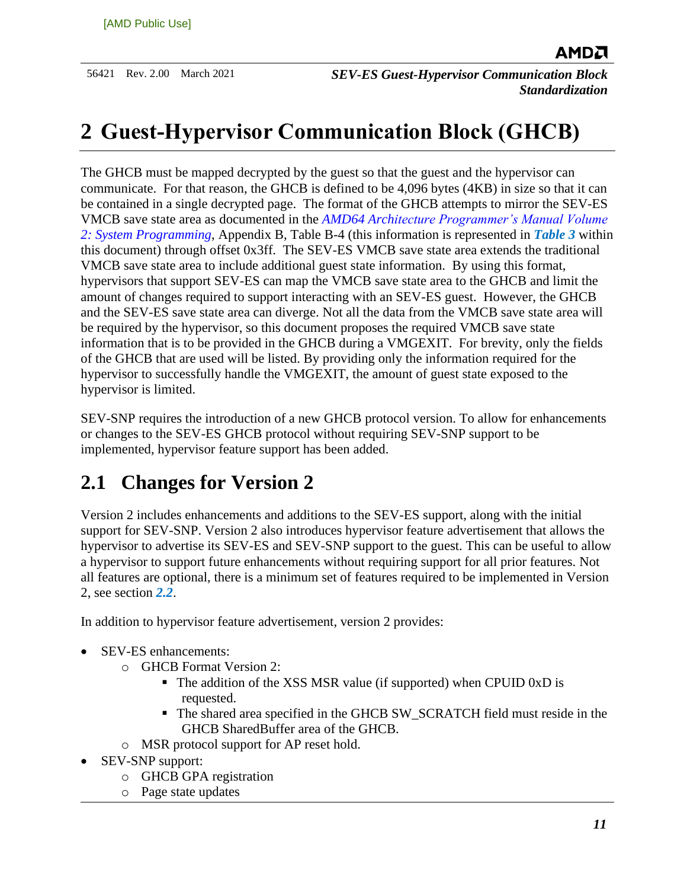## <span id="page-10-0"></span>**2 Guest-Hypervisor Communication Block (GHCB)**

The GHCB must be mapped decrypted by the guest so that the guest and the hypervisor can communicate. For that reason, the GHCB is defined to be 4,096 bytes (4KB) in size so that it can be contained in a single decrypted page. The format of the GHCB attempts to mirror the SEV-ES VMCB save state area as documented in the *[AMD64 Architecture Programmer's Manual Volume](http://support.amd.com/TechDocs/24593.pdf)  [2: System Programming](http://support.amd.com/TechDocs/24593.pdf)*, Appendix B, Table B-4 (this information is represented in *[Table 3](#page-22-1)* within this document) through offset 0x3ff. The SEV-ES VMCB save state area extends the traditional VMCB save state area to include additional guest state information. By using this format, hypervisors that support SEV-ES can map the VMCB save state area to the GHCB and limit the amount of changes required to support interacting with an SEV-ES guest. However, the GHCB and the SEV-ES save state area can diverge. Not all the data from the VMCB save state area will be required by the hypervisor, so this document proposes the required VMCB save state information that is to be provided in the GHCB during a VMGEXIT. For brevity, only the fields of the GHCB that are used will be listed. By providing only the information required for the hypervisor to successfully handle the VMGEXIT, the amount of guest state exposed to the hypervisor is limited.

SEV-SNP requires the introduction of a new GHCB protocol version. To allow for enhancements or changes to the SEV-ES GHCB protocol without requiring SEV-SNP support to be implemented, hypervisor feature support has been added.

## <span id="page-10-1"></span>**2.1 Changes for Version 2**

Version 2 includes enhancements and additions to the SEV-ES support, along with the initial support for SEV-SNP. Version 2 also introduces hypervisor feature advertisement that allows the hypervisor to advertise its SEV-ES and SEV-SNP support to the guest. This can be useful to allow a hypervisor to support future enhancements without requiring support for all prior features. Not all features are optional, there is a minimum set of features required to be implemented in Version 2, see section *[2.2](#page-11-0)*.

In addition to hypervisor feature advertisement, version 2 provides:

- SEV-ES enhancements:
	- o GHCB Format Version 2:
		- The addition of the XSS MSR value (if supported) when CPUID 0xD is requested.
		- The shared area specified in the GHCB SW\_SCRATCH field must reside in the GHCB SharedBuffer area of the GHCB.
	- o MSR protocol support for AP reset hold.
- SEV-SNP support:
	- o GHCB GPA registration
	- o Page state updates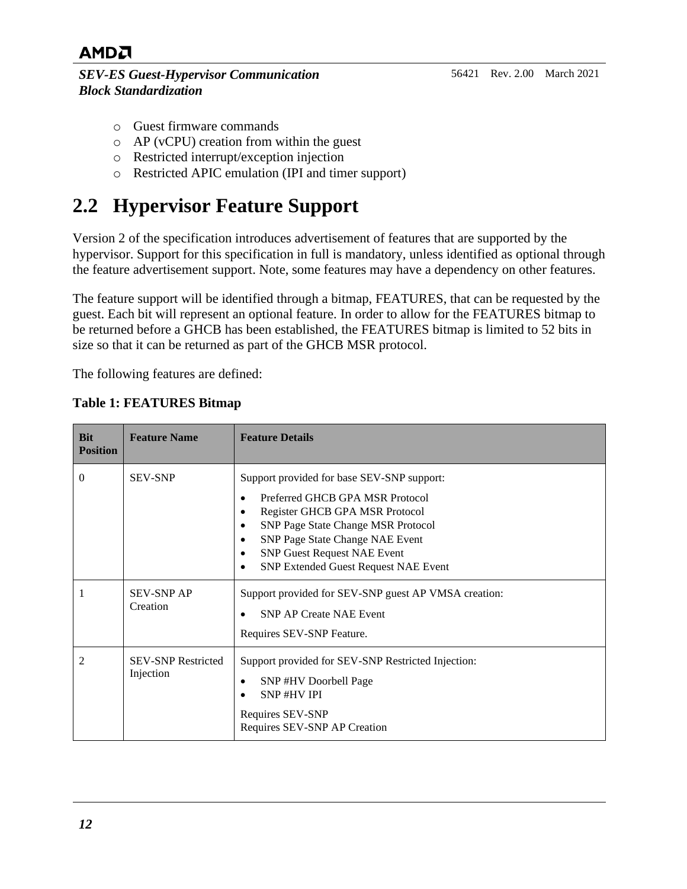*SEV-ES Guest-Hypervisor Communication Block Standardization*

- o Guest firmware commands
- o AP (vCPU) creation from within the guest
- o Restricted interrupt/exception injection
- o Restricted APIC emulation (IPI and timer support)

## <span id="page-11-0"></span>**2.2 Hypervisor Feature Support**

Version 2 of the specification introduces advertisement of features that are supported by the hypervisor. Support for this specification in full is mandatory, unless identified as optional through the feature advertisement support. Note, some features may have a dependency on other features.

The feature support will be identified through a bitmap, FEATURES, that can be requested by the guest. Each bit will represent an optional feature. In order to allow for the FEATURES bitmap to be returned before a GHCB has been established, the FEATURES bitmap is limited to 52 bits in size so that it can be returned as part of the GHCB MSR protocol.

The following features are defined:

| <b>Bit</b><br><b>Position</b> | <b>Feature Name</b>                    | <b>Feature Details</b>                                                                                                                                                                                                                                                                        |
|-------------------------------|----------------------------------------|-----------------------------------------------------------------------------------------------------------------------------------------------------------------------------------------------------------------------------------------------------------------------------------------------|
| $\Omega$                      | <b>SEV-SNP</b>                         | Support provided for base SEV-SNP support:<br>Preferred GHCB GPA MSR Protocol<br>Register GHCB GPA MSR Protocol<br>SNP Page State Change MSR Protocol<br>٠<br>SNP Page State Change NAE Event<br>$\bullet$<br><b>SNP Guest Request NAE Event</b><br>٠<br>SNP Extended Guest Request NAE Event |
| 1                             | <b>SEV-SNP AP</b><br>Creation          | Support provided for SEV-SNP guest AP VMSA creation:<br><b>SNP AP Create NAE Event</b><br>Requires SEV-SNP Feature.                                                                                                                                                                           |
| $\overline{c}$                | <b>SEV-SNP Restricted</b><br>Injection | Support provided for SEV-SNP Restricted Injection:<br>SNP#HV Doorbell Page<br><b>SNP#HVIPI</b><br>Requires SEV-SNP<br>Requires SEV-SNP AP Creation                                                                                                                                            |

#### <span id="page-11-1"></span>**Table 1: FEATURES Bitmap**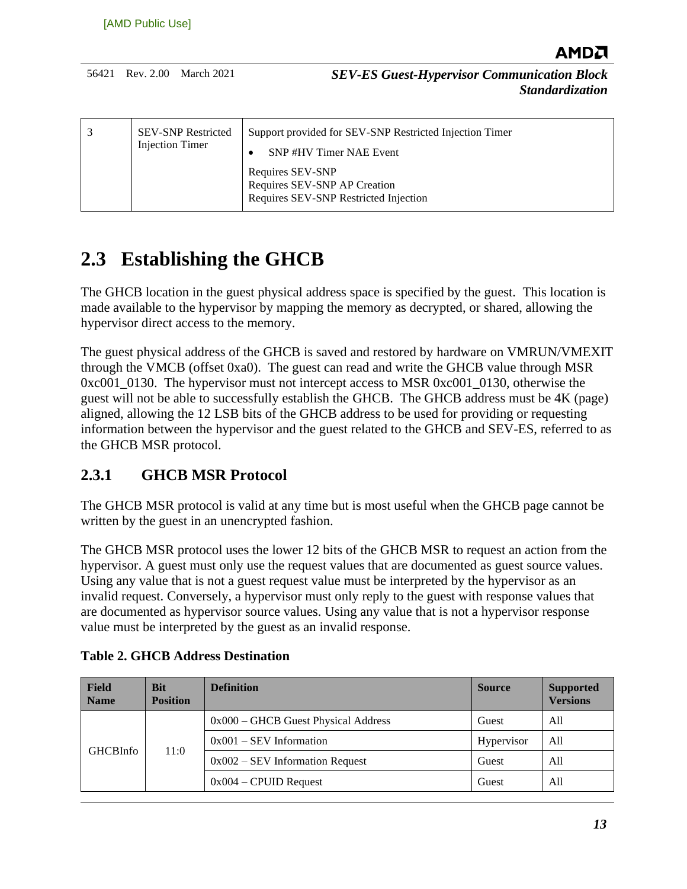| <b>SEV-SNP Restricted</b><br><b>Injection Timer</b> | Support provided for SEV-SNP Restricted Injection Timer<br>SNP#HV Timer NAE Event         |
|-----------------------------------------------------|-------------------------------------------------------------------------------------------|
|                                                     | Requires SEV-SNP<br>Requires SEV-SNP AP Creation<br>Requires SEV-SNP Restricted Injection |

## <span id="page-12-0"></span>**2.3 Establishing the GHCB**

The GHCB location in the guest physical address space is specified by the guest. This location is made available to the hypervisor by mapping the memory as decrypted, or shared, allowing the hypervisor direct access to the memory.

The guest physical address of the GHCB is saved and restored by hardware on VMRUN/VMEXIT through the VMCB (offset 0xa0). The guest can read and write the GHCB value through MSR 0xc001\_0130. The hypervisor must not intercept access to MSR 0xc001\_0130, otherwise the guest will not be able to successfully establish the GHCB. The GHCB address must be 4K (page) aligned, allowing the 12 LSB bits of the GHCB address to be used for providing or requesting information between the hypervisor and the guest related to the GHCB and SEV-ES, referred to as the GHCB MSR protocol.

### <span id="page-12-1"></span>**2.3.1 GHCB MSR Protocol**

The GHCB MSR protocol is valid at any time but is most useful when the GHCB page cannot be written by the guest in an unencrypted fashion.

The GHCB MSR protocol uses the lower 12 bits of the GHCB MSR to request an action from the hypervisor. A guest must only use the request values that are documented as guest source values. Using any value that is not a guest request value must be interpreted by the hypervisor as an invalid request. Conversely, a hypervisor must only reply to the guest with response values that are documented as hypervisor source values. Using any value that is not a hypervisor response value must be interpreted by the guest as an invalid response.

| <b>Field</b><br><b>Name</b> | <b>Bit</b><br><b>Position</b> | <b>Definition</b>                     | <b>Source</b> | <b>Supported</b><br><b>Versions</b> |
|-----------------------------|-------------------------------|---------------------------------------|---------------|-------------------------------------|
|                             | 11:0                          | $0x000 -$ GHCB Guest Physical Address | Guest         | All                                 |
| <b>GHCBInfo</b>             |                               | $0x001 - SEV$ Information             | Hypervisor    | All                                 |
|                             |                               | $0x002 - SEV$ Information Request     | Guest         | A11                                 |
|                             |                               | $0x004$ – CPUID Request               | Guest         | A11                                 |

<span id="page-12-2"></span>

|  |  |  | <b>Table 2. GHCB Address Destination</b> |
|--|--|--|------------------------------------------|
|--|--|--|------------------------------------------|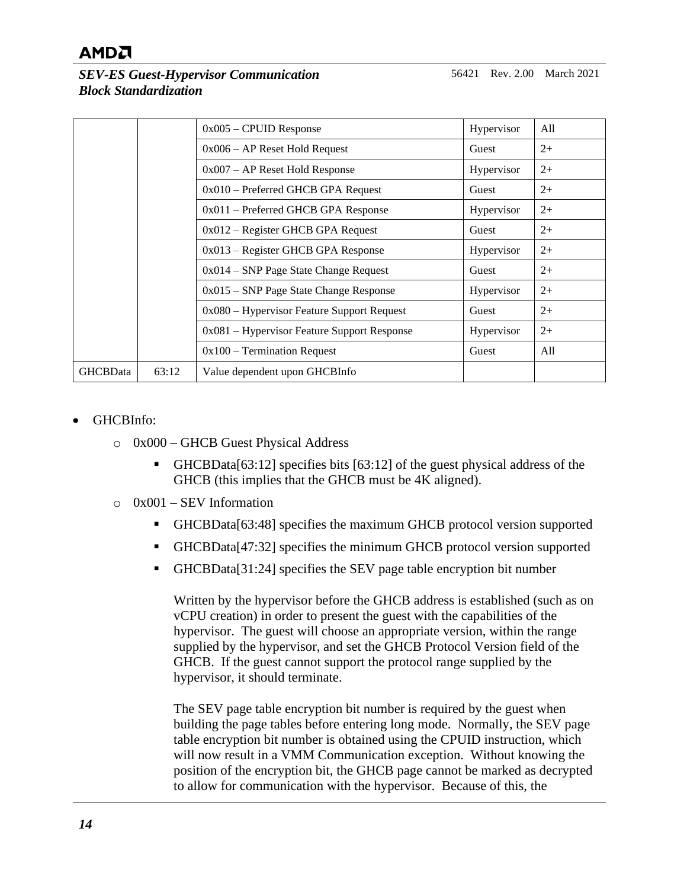56421 Rev. 2.00 March 2021

*SEV-ES Guest-Hypervisor Communication Block Standardization*

|                 |       | $0x005$ – CPUID Response                      | Hypervisor | All  |
|-----------------|-------|-----------------------------------------------|------------|------|
|                 |       | $0x006 - AP$ Reset Hold Request               | Guest      | $2+$ |
|                 |       | $0x007 - AP$ Reset Hold Response              | Hypervisor | $2+$ |
|                 |       | $0x010$ – Preferred GHCB GPA Request          | Guest      | $2+$ |
|                 |       | $0x011$ – Preferred GHCB GPA Response         | Hypervisor | $2+$ |
|                 |       | $0x012$ – Register GHCB GPA Request           | Guest      | $2+$ |
|                 |       | $0x013$ – Register GHCB GPA Response          | Hypervisor | $2+$ |
|                 |       | $0x014 - SNP$ Page State Change Request       | Guest      | $2+$ |
|                 |       | $0x015 -$ SNP Page State Change Response      | Hypervisor | $2+$ |
|                 |       | $0x080$ – Hypervisor Feature Support Request  | Guest      | $2+$ |
|                 |       | $0x081$ – Hypervisor Feature Support Response | Hypervisor | $2+$ |
|                 |       | $0x100$ – Termination Request                 | Guest      | All  |
| <b>GHCBData</b> | 63:12 | Value dependent upon GHCBInfo                 |            |      |

- GHCBInfo:
	- o 0x000 GHCB Guest Physical Address
		- $GHCBData[63:12]$  specifies bits  $[63:12]$  of the guest physical address of the GHCB (this implies that the GHCB must be 4K aligned).
	- $\circ$  0x001 SEV Information
		- GHCBData[63:48] specifies the maximum GHCB protocol version supported
		- GHCBData[47:32] specifies the minimum GHCB protocol version supported
		- GHCBData[31:24] specifies the SEV page table encryption bit number

Written by the hypervisor before the GHCB address is established (such as on vCPU creation) in order to present the guest with the capabilities of the hypervisor. The guest will choose an appropriate version, within the range supplied by the hypervisor, and set the GHCB Protocol Version field of the GHCB. If the guest cannot support the protocol range supplied by the hypervisor, it should terminate.

The SEV page table encryption bit number is required by the guest when building the page tables before entering long mode. Normally, the SEV page table encryption bit number is obtained using the CPUID instruction, which will now result in a VMM Communication exception. Without knowing the position of the encryption bit, the GHCB page cannot be marked as decrypted to allow for communication with the hypervisor. Because of this, the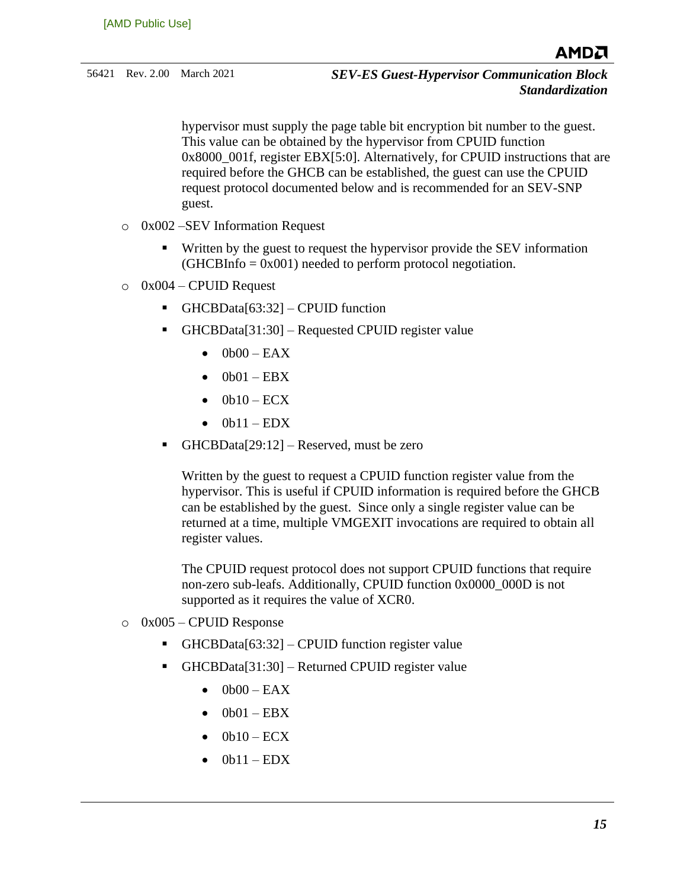56421 Rev. 2.00 March 2021 *SEV-ES Guest-Hypervisor Communication Block Standardization*

> hypervisor must supply the page table bit encryption bit number to the guest. This value can be obtained by the hypervisor from CPUID function  $0x8000$   $001f$ , register EBX[5:0]. Alternatively, for CPUID instructions that are required before the GHCB can be established, the guest can use the CPUID request protocol documented below and is recommended for an SEV-SNP guest.

- o 0x002 –SEV Information Request
	- Written by the guest to request the hypervisor provide the SEV information  $(GHCBInfo = 0x001)$  needed to perform protocol negotiation.
- $\circ$  0x004 CPUID Request
	- $\blacksquare$  GHCBData[63:32] CPUID function
	- GHCBData[31:30] Requested CPUID register value
		- $\bullet$  0b00 EAX
		- $\bullet$  0b01 EBX
		- $\bullet$  0b10 ECX
		- $\bullet$  0b11 EDX
	- $\blacksquare$  GHCBData[29:12] Reserved, must be zero

Written by the guest to request a CPUID function register value from the hypervisor. This is useful if CPUID information is required before the GHCB can be established by the guest. Since only a single register value can be returned at a time, multiple VMGEXIT invocations are required to obtain all register values.

The CPUID request protocol does not support CPUID functions that require non-zero sub-leafs. Additionally, CPUID function 0x0000\_000D is not supported as it requires the value of XCR0.

- $\circ$  0x005 CPUID Response
	- GHCBData[63:32] CPUID function register value
	- $GHCBData[31:30]$  Returned CPUID register value
		- $\bullet$  0b00 EAX
		- $\bullet$  0b01 EBX
		- $\bullet$  0b10 ECX
		- $\bullet$  0b11 EDX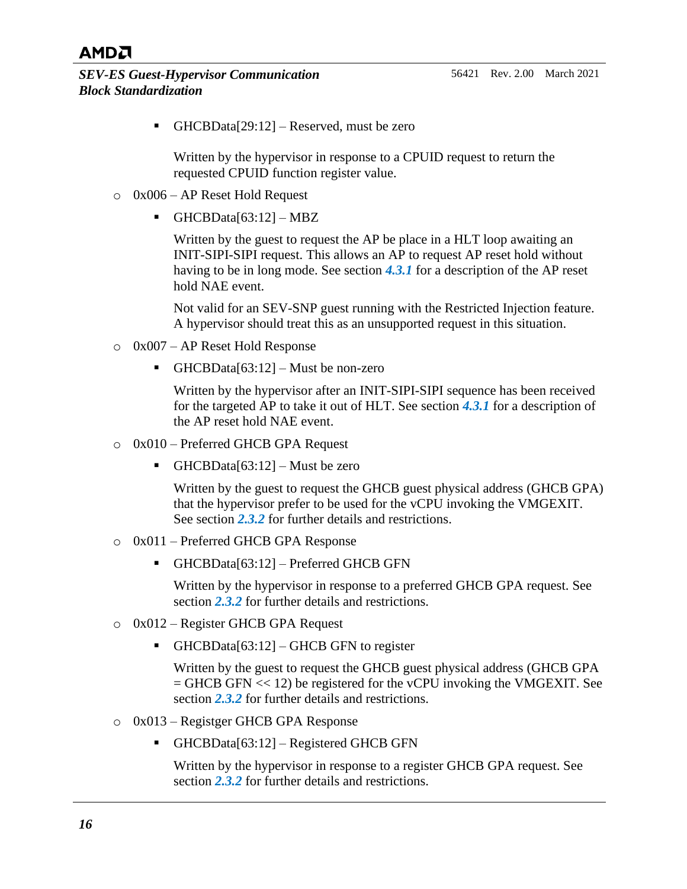$\blacksquare$  GHCBData[29:12] – Reserved, must be zero

Written by the hypervisor in response to a CPUID request to return the requested CPUID function register value.

- o 0x006 AP Reset Hold Request
	- $\blacksquare$  GHCBData[63:12] MBZ

Written by the guest to request the AP be place in a HLT loop awaiting an INIT-SIPI-SIPI request. This allows an AP to request AP reset hold without having to be in long mode. See section *[4.3.1](#page-50-3)* for a description of the AP reset hold NAE event.

Not valid for an SEV-SNP guest running with the Restricted Injection feature. A hypervisor should treat this as an unsupported request in this situation.

- o 0x007 AP Reset Hold Response
	- $\bullet$  GHCBData[63:12] Must be non-zero

Written by the hypervisor after an INIT-SIPI-SIPI sequence has been received for the targeted AP to take it out of HLT. See section *[4.3.1](#page-50-3)* for a description of the AP reset hold NAE event.

- o 0x010 Preferred GHCB GPA Request
	- GHCBData[63:12] Must be zero

Written by the guest to request the GHCB guest physical address (GHCB GPA) that the hypervisor prefer to be used for the vCPU invoking the VMGEXIT. See section *[2.3.2](#page-17-0)* for further details and restrictions.

- o 0x011 Preferred GHCB GPA Response
	- GHCBData[63:12] Preferred GHCB GFN

Written by the hypervisor in response to a preferred GHCB GPA request. See section *[2.3.2](#page-17-0)* for further details and restrictions.

- o 0x012 Register GHCB GPA Request
	- $\blacksquare$  GHCBData[63:12] GHCB GFN to register

Written by the guest to request the GHCB guest physical address (GHCB GPA  $=$  GHCB GFN  $<< 12$ ) be registered for the vCPU invoking the VMGEXIT. See section *[2.3.2](#page-17-0)* for further details and restrictions.

- o 0x013 Registger GHCB GPA Response
	- $\blacksquare$  GHCBData[63:12] Registered GHCB GFN

Written by the hypervisor in response to a register GHCB GPA request. See section *[2.3.2](#page-17-0)* for further details and restrictions.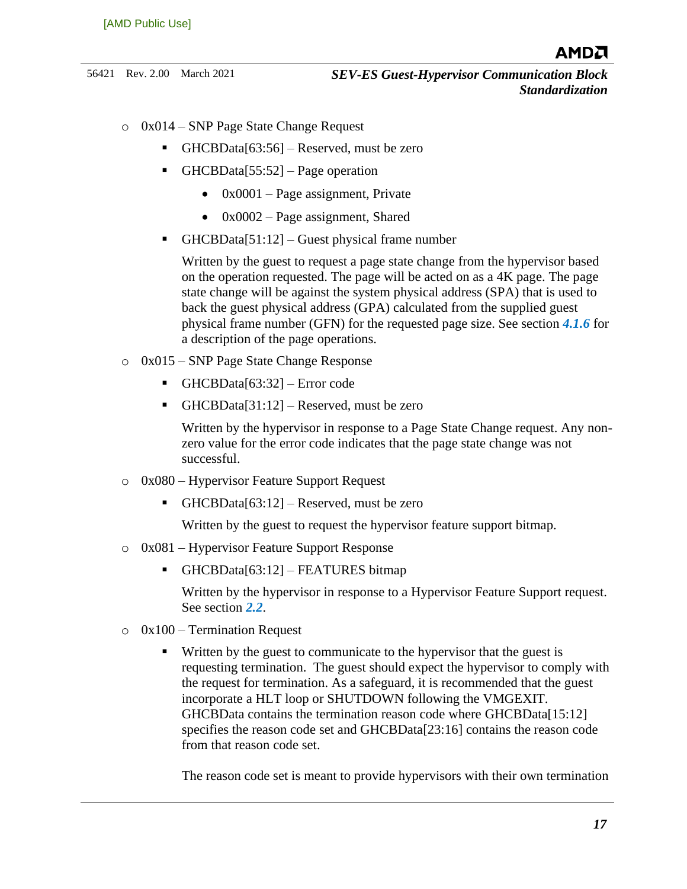- o 0x014 SNP Page State Change Request
	- GHCBData[63:56] Reserved, must be zero
	- $GHCBData[55:52] Page operation$ 
		- $0x0001 Page assignment, Private$
		- $0x0002 Page assignment$ , Shared
	- GHCBData[51:12] Guest physical frame number

Written by the guest to request a page state change from the hypervisor based on the operation requested. The page will be acted on as a 4K page. The page state change will be against the system physical address (SPA) that is used to back the guest physical address (GPA) calculated from the supplied guest physical frame number (GFN) for the requested page size. See section *[4.1.6](#page-42-0)* for a description of the page operations.

- o 0x015 SNP Page State Change Response
	- $\blacksquare$  GHCBData[63:32] Error code
	- GHCBData[31:12] Reserved, must be zero

Written by the hypervisor in response to a Page State Change request. Any nonzero value for the error code indicates that the page state change was not successful.

- o 0x080 Hypervisor Feature Support Request
	- GHCBData[63:12] Reserved, must be zero

Written by the guest to request the hypervisor feature support bitmap.

- o 0x081 Hypervisor Feature Support Response
	- $\blacksquare$  GHCBData[63:12] FEATURES bitmap

Written by the hypervisor in response to a Hypervisor Feature Support request. See section *[2.2](#page-11-0)*.

- $\circ$  0x100 Termination Request
	- Written by the guest to communicate to the hypervisor that the guest is requesting termination. The guest should expect the hypervisor to comply with the request for termination. As a safeguard, it is recommended that the guest incorporate a HLT loop or SHUTDOWN following the VMGEXIT. GHCBData contains the termination reason code where GHCBData[15:12] specifies the reason code set and GHCBData[23:16] contains the reason code from that reason code set.

The reason code set is meant to provide hypervisors with their own termination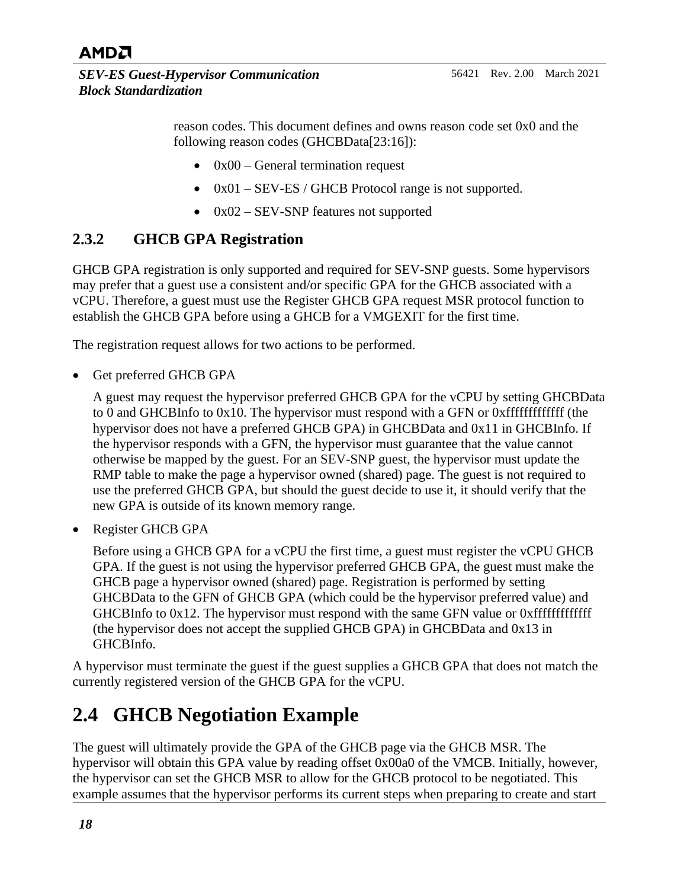

reason codes. This document defines and owns reason code set 0x0 and the following reason codes (GHCBData[23:16]):

- $0x00$  General termination request
- 0x01 SEV-ES / GHCB Protocol range is not supported.
- 0x02 SEV-SNP features not supported

#### <span id="page-17-0"></span>**2.3.2 GHCB GPA Registration**

GHCB GPA registration is only supported and required for SEV-SNP guests. Some hypervisors may prefer that a guest use a consistent and/or specific GPA for the GHCB associated with a vCPU. Therefore, a guest must use the Register GHCB GPA request MSR protocol function to establish the GHCB GPA before using a GHCB for a VMGEXIT for the first time.

The registration request allows for two actions to be performed.

Get preferred GHCB GPA

A guest may request the hypervisor preferred GHCB GPA for the vCPU by setting GHCBData to 0 and GHCBInfo to 0x10. The hypervisor must respond with a GFN or 0xfffffffffffff (the hypervisor does not have a preferred GHCB GPA) in GHCBData and 0x11 in GHCBInfo. If the hypervisor responds with a GFN, the hypervisor must guarantee that the value cannot otherwise be mapped by the guest. For an SEV-SNP guest, the hypervisor must update the RMP table to make the page a hypervisor owned (shared) page. The guest is not required to use the preferred GHCB GPA, but should the guest decide to use it, it should verify that the new GPA is outside of its known memory range.

• Register GHCB GPA

Before using a GHCB GPA for a vCPU the first time, a guest must register the vCPU GHCB GPA. If the guest is not using the hypervisor preferred GHCB GPA, the guest must make the GHCB page a hypervisor owned (shared) page. Registration is performed by setting GHCBData to the GFN of GHCB GPA (which could be the hypervisor preferred value) and GHCBInfo to 0x12. The hypervisor must respond with the same GFN value or 0xfffffffffffff (the hypervisor does not accept the supplied GHCB GPA) in GHCBData and 0x13 in GHCBInfo.

A hypervisor must terminate the guest if the guest supplies a GHCB GPA that does not match the currently registered version of the GHCB GPA for the vCPU.

## <span id="page-17-1"></span>**2.4 GHCB Negotiation Example**

The guest will ultimately provide the GPA of the GHCB page via the GHCB MSR. The hypervisor will obtain this GPA value by reading offset 0x00a0 of the VMCB. Initially, however, the hypervisor can set the GHCB MSR to allow for the GHCB protocol to be negotiated. This example assumes that the hypervisor performs its current steps when preparing to create and start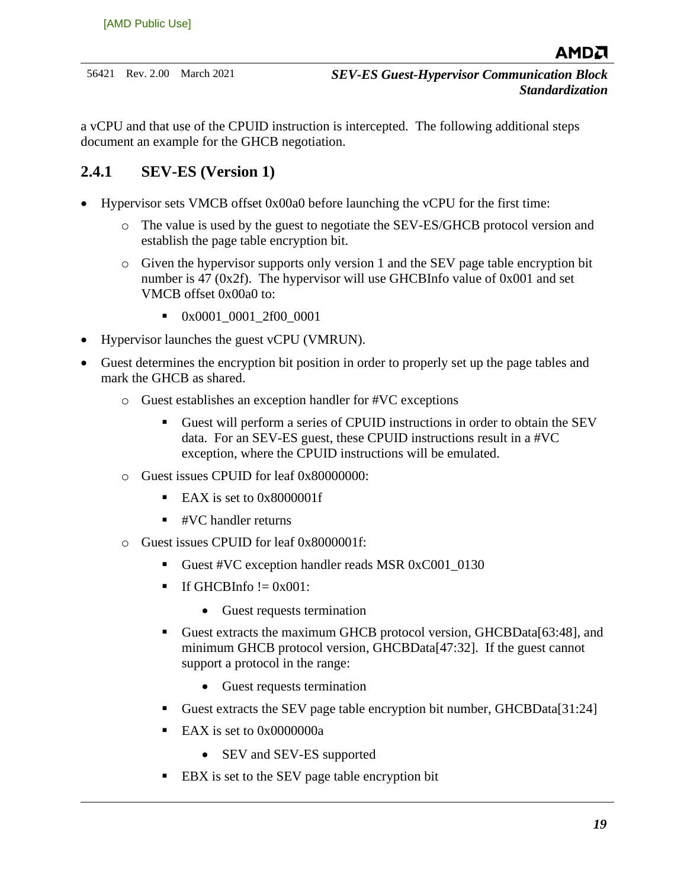a vCPU and that use of the CPUID instruction is intercepted. The following additional steps document an example for the GHCB negotiation.

### <span id="page-18-0"></span>**2.4.1 SEV-ES (Version 1)**

- Hypervisor sets VMCB offset 0x00a0 before launching the vCPU for the first time:
	- o The value is used by the guest to negotiate the SEV-ES/GHCB protocol version and establish the page table encryption bit.
	- o Given the hypervisor supports only version 1 and the SEV page table encryption bit number is 47 ( $0x2f$ ). The hypervisor will use GHCBInfo value of  $0x001$  and set VMCB offset 0x00a0 to:
		- 0x0001\_0001\_2f00\_0001
- Hypervisor launches the guest vCPU (VMRUN).
- Guest determines the encryption bit position in order to properly set up the page tables and mark the GHCB as shared.
	- o Guest establishes an exception handler for #VC exceptions
		- Guest will perform a series of CPUID instructions in order to obtain the SEV data. For an SEV-ES guest, these CPUID instructions result in a #VC exception, where the CPUID instructions will be emulated.
	- o Guest issues CPUID for leaf 0x80000000:
		- $\blacksquare$  EAX is set to 0x8000001f
		- $\blacksquare$  #VC handler returns
	- o Guest issues CPUID for leaf 0x8000001f:
		- Guest #VC exception handler reads MSR 0xC001\_0130
		- $\blacksquare$  If GHCBInfo  $!=$  0x001:
			- Guest requests termination
		- Guest extracts the maximum GHCB protocol version, GHCBData[63:48], and minimum GHCB protocol version, GHCBData[47:32]. If the guest cannot support a protocol in the range:
			- Guest requests termination
		- Guest extracts the SEV page table encryption bit number, GHCBData[31:24]
		- EAX is set to  $0x0000000a$ 
			- SEV and SEV-ES supported
		- EBX is set to the SEV page table encryption bit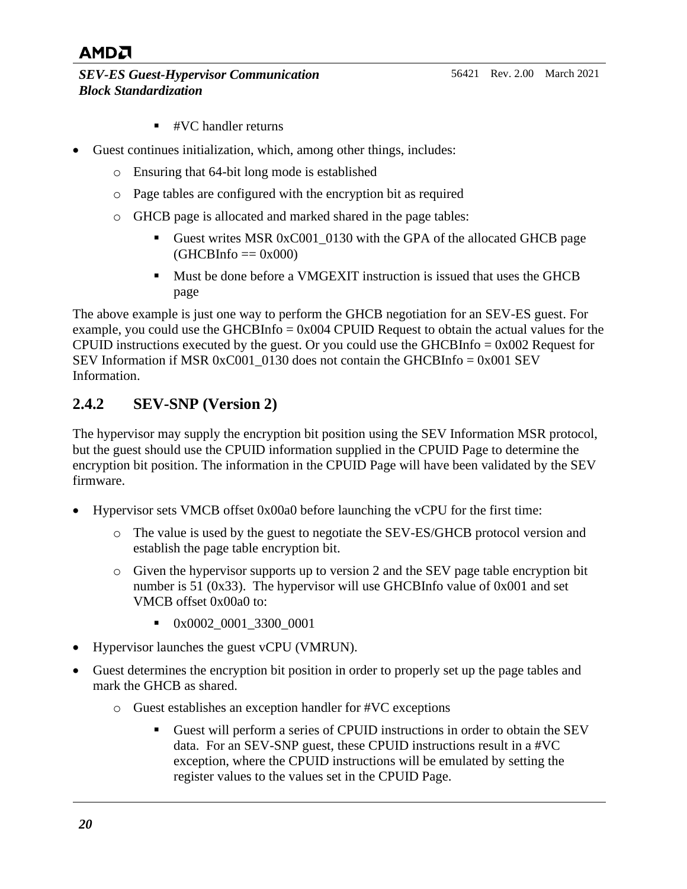#### *SEV-ES Guest-Hypervisor Communication Block Standardization*

- $\blacksquare$  #VC handler returns
- Guest continues initialization, which, among other things, includes:
	- o Ensuring that 64-bit long mode is established
	- o Page tables are configured with the encryption bit as required
	- o GHCB page is allocated and marked shared in the page tables:
		- Guest writes MSR 0xC001\_0130 with the GPA of the allocated GHCB page  $(GHCBInfo == 0x000)$
		- Must be done before a VMGEXIT instruction is issued that uses the GHCB page

The above example is just one way to perform the GHCB negotiation for an SEV-ES guest. For example, you could use the GHCBInfo  $= 0x004$  CPUID Request to obtain the actual values for the CPUID instructions executed by the guest. Or you could use the GHCBInfo  $= 0x002$  Request for SEV Information if MSR  $0xC001$  0130 does not contain the GHCBInfo =  $0x001$  SEV Information.

### <span id="page-19-0"></span>**2.4.2 SEV-SNP (Version 2)**

The hypervisor may supply the encryption bit position using the SEV Information MSR protocol, but the guest should use the CPUID information supplied in the CPUID Page to determine the encryption bit position. The information in the CPUID Page will have been validated by the SEV firmware.

- Hypervisor sets VMCB offset 0x00a0 before launching the vCPU for the first time:
	- o The value is used by the guest to negotiate the SEV-ES/GHCB protocol version and establish the page table encryption bit.
	- o Given the hypervisor supports up to version 2 and the SEV page table encryption bit number is 51 (0x33). The hypervisor will use GHCBInfo value of 0x001 and set VMCB offset 0x00a0 to:
		- 0x0002\_0001\_3300\_0001
- Hypervisor launches the guest vCPU (VMRUN).
- Guest determines the encryption bit position in order to properly set up the page tables and mark the GHCB as shared.
	- o Guest establishes an exception handler for #VC exceptions
		- Guest will perform a series of CPUID instructions in order to obtain the SEV data. For an SEV-SNP guest, these CPUID instructions result in a #VC exception, where the CPUID instructions will be emulated by setting the register values to the values set in the CPUID Page.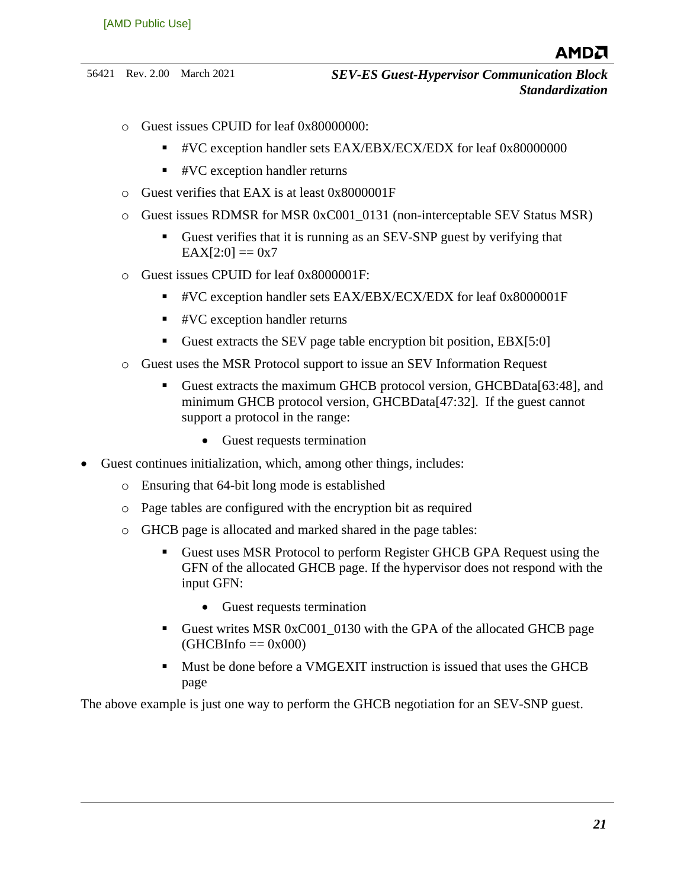- o Guest issues CPUID for leaf 0x80000000:
	- #VC exception handler sets EAX/EBX/ECX/EDX for leaf 0x80000000
	- #VC exception handler returns
- o Guest verifies that EAX is at least 0x8000001F
- o Guest issues RDMSR for MSR 0xC001\_0131 (non-interceptable SEV Status MSR)
	- Guest verifies that it is running as an SEV-SNP guest by verifying that  $EAX[2:0] == 0x7$
- o Guest issues CPUID for leaf 0x8000001F:
	- #VC exception handler sets EAX/EBX/ECX/EDX for leaf 0x8000001F
	- #VC exception handler returns
	- Guest extracts the SEV page table encryption bit position, EBX[5:0]
- o Guest uses the MSR Protocol support to issue an SEV Information Request
	- Guest extracts the maximum GHCB protocol version, GHCBData[63:48], and minimum GHCB protocol version, GHCBData[47:32]. If the guest cannot support a protocol in the range:
		- Guest requests termination
- Guest continues initialization, which, among other things, includes:
	- o Ensuring that 64-bit long mode is established
	- o Page tables are configured with the encryption bit as required
	- o GHCB page is allocated and marked shared in the page tables:
		- Guest uses MSR Protocol to perform Register GHCB GPA Request using the GFN of the allocated GHCB page. If the hypervisor does not respond with the input GFN:
			- Guest requests termination
		- Guest writes MSR 0xC001\_0130 with the GPA of the allocated GHCB page  $(GHCBInfo == 0x000)$
		- Must be done before a VMGEXIT instruction is issued that uses the GHCB page

The above example is just one way to perform the GHCB negotiation for an SEV-SNP guest.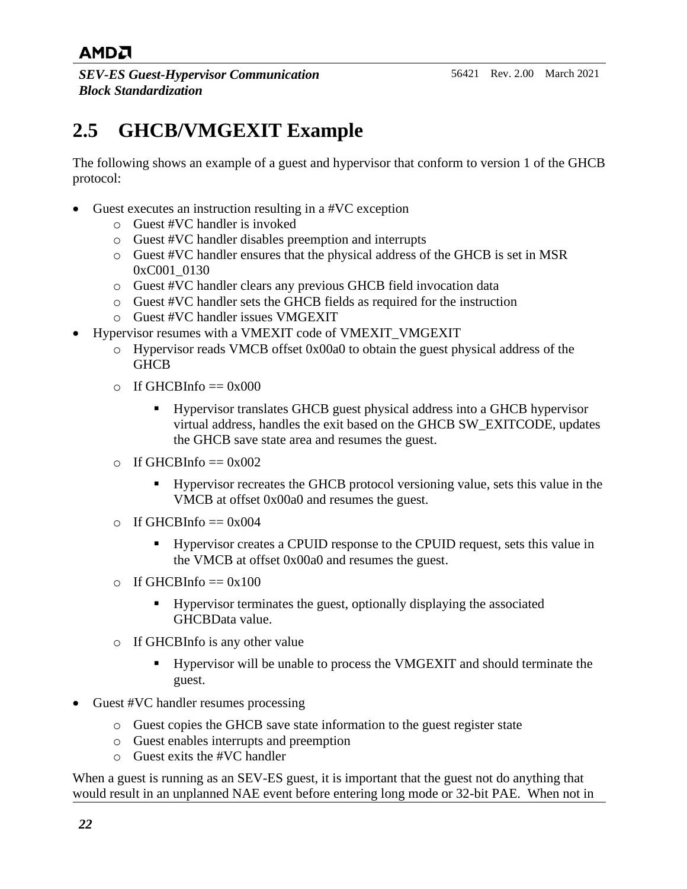*SEV-ES Guest-Hypervisor Communication Block Standardization*

## <span id="page-21-0"></span>**2.5 GHCB/VMGEXIT Example**

The following shows an example of a guest and hypervisor that conform to version 1 of the GHCB protocol:

- Guest executes an instruction resulting in a #VC exception
	- o Guest #VC handler is invoked
	- o Guest #VC handler disables preemption and interrupts
	- o Guest #VC handler ensures that the physical address of the GHCB is set in MSR 0xC001 0130
	- o Guest #VC handler clears any previous GHCB field invocation data
	- o Guest #VC handler sets the GHCB fields as required for the instruction
	- o Guest #VC handler issues VMGEXIT
- Hypervisor resumes with a VMEXIT code of VMEXIT\_VMGEXIT
	- o Hypervisor reads VMCB offset 0x00a0 to obtain the guest physical address of the **GHCB**
	- $\circ$  If GHCBInfo == 0x000
		- Hypervisor translates GHCB guest physical address into a GHCB hypervisor virtual address, handles the exit based on the GHCB SW\_EXITCODE, updates the GHCB save state area and resumes the guest.
	- $\circ$  If GHCBInfo == 0x002
		- Hypervisor recreates the GHCB protocol versioning value, sets this value in the VMCB at offset 0x00a0 and resumes the guest.
	- $\circ$  If GHCBInfo == 0x004
		- Hypervisor creates a CPUID response to the CPUID request, sets this value in the VMCB at offset 0x00a0 and resumes the guest.
	- $\circ$  If GHCBInfo == 0x100
		- Hypervisor terminates the guest, optionally displaying the associated GHCBData value.
	- o If GHCBInfo is any other value
		- Hypervisor will be unable to process the VMGEXIT and should terminate the guest.
- Guest #VC handler resumes processing
	- o Guest copies the GHCB save state information to the guest register state
	- o Guest enables interrupts and preemption
	- $\circ$  Guest exits the #VC handler

When a guest is running as an SEV-ES guest, it is important that the guest not do anything that would result in an unplanned NAE event before entering long mode or 32-bit PAE. When not in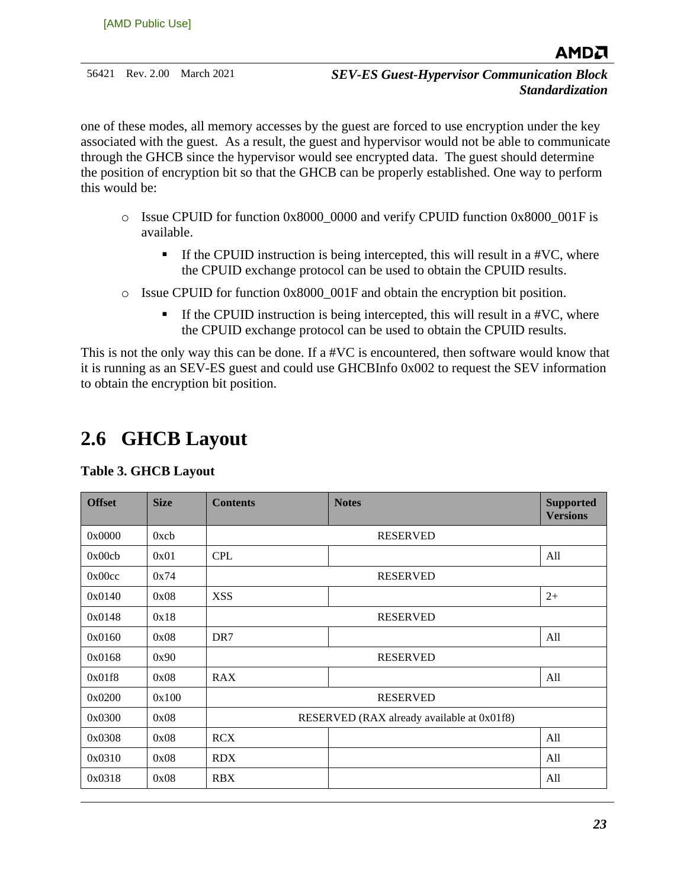one of these modes, all memory accesses by the guest are forced to use encryption under the key associated with the guest. As a result, the guest and hypervisor would not be able to communicate through the GHCB since the hypervisor would see encrypted data. The guest should determine the position of encryption bit so that the GHCB can be properly established. One way to perform this would be:

- $\circ$  Issue CPUID for function 0x8000 0000 and verify CPUID function 0x8000 001F is available.
	- $\blacksquare$  If the CPUID instruction is being intercepted, this will result in a #VC, where the CPUID exchange protocol can be used to obtain the CPUID results.
- o Issue CPUID for function 0x8000\_001F and obtain the encryption bit position.
	- **If the CPUID instruction is being intercepted, this will result in a #VC, where** the CPUID exchange protocol can be used to obtain the CPUID results.

This is not the only way this can be done. If a #VC is encountered, then software would know that it is running as an SEV-ES guest and could use GHCBInfo 0x002 to request the SEV information to obtain the encryption bit position.

## <span id="page-22-0"></span>**2.6 GHCB Layout**

#### <span id="page-22-1"></span>**Table 3. GHCB Layout**

| <b>Offset</b> | <b>Size</b> | <b>Contents</b> | <b>Notes</b>                               | <b>Supported</b><br><b>Versions</b> |
|---------------|-------------|-----------------|--------------------------------------------|-------------------------------------|
| 0x0000        | 0xcb        |                 | <b>RESERVED</b>                            |                                     |
| 0x00cb        | 0x01        | <b>CPL</b>      |                                            | All                                 |
| 0x00cc        | 0x74        |                 | <b>RESERVED</b>                            |                                     |
| 0x0140        | 0x08        | <b>XSS</b>      |                                            | $2+$                                |
| 0x0148        | 0x18        |                 | <b>RESERVED</b>                            |                                     |
| 0x0160        | 0x08        | DR7             |                                            | All                                 |
| 0x0168        | 0x90        |                 | <b>RESERVED</b>                            |                                     |
| 0x01f8        | 0x08        | <b>RAX</b>      |                                            | All                                 |
| 0x0200        | 0x100       |                 | <b>RESERVED</b>                            |                                     |
| 0x0300        | 0x08        |                 | RESERVED (RAX already available at 0x01f8) |                                     |
| 0x0308        | 0x08        | <b>RCX</b>      |                                            | All                                 |
| 0x0310        | 0x08        | <b>RDX</b>      |                                            | All                                 |
| 0x0318        | 0x08        | <b>RBX</b>      |                                            | All                                 |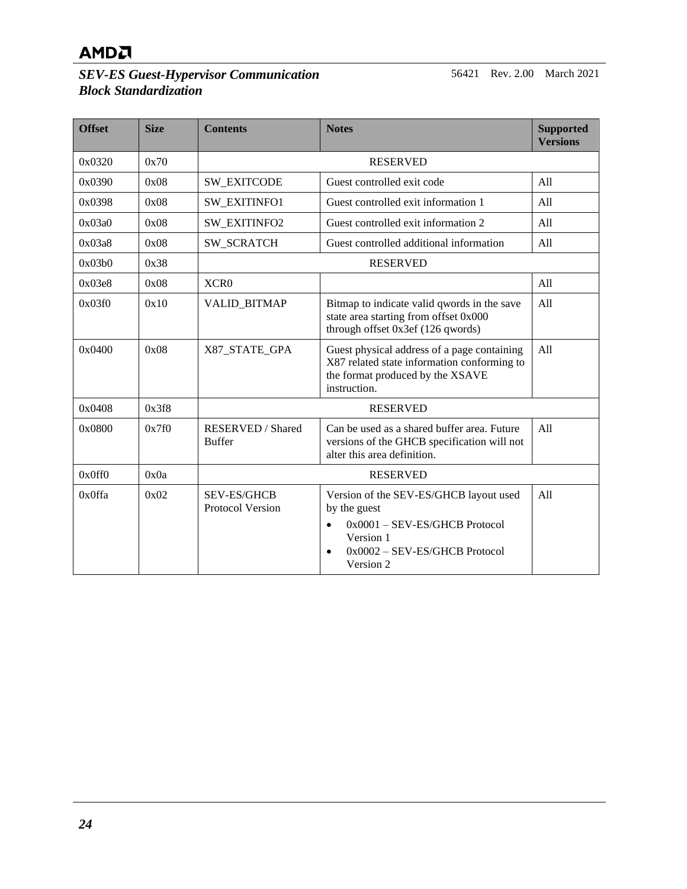#### *SEV-ES Guest-Hypervisor Communication Block Standardization*

56421 Rev. 2.00 March 2021

| <b>Offset</b> | <b>Size</b> | <b>Contents</b>                               | <b>Notes</b>                                                                                                                                                                   | <b>Supported</b><br><b>Versions</b> |
|---------------|-------------|-----------------------------------------------|--------------------------------------------------------------------------------------------------------------------------------------------------------------------------------|-------------------------------------|
| 0x0320        | 0x70        |                                               | <b>RESERVED</b>                                                                                                                                                                |                                     |
| 0x0390        | 0x08        | <b>SW_EXITCODE</b>                            | Guest controlled exit code<br>All                                                                                                                                              |                                     |
| 0x0398        | 0x08        | <b>SW EXITINFO1</b>                           | Guest controlled exit information 1                                                                                                                                            | A11                                 |
| 0x03a0        | 0x08        | SW_EXITINFO2                                  | Guest controlled exit information 2                                                                                                                                            | All                                 |
| 0x03a8        | 0x08        | <b>SW_SCRATCH</b>                             | Guest controlled additional information                                                                                                                                        | All                                 |
| 0x03b0        | 0x38        |                                               | <b>RESERVED</b>                                                                                                                                                                |                                     |
| 0x03e8        | 0x08        | XCR <sub>0</sub>                              |                                                                                                                                                                                | All                                 |
| 0x03f0        | 0x10        | <b>VALID_BITMAP</b>                           | Bitmap to indicate valid qwords in the save<br>state area starting from offset 0x000<br>through offset 0x3ef (126 qwords)                                                      | All                                 |
| 0x0400        | 0x08        | X87_STATE_GPA                                 | Guest physical address of a page containing<br>X87 related state information conforming to<br>the format produced by the XSAVE<br>instruction.                                 | All                                 |
| 0x0408        | 0x3f8       |                                               | <b>RESERVED</b>                                                                                                                                                                |                                     |
| 0x0800        | 0x7f0       | <b>RESERVED</b> / Shared<br><b>Buffer</b>     | Can be used as a shared buffer area. Future<br>versions of the GHCB specification will not<br>alter this area definition.                                                      | A11                                 |
| 0x0ff0        | 0x0a        |                                               | <b>RESERVED</b>                                                                                                                                                                |                                     |
| 0x0ffa        | 0x02        | <b>SEV-ES/GHCB</b><br><b>Protocol Version</b> | Version of the SEV-ES/GHCB layout used<br>by the guest<br>$0x0001 - SEV-ES/GHCB$ Protocol<br>$\bullet$<br>Version 1<br>0x0002 - SEV-ES/GHCB Protocol<br>$\bullet$<br>Version 2 | A11                                 |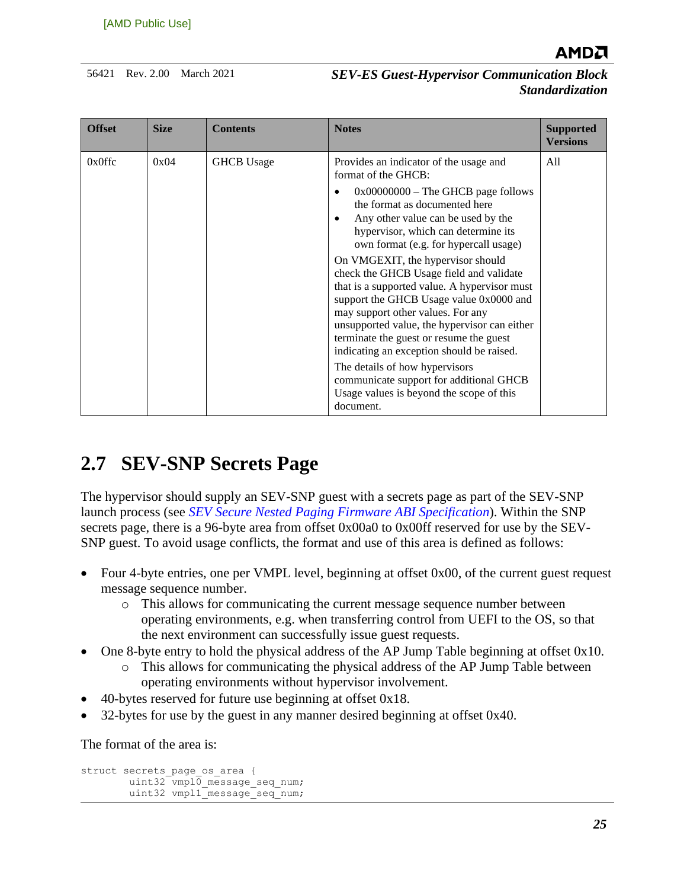

| <b>Offset</b> | <b>Size</b> | <b>Contents</b>   | <b>Notes</b>                                                                                                                                                                                                                                                                                                                                                                                                                                                                                                                                                                                                                                                                                                                                                            | <b>Supported</b><br><b>Versions</b> |
|---------------|-------------|-------------------|-------------------------------------------------------------------------------------------------------------------------------------------------------------------------------------------------------------------------------------------------------------------------------------------------------------------------------------------------------------------------------------------------------------------------------------------------------------------------------------------------------------------------------------------------------------------------------------------------------------------------------------------------------------------------------------------------------------------------------------------------------------------------|-------------------------------------|
| $0x0$ ffc     | 0x04        | <b>GHCB</b> Usage | Provides an indicator of the usage and<br>format of the GHCB:<br>$0x00000000$ – The GHCB page follows<br>the format as documented here<br>Any other value can be used by the<br>$\bullet$<br>hypervisor, which can determine its<br>own format (e.g. for hypercall usage)<br>On VMGEXIT, the hypervisor should<br>check the GHCB Usage field and validate<br>that is a supported value. A hypervisor must<br>support the GHCB Usage value 0x0000 and<br>may support other values. For any<br>unsupported value, the hypervisor can either<br>terminate the guest or resume the guest<br>indicating an exception should be raised.<br>The details of how hypervisors<br>communicate support for additional GHCB<br>Usage values is beyond the scope of this<br>document. | All                                 |

## <span id="page-24-0"></span>**2.7 SEV-SNP Secrets Page**

The hypervisor should supply an SEV-SNP guest with a secrets page as part of the SEV-SNP launch process (see *[SEV Secure Nested Paging Firmware ABI Specification](https://www.amd.com/system/files/TechDocs/56860.pdf)*). Within the SNP secrets page, there is a 96-byte area from offset 0x00a0 to 0x00ff reserved for use by the SEV-SNP guest. To avoid usage conflicts, the format and use of this area is defined as follows:

- Four 4-byte entries, one per VMPL level, beginning at offset 0x00, of the current guest request message sequence number.
	- o This allows for communicating the current message sequence number between operating environments, e.g. when transferring control from UEFI to the OS, so that the next environment can successfully issue guest requests.
- One 8-byte entry to hold the physical address of the AP Jump Table beginning at offset 0x10.
	- o This allows for communicating the physical address of the AP Jump Table between operating environments without hypervisor involvement.
- 40-bytes reserved for future use beginning at offset 0x18.
- 32-bytes for use by the guest in any manner desired beginning at offset 0x40.

The format of the area is:

```
struct secrets_page_os_area {
        uint32 vmpl0 message seq num;
        uint32 vmpl1_message_seq_num;
```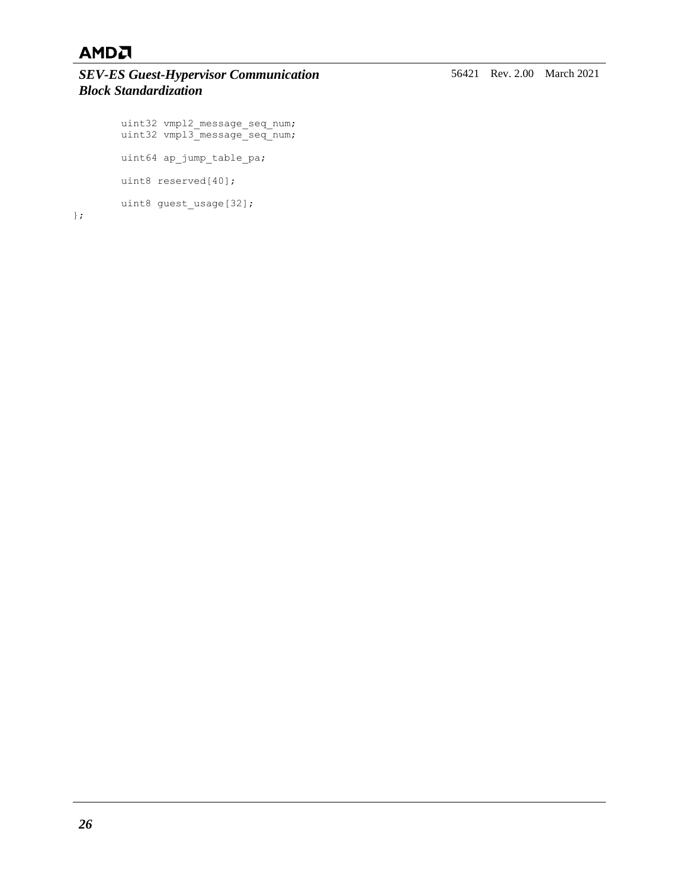#### *SEV-ES Guest-Hypervisor Communication Block Standardization*

```
uint32 vmpl2 message seq num;
uint32 vmpl3 message seq num;
       uint64 ap_jump_table_pa;
       uint8 reserved[40];
       uint8 guest_usage[32];
```
};

56421 Rev. 2.00 March 2021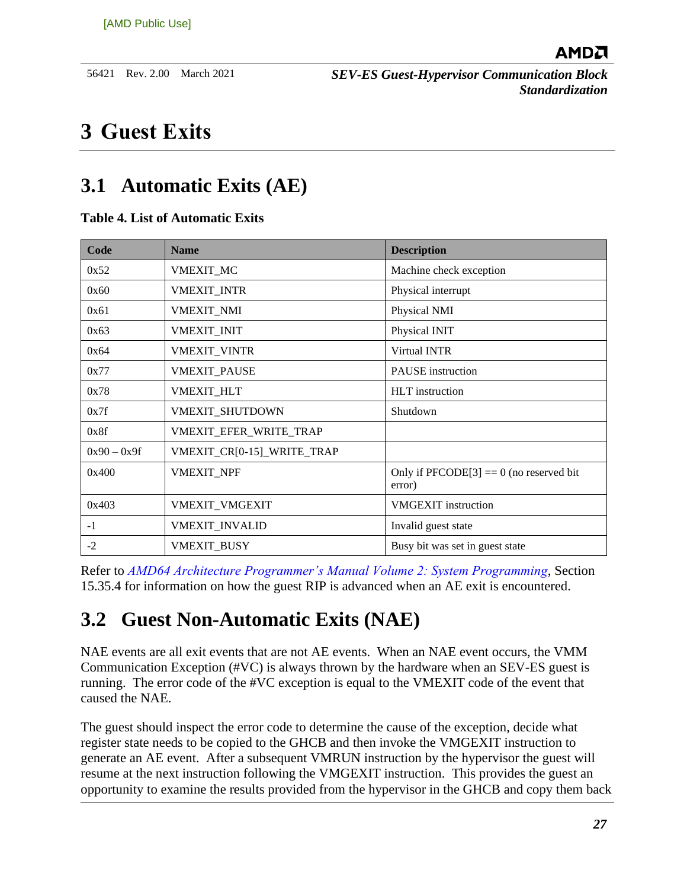## <span id="page-26-0"></span>**3 Guest Exits**

## <span id="page-26-1"></span>**3.1 Automatic Exits (AE)**

#### <span id="page-26-3"></span>**Table 4. List of Automatic Exits**

| Code          | <b>Name</b>                | <b>Description</b>                                  |
|---------------|----------------------------|-----------------------------------------------------|
| 0x52          | <b>VMEXIT MC</b>           | Machine check exception                             |
| 0x60          | <b>VMEXIT_INTR</b>         | Physical interrupt                                  |
| 0x61          | <b>VMEXIT_NMI</b>          | Physical NMI                                        |
| 0x63          | <b>VMEXIT_INIT</b>         | Physical INIT                                       |
| 0x64          | <b>VMEXIT VINTR</b>        | Virtual INTR                                        |
| 0x77          | <b>VMEXIT PAUSE</b>        | <b>PAUSE</b> instruction                            |
| 0x78          | <b>VMEXIT_HLT</b>          | <b>HLT</b> instruction                              |
| 0x7f          | VMEXIT_SHUTDOWN            | Shutdown                                            |
| 0x8f          | VMEXIT_EFER_WRITE_TRAP     |                                                     |
| $0x90 - 0x9f$ | VMEXIT_CR[0-15]_WRITE_TRAP |                                                     |
| 0x400         | <b>VMEXIT NPF</b>          | Only if $PFCODE[3] == 0$ (no reserved bit<br>error) |
| 0x403         | VMEXIT_VMGEXIT             | <b>VMGEXIT</b> instruction                          |
| $-1$          | <b>VMEXIT_INVALID</b>      | Invalid guest state                                 |
| $-2$          | <b>VMEXIT BUSY</b>         | Busy bit was set in guest state                     |

Refer to *[AMD64 Architecture Programmer's Manual Volume 2: System Programming](http://support.amd.com/TechDocs/24593.pdf)*, Section 15.35.4 for information on how the guest RIP is advanced when an AE exit is encountered.

## <span id="page-26-2"></span>**3.2 Guest Non-Automatic Exits (NAE)**

NAE events are all exit events that are not AE events. When an NAE event occurs, the VMM Communication Exception (#VC) is always thrown by the hardware when an SEV-ES guest is running. The error code of the #VC exception is equal to the VMEXIT code of the event that caused the NAE.

The guest should inspect the error code to determine the cause of the exception, decide what register state needs to be copied to the GHCB and then invoke the VMGEXIT instruction to generate an AE event. After a subsequent VMRUN instruction by the hypervisor the guest will resume at the next instruction following the VMGEXIT instruction. This provides the guest an opportunity to examine the results provided from the hypervisor in the GHCB and copy them back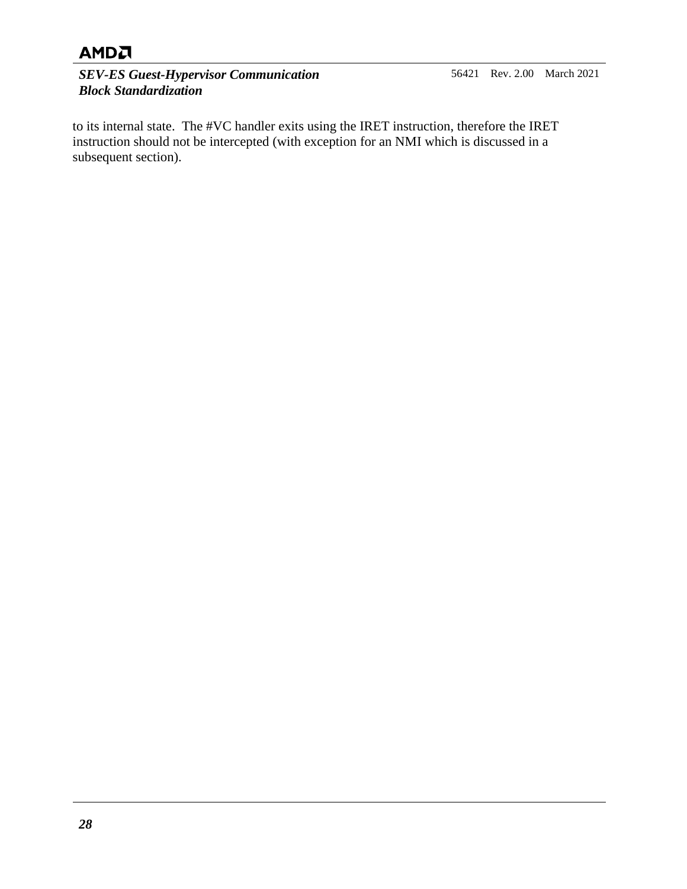*SEV-ES Guest-Hypervisor Communication Block Standardization*

to its internal state. The #VC handler exits using the IRET instruction, therefore the IRET instruction should not be intercepted (with exception for an NMI which is discussed in a subsequent section).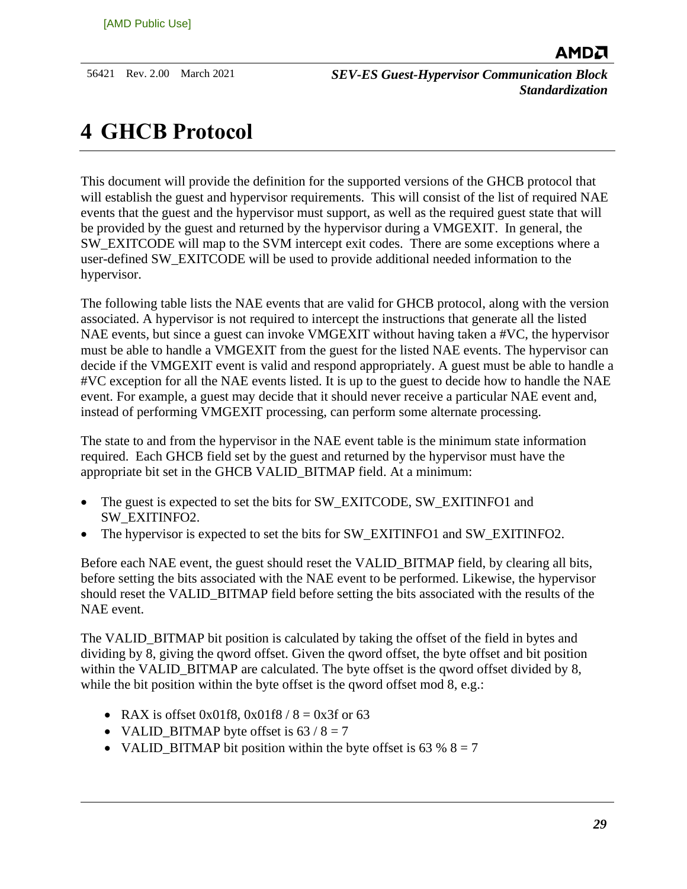## <span id="page-28-0"></span>**4 GHCB Protocol**

This document will provide the definition for the supported versions of the GHCB protocol that will establish the guest and hypervisor requirements. This will consist of the list of required NAE events that the guest and the hypervisor must support, as well as the required guest state that will be provided by the guest and returned by the hypervisor during a VMGEXIT. In general, the SW\_EXITCODE will map to the SVM intercept exit codes. There are some exceptions where a user-defined SW\_EXITCODE will be used to provide additional needed information to the hypervisor.

The following table lists the NAE events that are valid for GHCB protocol, along with the version associated. A hypervisor is not required to intercept the instructions that generate all the listed NAE events, but since a guest can invoke VMGEXIT without having taken a #VC, the hypervisor must be able to handle a VMGEXIT from the guest for the listed NAE events. The hypervisor can decide if the VMGEXIT event is valid and respond appropriately. A guest must be able to handle a #VC exception for all the NAE events listed. It is up to the guest to decide how to handle the NAE event. For example, a guest may decide that it should never receive a particular NAE event and, instead of performing VMGEXIT processing, can perform some alternate processing.

The state to and from the hypervisor in the NAE event table is the minimum state information required. Each GHCB field set by the guest and returned by the hypervisor must have the appropriate bit set in the GHCB VALID\_BITMAP field. At a minimum:

- The guest is expected to set the bits for SW\_EXITCODE, SW\_EXITINFO1 and SW\_EXITINFO2.
- The hypervisor is expected to set the bits for SW\_EXITINFO1 and SW\_EXITINFO2.

Before each NAE event, the guest should reset the VALID\_BITMAP field, by clearing all bits, before setting the bits associated with the NAE event to be performed. Likewise, the hypervisor should reset the VALID\_BITMAP field before setting the bits associated with the results of the NAE event.

The VALID\_BITMAP bit position is calculated by taking the offset of the field in bytes and dividing by 8, giving the qword offset. Given the qword offset, the byte offset and bit position within the VALID\_BITMAP are calculated. The byte offset is the qword offset divided by 8, while the bit position within the byte offset is the qword offset mod 8, e.g.:

- RAX is offset 0x01f8, 0x01f8 /  $8 = 0x3$  f or 63
- VALID\_BITMAP byte offset is  $63 / 8 = 7$
- VALID BITMAP bit position within the byte offset is 63 %  $8 = 7$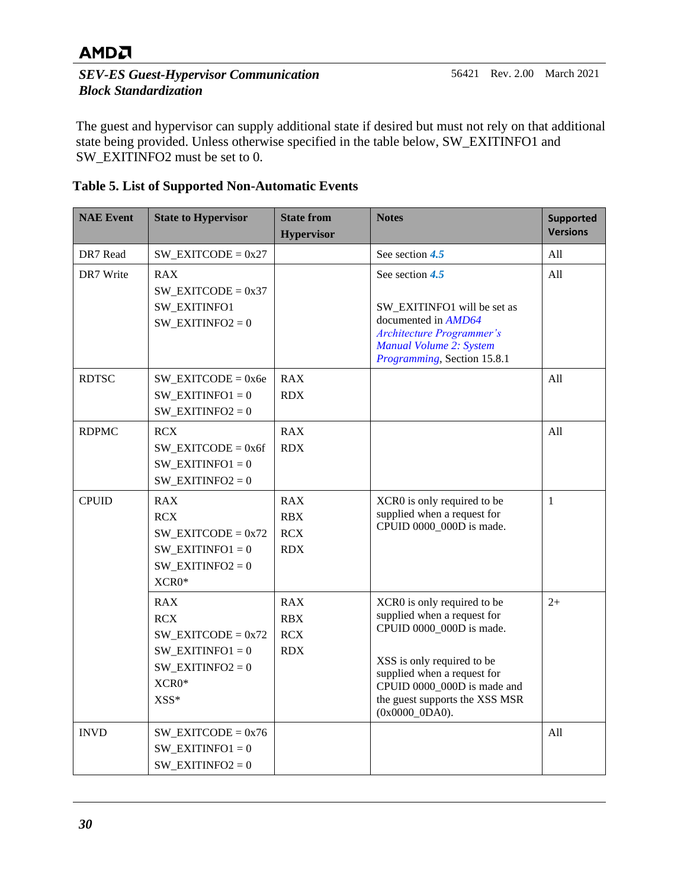#### *SEV-ES Guest-Hypervisor Communication Block Standardization*

The guest and hypervisor can supply additional state if desired but must not rely on that additional state being provided. Unless otherwise specified in the table below, SW\_EXITINFO1 and SW\_EXITINFO2 must be set to 0.

<span id="page-29-0"></span>

|  |  | <b>Table 5. List of Supported Non-Automatic Events</b> |  |
|--|--|--------------------------------------------------------|--|
|  |  |                                                        |  |

| <b>NAE Event</b> | <b>State to Hypervisor</b>                                                                                       | <b>State from</b><br><b>Hypervisor</b>        | <b>Notes</b>                                                                                                                                                                                                                              | <b>Supported</b><br><b>Versions</b> |
|------------------|------------------------------------------------------------------------------------------------------------------|-----------------------------------------------|-------------------------------------------------------------------------------------------------------------------------------------------------------------------------------------------------------------------------------------------|-------------------------------------|
| DR7 Read         | $SW$ _EXITCODE = 0x27                                                                                            |                                               | See section $4.5$                                                                                                                                                                                                                         | All                                 |
| DR7 Write        | <b>RAX</b><br>$SW$ _EXITCODE = 0x37<br>SW_EXITINFO1<br>$SW$ _EXITINFO2 = 0                                       |                                               | See section 4.5<br>SW_EXITINFO1 will be set as<br>documented in AMD64<br><b>Architecture Programmer's</b><br>Manual Volume 2: System<br>Programming, Section 15.8.1                                                                       | All                                 |
| <b>RDTSC</b>     | $SW$ _EXITCODE = 0x6e<br>$SW$ _EXITINFO1 = 0<br>$SW$ _EXITINFO2 = 0                                              | <b>RAX</b><br><b>RDX</b>                      |                                                                                                                                                                                                                                           | All                                 |
| <b>RDPMC</b>     | <b>RCX</b><br>$SW$ _EXITCODE = 0x6f<br>$SW$ _EXITINFO1 = 0<br>$SW$ _EXITINFO2 = 0                                | <b>RAX</b><br><b>RDX</b>                      |                                                                                                                                                                                                                                           | All                                 |
| <b>CPUID</b>     | <b>RAX</b><br><b>RCX</b><br>$SW$ _EXITCODE = $0x72$<br>$SW$ _EXITINFO1 = 0<br>$SW$ _EXITINFO2 = 0<br>XCR0*       | <b>RAX</b><br><b>RBX</b><br>RCX<br><b>RDX</b> | XCR0 is only required to be<br>supplied when a request for<br>CPUID 0000_000D is made.                                                                                                                                                    | $\mathbf{1}$                        |
|                  | <b>RAX</b><br><b>RCX</b><br>$SW$ _EXITCODE = 0x72<br>$SW$ _EXITINFO1 = 0<br>$SW$ _EXITINFO2 = 0<br>XCR0*<br>XSS* | <b>RAX</b><br>RBX<br>RCX<br><b>RDX</b>        | XCR0 is only required to be<br>supplied when a request for<br>CPUID 0000 000D is made.<br>XSS is only required to be<br>supplied when a request for<br>CPUID 0000_000D is made and<br>the guest supports the XSS MSR<br>$(0x0000_0DAA)$ . | $2+$                                |
| <b>INVD</b>      | $SW$ _EXITCODE = 0x76<br>$SW$ _EXITINFO1 = 0<br>$SW$ _EXITINFO2 = 0                                              |                                               |                                                                                                                                                                                                                                           | All                                 |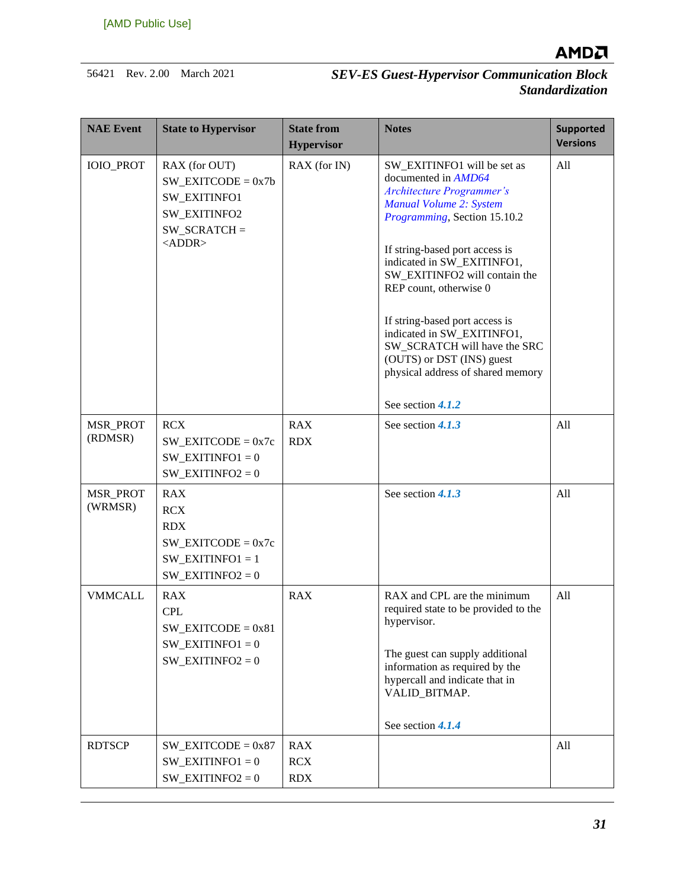

| <b>NAE Event</b>    | <b>State to Hypervisor</b>                                                                                      | <b>State from</b><br><b>Hypervisor</b> | <b>Notes</b>                                                                                                                                                                                                                                                                                                                                                                                                                                                        | <b>Supported</b><br><b>Versions</b> |
|---------------------|-----------------------------------------------------------------------------------------------------------------|----------------------------------------|---------------------------------------------------------------------------------------------------------------------------------------------------------------------------------------------------------------------------------------------------------------------------------------------------------------------------------------------------------------------------------------------------------------------------------------------------------------------|-------------------------------------|
| <b>IOIO_PROT</b>    | RAX (for OUT)<br>$SW$ _EXITCODE = 0x7b<br><b>SW EXITINFO1</b><br>SW_EXITINFO2<br>$SW_SCRATCH =$<br>$<$ ADDR $>$ | RAX (for IN)                           | SW_EXITINFO1 will be set as<br>documented in AMD64<br><b>Architecture Programmer's</b><br>Manual Volume 2: System<br>Programming, Section 15.10.2<br>If string-based port access is<br>indicated in SW EXITINFO1,<br>SW EXITINFO2 will contain the<br>REP count, otherwise 0<br>If string-based port access is<br>indicated in SW_EXITINFO1,<br>SW_SCRATCH will have the SRC<br>(OUTS) or DST (INS) guest<br>physical address of shared memory<br>See section 4.1.2 | All                                 |
| MSR_PROT<br>(RDMSR) | <b>RCX</b><br>$SW$ _EXITCODE = 0x7c<br>$SW$ _EXITINFO1 = 0<br>$SW$ _EXITINFO2 = 0                               | RAX<br><b>RDX</b>                      | See section 4.1.3                                                                                                                                                                                                                                                                                                                                                                                                                                                   | All                                 |
| MSR_PROT<br>(WRMSR) | <b>RAX</b><br><b>RCX</b><br><b>RDX</b><br>$SW$ _EXITCODE = 0x7c<br>$SW$ _EXITINFO1 = 1<br>SW EXITINFO2 = $0$    |                                        | See section 4.1.3                                                                                                                                                                                                                                                                                                                                                                                                                                                   | All                                 |
| <b>VMMCALL</b>      | <b>RAX</b><br><b>CPL</b><br>$SW$ _EXITCODE = 0x81<br>$SW$ _EXITINFO1 = 0<br>$SW$ _EXITINFO2 = 0                 | <b>RAX</b>                             | RAX and CPL are the minimum<br>required state to be provided to the<br>hypervisor.<br>The guest can supply additional<br>information as required by the<br>hypercall and indicate that in<br>VALID_BITMAP.<br>See section 4.1.4                                                                                                                                                                                                                                     | All                                 |
| <b>RDTSCP</b>       | $SW$ _EXITCODE = 0x87<br>$SW$ _EXITINFO1 = 0<br>$SW$ _EXITINFO2 = 0                                             | <b>RAX</b><br><b>RCX</b><br><b>RDX</b> |                                                                                                                                                                                                                                                                                                                                                                                                                                                                     | All                                 |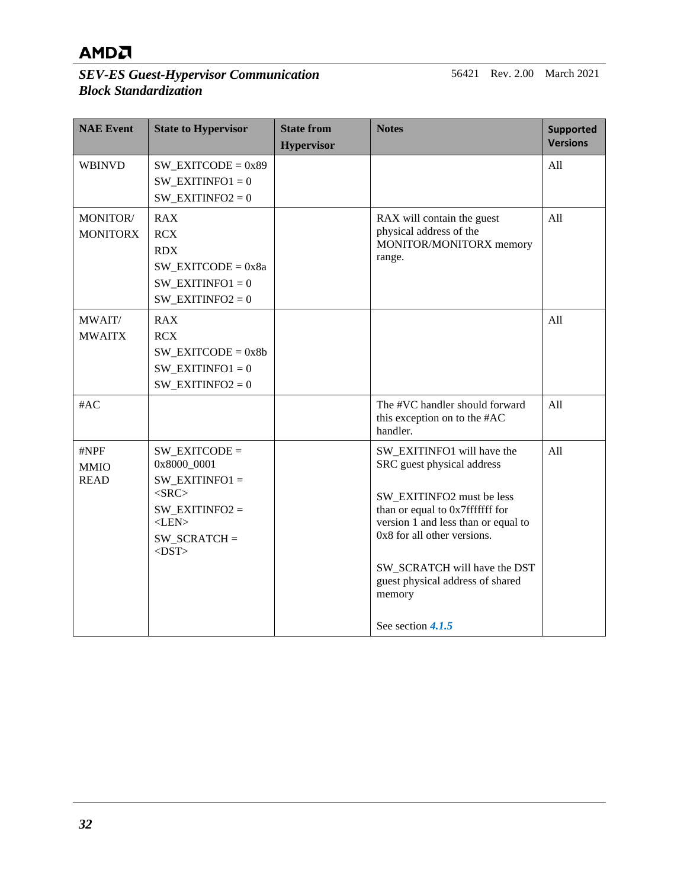#### *SEV-ES Guest-Hypervisor Communication Block Standardization*

56421 Rev. 2.00 March 2021

| <b>NAE Event</b>                   | <b>State to Hypervisor</b>                                                                                                              | <b>State from</b><br><b>Hypervisor</b> | <b>Notes</b>                                                                                                                                                                                                                                                                                      | <b>Supported</b><br><b>Versions</b> |
|------------------------------------|-----------------------------------------------------------------------------------------------------------------------------------------|----------------------------------------|---------------------------------------------------------------------------------------------------------------------------------------------------------------------------------------------------------------------------------------------------------------------------------------------------|-------------------------------------|
| <b>WBINVD</b>                      | $SW$ _EXITCODE = $0x89$<br>SW EXITINFO1 = $0$<br>$SW$ _EXITINFO2 = 0                                                                    |                                        |                                                                                                                                                                                                                                                                                                   | All                                 |
| MONITOR/<br><b>MONITORX</b>        | <b>RAX</b><br><b>RCX</b><br><b>RDX</b><br>$SW$ _EXITCODE = 0x8a<br>$SW$ _EXITINFO1 = 0<br>$SW$ _EXITINFO2 = 0                           |                                        | RAX will contain the guest<br>physical address of the<br>MONITOR/MONITORX memory<br>range.                                                                                                                                                                                                        | All                                 |
| MWAIT/<br><b>MWAITX</b>            | <b>RAX</b><br><b>RCX</b><br>$SW$ _EXITCODE = 0x8b<br>SW EXITINFO1 = $0$<br>$SW$ _EXITINFO2 = 0                                          |                                        |                                                                                                                                                                                                                                                                                                   | All                                 |
| #AC                                |                                                                                                                                         |                                        | The #VC handler should forward<br>this exception on to the #AC<br>handler.                                                                                                                                                                                                                        | All                                 |
| #NPF<br><b>MMIO</b><br><b>READ</b> | $SW$ _EXITCODE =<br>0x8000_0001<br>$SW$ _EXITINFO1 =<br>$<$ SRC $>$<br>$SW$ _EXITINFO2 =<br>$<$ LEN> $\,$<br>$SW_SCRATCH =$<br>$<$ DST> |                                        | SW_EXITINFO1 will have the<br>SRC guest physical address<br>SW EXITINFO2 must be less<br>than or equal to 0x7fffffff for<br>version 1 and less than or equal to<br>0x8 for all other versions.<br>SW_SCRATCH will have the DST<br>guest physical address of shared<br>memory<br>See section 4.1.5 | All                                 |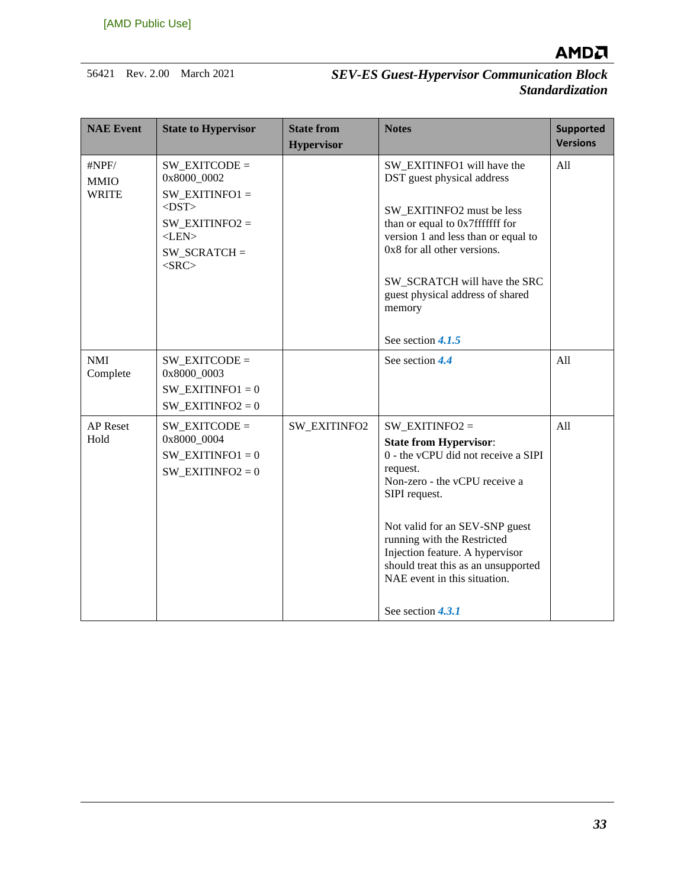

| <b>NAE Event</b>                     | <b>State to Hypervisor</b>                                                                                                             | <b>State from</b><br><b>Hypervisor</b> | <b>Notes</b>                                                                                                                                                                                                                                                                                                                                            | <b>Supported</b><br><b>Versions</b> |
|--------------------------------------|----------------------------------------------------------------------------------------------------------------------------------------|----------------------------------------|---------------------------------------------------------------------------------------------------------------------------------------------------------------------------------------------------------------------------------------------------------------------------------------------------------------------------------------------------------|-------------------------------------|
| #NPF/<br><b>MMIO</b><br><b>WRITE</b> | $SW$ EXITCODE =<br>0x8000_0002<br>$SW EXITINFO1 =$<br>$<$ DST $>$<br>$SW$ _EXITINFO2 =<br>$<$ LEN $>$<br>$SW_SCRATCH =$<br>$<$ SRC $>$ |                                        | SW EXITINFO1 will have the<br>DST guest physical address<br>SW_EXITINFO2 must be less<br>than or equal to 0x7fffffff for<br>version 1 and less than or equal to<br>0x8 for all other versions.<br>SW_SCRATCH will have the SRC<br>guest physical address of shared<br>memory<br>See section 4.1.5                                                       | All                                 |
| <b>NMI</b><br>Complete               | $SW$ EXITCODE =<br>0x8000 0003<br>$SW$ _EXITINFO1 = 0<br>SW EXITINFO2 = $0$                                                            |                                        | See section 4.4                                                                                                                                                                                                                                                                                                                                         | All                                 |
| <b>AP</b> Reset<br>Hold              | $SW EXITCODE =$<br>0x8000_0004<br>$SW$ _EXITINFO1 = 0<br>$SW$ _EXITINFO2 = 0                                                           | <b>SW EXITINFO2</b>                    | $SW$ _EXITINFO2 =<br><b>State from Hypervisor:</b><br>0 - the vCPU did not receive a SIPI<br>request.<br>Non-zero - the vCPU receive a<br>SIPI request.<br>Not valid for an SEV-SNP guest<br>running with the Restricted<br>Injection feature. A hypervisor<br>should treat this as an unsupported<br>NAE event in this situation.<br>See section 4.3.1 | All                                 |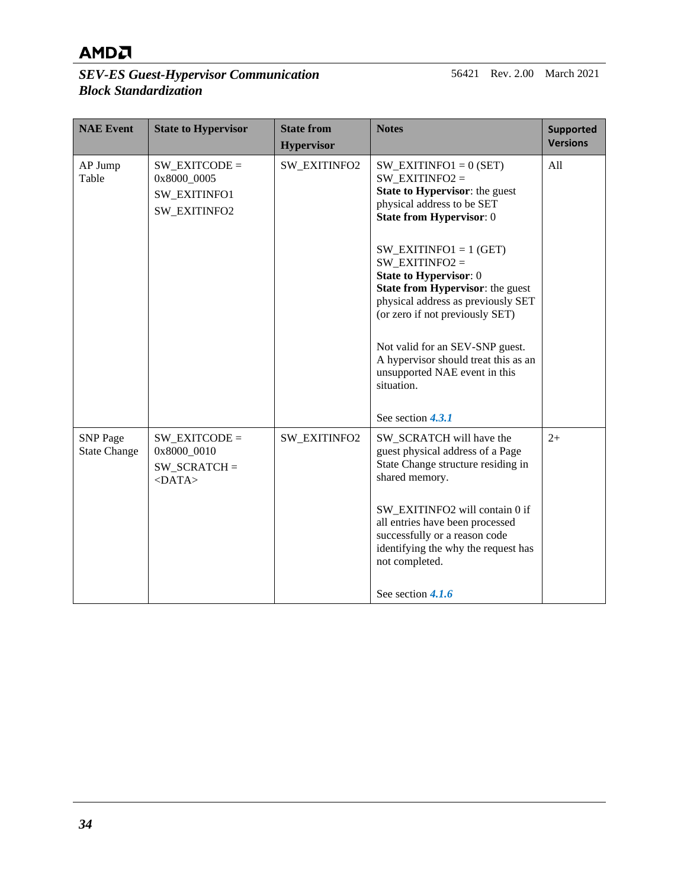#### *SEV-ES Guest-Hypervisor Communication Block Standardization*

56421 Rev. 2.00 March 2021

| <b>NAE Event</b>                       | <b>State to Hypervisor</b>                                            | <b>State from</b><br><b>Hypervisor</b> | <b>Notes</b>                                                                                                                                                                                                                                                                                                                                                                                                                                                                                                | <b>Supported</b><br><b>Versions</b> |
|----------------------------------------|-----------------------------------------------------------------------|----------------------------------------|-------------------------------------------------------------------------------------------------------------------------------------------------------------------------------------------------------------------------------------------------------------------------------------------------------------------------------------------------------------------------------------------------------------------------------------------------------------------------------------------------------------|-------------------------------------|
| AP Jump<br>Table                       | $SW$ EXITCODE =<br>0x8000 0005<br><b>SW EXITINFO1</b><br>SW_EXITINFO2 | SW_EXITINFO2                           | $SW$ _EXITINFO1 = 0 (SET)<br>SW EXITINFO2 $=$<br><b>State to Hypervisor:</b> the guest<br>physical address to be SET<br><b>State from Hypervisor: 0</b><br>SW EXITINFO1 = $1$ (GET)<br>SW EXITINFO2 $=$<br><b>State to Hypervisor: 0</b><br><b>State from Hypervisor:</b> the guest<br>physical address as previously SET<br>(or zero if not previously SET)<br>Not valid for an SEV-SNP guest.<br>A hypervisor should treat this as an<br>unsupported NAE event in this<br>situation.<br>See section 4.3.1 | All                                 |
| <b>SNP</b> Page<br><b>State Change</b> | $SW$ EXITCODE =<br>0x8000 0010<br>$SW_SCRATCH =$<br>$<$ DATA>         | <b>SW_EXITINFO2</b>                    | SW_SCRATCH will have the<br>guest physical address of a Page<br>State Change structure residing in<br>shared memory.<br>SW EXITINFO2 will contain 0 if<br>all entries have been processed<br>successfully or a reason code<br>identifying the why the request has<br>not completed.<br>See section $4.1.6$                                                                                                                                                                                                  | $2+$                                |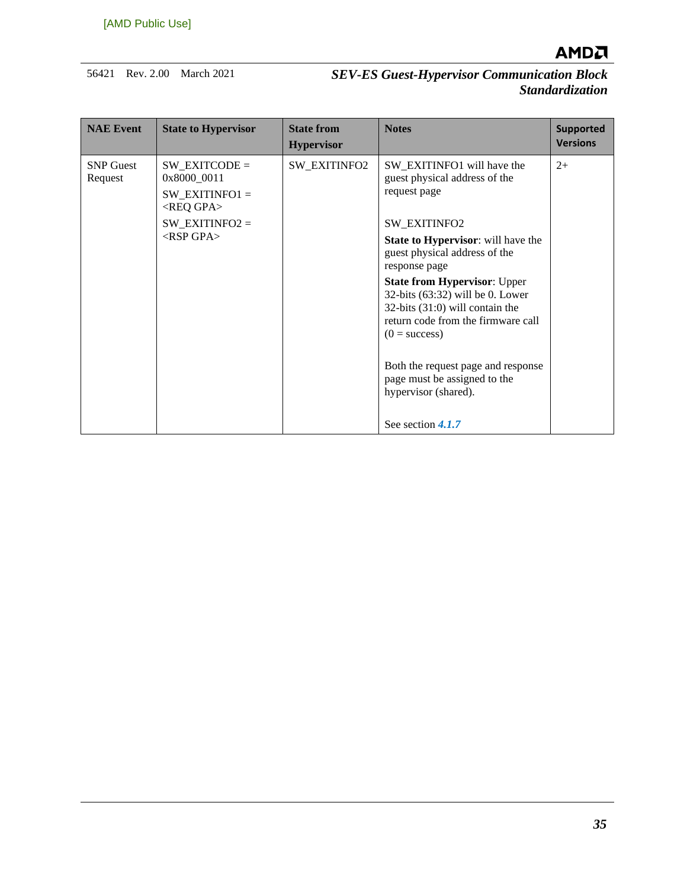

| <b>NAE Event</b>            | <b>State to Hypervisor</b>                                               | <b>State from</b><br><b>Hypervisor</b> | <b>Notes</b>                                                                                                                                                          | <b>Supported</b><br><b>Versions</b> |
|-----------------------------|--------------------------------------------------------------------------|----------------------------------------|-----------------------------------------------------------------------------------------------------------------------------------------------------------------------|-------------------------------------|
| <b>SNP</b> Guest<br>Request | $SW EXITCODE =$<br>0x8000 0011<br>$SW EXITINFO1 =$<br><req gpa=""></req> | <b>SW EXITINFO2</b>                    | SW_EXITINFO1 will have the<br>guest physical address of the<br>request page                                                                                           | $2+$                                |
|                             | $SW$ _EXITINFO2 =                                                        |                                        | SW_EXITINFO2                                                                                                                                                          |                                     |
|                             | $<$ RSP GPA $>$                                                          |                                        | <b>State to Hypervisor:</b> will have the<br>guest physical address of the<br>response page                                                                           |                                     |
|                             |                                                                          |                                        | <b>State from Hypervisor: Upper</b><br>32-bits $(63:32)$ will be 0. Lower<br>32-bits (31:0) will contain the<br>return code from the firmware call<br>$(0 = success)$ |                                     |
|                             |                                                                          |                                        | Both the request page and response<br>page must be assigned to the<br>hypervisor (shared).                                                                            |                                     |
|                             |                                                                          |                                        | See section 4.1.7                                                                                                                                                     |                                     |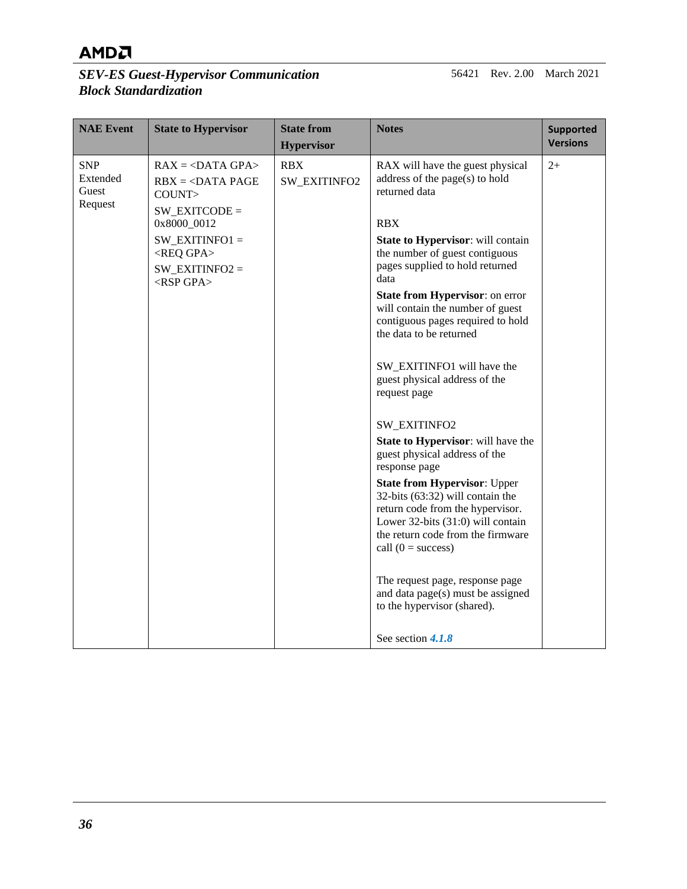#### *SEV-ES Guest-Hypervisor Communication Block Standardization*

56421 Rev. 2.00 March 2021

| <b>NAE Event</b>                           | <b>State to Hypervisor</b>                                                                                                                                                                                  | <b>State from</b><br><b>Hypervisor</b> | <b>Notes</b>                                                                                                                                                                                                                                                                                                                                                                                                                                                                                                                                                    | <b>Supported</b><br><b>Versions</b> |
|--------------------------------------------|-------------------------------------------------------------------------------------------------------------------------------------------------------------------------------------------------------------|----------------------------------------|-----------------------------------------------------------------------------------------------------------------------------------------------------------------------------------------------------------------------------------------------------------------------------------------------------------------------------------------------------------------------------------------------------------------------------------------------------------------------------------------------------------------------------------------------------------------|-------------------------------------|
| <b>SNP</b><br>Extended<br>Guest<br>Request | $RAX = DATA GPA$<br>$RBX = DATA PAGE$<br>COUNT><br>$SW$ _EXITCODE =<br>0x8000_0012<br>$SW$ _EXITINFO1 =<br><req gpa=""><br/>SW EXITINFO2 <math>=</math><br/><math>&lt;</math>RSP GPA<math>&gt;</math></req> | <b>RBX</b><br>SW_EXITINFO2             | RAX will have the guest physical<br>address of the page(s) to hold<br>returned data<br><b>RBX</b><br><b>State to Hypervisor:</b> will contain<br>the number of guest contiguous<br>pages supplied to hold returned<br>data<br><b>State from Hypervisor: on error</b><br>will contain the number of guest<br>contiguous pages required to hold<br>the data to be returned<br>SW_EXITINFO1 will have the<br>guest physical address of the<br>request page<br>SW_EXITINFO2<br>State to Hypervisor: will have the<br>guest physical address of the<br>response page | $2+$                                |
|                                            |                                                                                                                                                                                                             |                                        | <b>State from Hypervisor: Upper</b><br>32-bits (63:32) will contain the<br>return code from the hypervisor.<br>Lower 32-bits (31:0) will contain<br>the return code from the firmware<br>call $(0 = success)$                                                                                                                                                                                                                                                                                                                                                   |                                     |
|                                            |                                                                                                                                                                                                             |                                        | The request page, response page<br>and data page(s) must be assigned<br>to the hypervisor (shared).<br>See section 4.1.8                                                                                                                                                                                                                                                                                                                                                                                                                                        |                                     |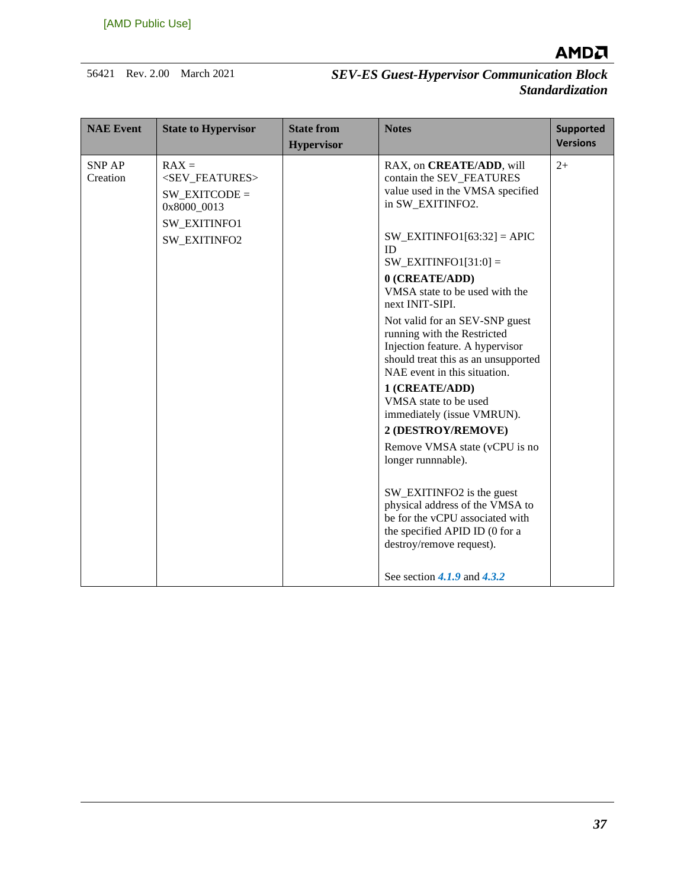

| <b>NAE Event</b>          | <b>State to Hypervisor</b>                                                              | <b>State from</b><br><b>Hypervisor</b> | <b>Notes</b>                                                                                                                                                            | <b>Supported</b><br><b>Versions</b> |
|---------------------------|-----------------------------------------------------------------------------------------|----------------------------------------|-------------------------------------------------------------------------------------------------------------------------------------------------------------------------|-------------------------------------|
| <b>SNP AP</b><br>Creation | $RAX =$<br><sev_features><br/><math>SW</math> EXITCODE =<br/>0x8000 0013</sev_features> |                                        | RAX, on CREATE/ADD, will<br>contain the SEV_FEATURES<br>value used in the VMSA specified<br>in SW_EXITINFO2.                                                            | $2+$                                |
|                           | SW_EXITINFO1<br>SW_EXITINFO2                                                            |                                        | $SW$ _EXITINFO1[63:32] = APIC<br>ID<br>$SW$ _EXITINFO1[31:0] =                                                                                                          |                                     |
|                           |                                                                                         |                                        | 0 (CREATE/ADD)<br>VMSA state to be used with the<br>next INIT-SIPI.                                                                                                     |                                     |
|                           |                                                                                         |                                        | Not valid for an SEV-SNP guest<br>running with the Restricted<br>Injection feature. A hypervisor<br>should treat this as an unsupported<br>NAE event in this situation. |                                     |
|                           |                                                                                         |                                        | 1 (CREATE/ADD)<br>VMSA state to be used<br>immediately (issue VMRUN).                                                                                                   |                                     |
|                           |                                                                                         |                                        | 2 (DESTROY/REMOVE)                                                                                                                                                      |                                     |
|                           |                                                                                         |                                        | Remove VMSA state (vCPU is no<br>longer runnnable).                                                                                                                     |                                     |
|                           |                                                                                         |                                        | SW_EXITINFO2 is the guest<br>physical address of the VMSA to<br>be for the vCPU associated with<br>the specified APID ID (0 for a<br>destroy/remove request).           |                                     |
|                           |                                                                                         |                                        | See section $4.1.9$ and $4.3.2$                                                                                                                                         |                                     |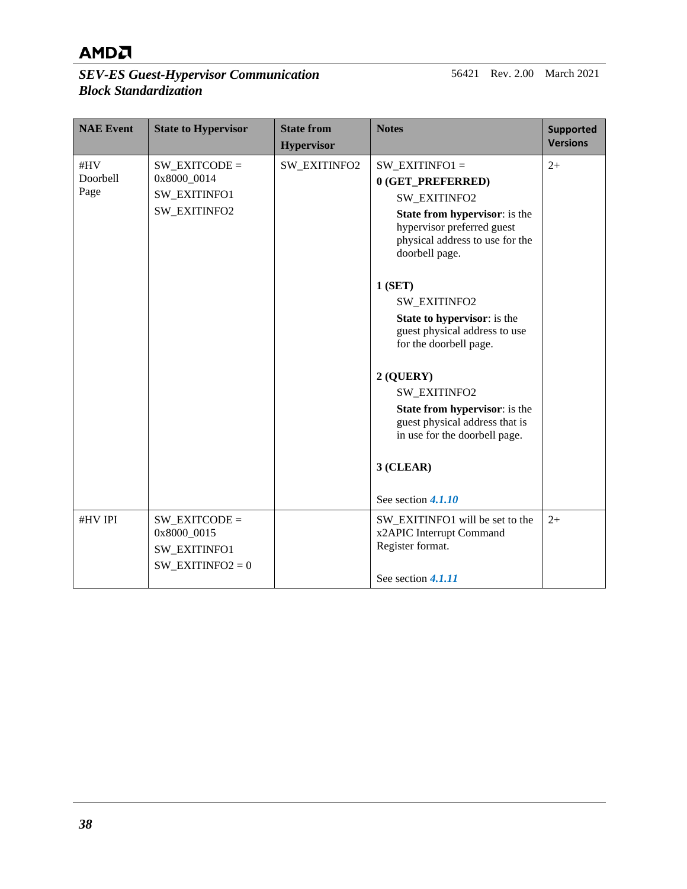#### *SEV-ES Guest-Hypervisor Communication Block Standardization*

56421 Rev. 2.00 March 2021

| <b>NAE Event</b>               | <b>State to Hypervisor</b>                                                  | <b>State from</b><br><b>Hypervisor</b> | <b>Notes</b>                                                                                                                                                                                                                                                                                                                                                                                                                                                                                | <b>Supported</b><br><b>Versions</b> |
|--------------------------------|-----------------------------------------------------------------------------|----------------------------------------|---------------------------------------------------------------------------------------------------------------------------------------------------------------------------------------------------------------------------------------------------------------------------------------------------------------------------------------------------------------------------------------------------------------------------------------------------------------------------------------------|-------------------------------------|
| #HV<br><b>Doorbell</b><br>Page | $SW$ EXITCODE =<br>0x8000_0014<br>SW_EXITINFO1<br>SW_EXITINFO2              | SW_EXITINFO2                           | $SW$ _EXITINFO1 =<br>0 (GET PREFERRED)<br><b>SW EXITINFO2</b><br><b>State from hypervisor:</b> is the<br>hypervisor preferred guest<br>physical address to use for the<br>doorbell page.<br>1(SET)<br>SW_EXITINFO2<br><b>State to hypervisor:</b> is the<br>guest physical address to use<br>for the doorbell page.<br>$2$ (QUERY)<br>SW_EXITINFO2<br>State from hypervisor: is the<br>guest physical address that is<br>in use for the doorbell page.<br>$3$ (CLEAR)<br>See section 4.1.10 | $2+$                                |
| #HV IPI                        | $SW$ EXITCODE =<br>0x8000 0015<br><b>SW EXITINFO1</b><br>SW EXITINFO2 = $0$ |                                        | SW_EXITINFO1 will be set to the<br>x2APIC Interrupt Command<br>Register format.<br>See section 4.1.11                                                                                                                                                                                                                                                                                                                                                                                       | $2+$                                |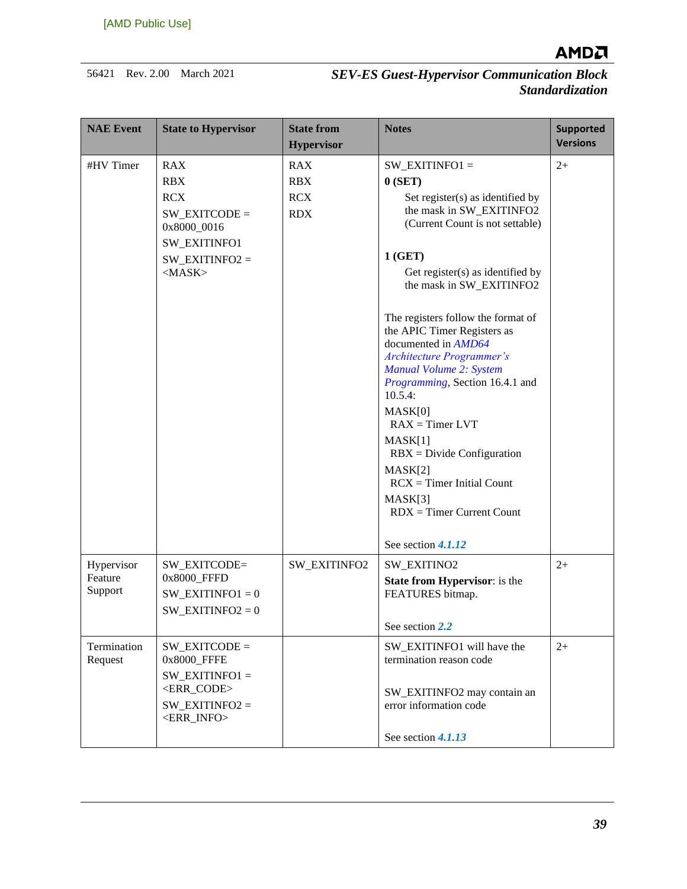

| <b>NAE Event</b>                 | <b>State to Hypervisor</b>                                                                                                            | <b>State from</b><br><b>Hypervisor</b>               | <b>Notes</b>                                                                                                                                                                                                                                                                                                                                                                                                                                                                                                                                                                                                      | <b>Supported</b><br><b>Versions</b> |
|----------------------------------|---------------------------------------------------------------------------------------------------------------------------------------|------------------------------------------------------|-------------------------------------------------------------------------------------------------------------------------------------------------------------------------------------------------------------------------------------------------------------------------------------------------------------------------------------------------------------------------------------------------------------------------------------------------------------------------------------------------------------------------------------------------------------------------------------------------------------------|-------------------------------------|
| #HV Timer                        | <b>RAX</b><br><b>RBX</b><br><b>RCX</b><br>$SW$ _EXITCODE =<br>0x8000_0016<br><b>SW EXITINFO1</b><br>$SW$ _EXITINFO2 =<br>$<$ MASK $>$ | <b>RAX</b><br><b>RBX</b><br><b>RCX</b><br><b>RDX</b> | $SW$ _EXITINFO1 =<br>0(SET)<br>Set register(s) as identified by<br>the mask in SW_EXITINFO2<br>(Current Count is not settable)<br>1(GET)<br>Get register(s) as identified by<br>the mask in SW_EXITINFO2<br>The registers follow the format of<br>the APIC Timer Registers as<br>documented in AMD64<br><b>Architecture Programmer's</b><br>Manual Volume 2: System<br><i>Programming</i> , Section 16.4.1 and<br>$10.5.4$ :<br>MASK[0]<br>$RAX = Timer LVT$<br>MASK[1]<br>$RBX = Divide Configuration$<br>MASK[2]<br>$RCX = Timer Initial Count$<br>MASK[3]<br>$RDX = Timer$ Current Count<br>See section 4.1.12 | $2+$                                |
| Hypervisor<br>Feature<br>Support | SW_EXITCODE=<br>0x8000 FFFD<br>$SW$ _EXITINFO1 = 0<br>$SW$ _EXITINFO2 = 0                                                             | SW_EXITINFO2                                         | SW_EXITINO2<br><b>State from Hypervisor:</b> is the<br>FEATURES bitmap.<br>See section 2.2                                                                                                                                                                                                                                                                                                                                                                                                                                                                                                                        | $2+$                                |
| Termination<br>Request           | $SW EXITCODE =$<br>0x8000_FFFE<br>SW EXITINFO1 $=$<br><err code=""><br/><math>SW</math>_EXITINFO2 =<br/><err_info></err_info></err>   |                                                      | SW_EXITINFO1 will have the<br>termination reason code<br>SW_EXITINFO2 may contain an<br>error information code<br>See section 4.1.13                                                                                                                                                                                                                                                                                                                                                                                                                                                                              | $2+$                                |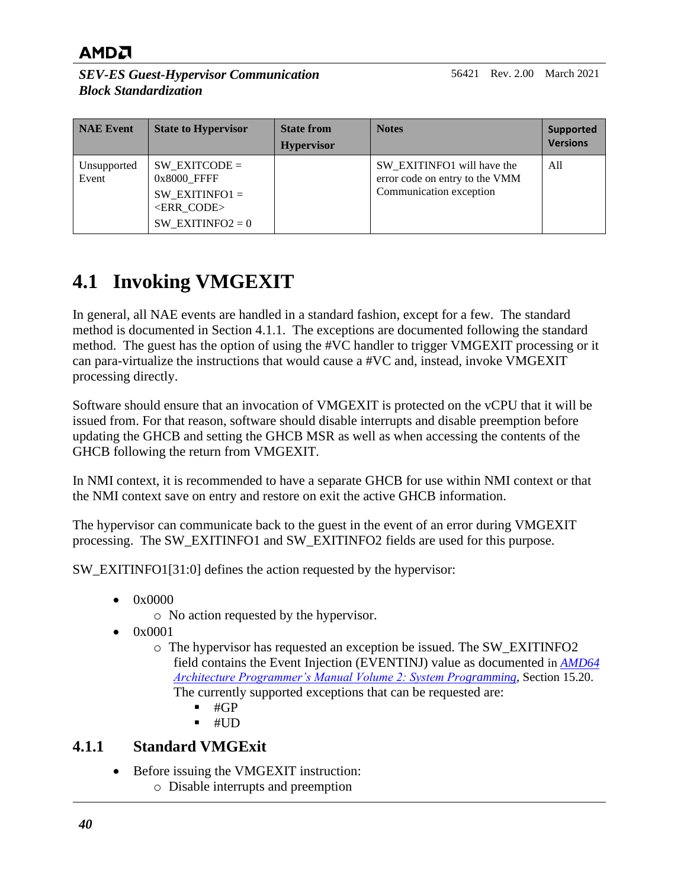*SEV-ES Guest-Hypervisor Communication Block Standardization*

| NAE Event            | <b>State to Hypervisor</b>                                                                                  | <b>State from</b><br><b>Hypervisor</b> | <b>Notes</b>                                                                            | <b>Supported</b><br><b>Versions</b> |
|----------------------|-------------------------------------------------------------------------------------------------------------|----------------------------------------|-----------------------------------------------------------------------------------------|-------------------------------------|
| Unsupported<br>Event | $SW EXITCODE =$<br>0x8000 FFFF<br>SW EXITINFO1 $=$<br><err code=""><br/>SW EXITINFO2 = <math>0</math></err> |                                        | SW_EXITINFO1 will have the<br>error code on entry to the VMM<br>Communication exception | All                                 |

## <span id="page-39-0"></span>**4.1 Invoking VMGEXIT**

In general, all NAE events are handled in a standard fashion, except for a few. The standard method is documented in Section [4.1.1.](#page-39-1) The exceptions are documented following the standard method. The guest has the option of using the #VC handler to trigger VMGEXIT processing or it can para-virtualize the instructions that would cause a #VC and, instead, invoke VMGEXIT processing directly.

Software should ensure that an invocation of VMGEXIT is protected on the vCPU that it will be issued from. For that reason, software should disable interrupts and disable preemption before updating the GHCB and setting the GHCB MSR as well as when accessing the contents of the GHCB following the return from VMGEXIT.

In NMI context, it is recommended to have a separate GHCB for use within NMI context or that the NMI context save on entry and restore on exit the active GHCB information.

The hypervisor can communicate back to the guest in the event of an error during VMGEXIT processing. The SW\_EXITINFO1 and SW\_EXITINFO2 fields are used for this purpose.

SW\_EXITINFO1[31:0] defines the action requested by the hypervisor:

- $\bullet$  0x0000
	- o No action requested by the hypervisor.
- 0x0001
	- o The hypervisor has requested an exception be issued. The SW\_EXITINFO2 field contains the Event Injection (EVENTINJ) value as documented in *[AMD64](http://support.amd.com/TechDocs/24593.pdf)  [Architecture Programmer's Manual Volume 2: System Programming](http://support.amd.com/TechDocs/24593.pdf)*, Section 15.20. The currently supported exceptions that can be requested are:
		- $\blacksquare$  #GP
		- $-$  #UD

#### <span id="page-39-1"></span>**4.1.1 Standard VMGExit**

- Before issuing the VMGEXIT instruction:
	- o Disable interrupts and preemption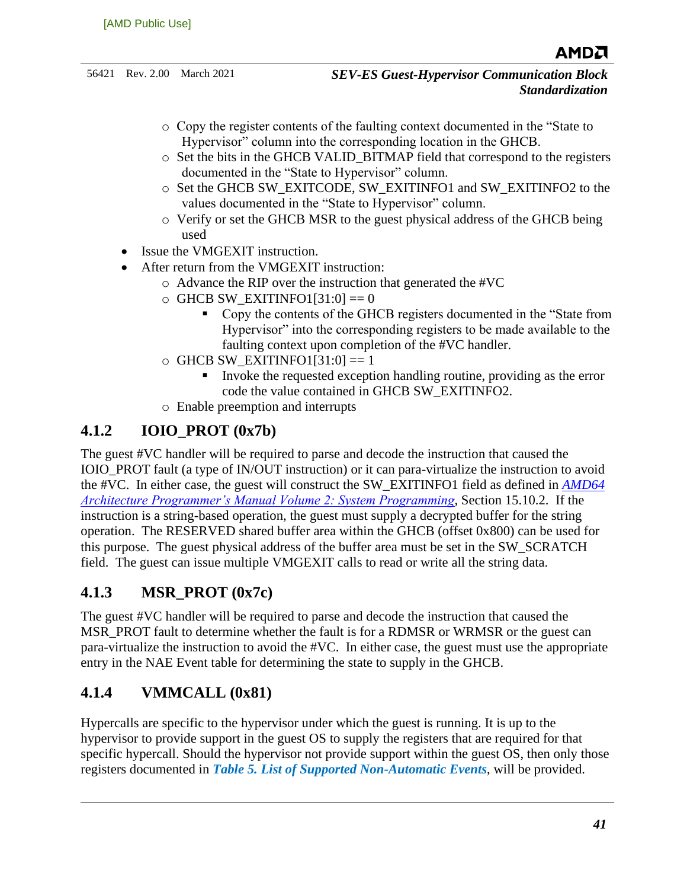- o Copy the register contents of the faulting context documented in the "State to Hypervisor" column into the corresponding location in the GHCB.
- $\circ$  Set the bits in the GHCB VALID BITMAP field that correspond to the registers documented in the "State to Hypervisor" column.
- o Set the GHCB SW\_EXITCODE, SW\_EXITINFO1 and SW\_EXITINFO2 to the values documented in the "State to Hypervisor" column.
- o Verify or set the GHCB MSR to the guest physical address of the GHCB being used
- Issue the VMGEXIT instruction.
- After return from the VMGEXIT instruction:
	- o Advance the RIP over the instruction that generated the #VC
	- $\circ$  GHCB SW\_EXITINFO1[31:0] == 0
		- Copy the contents of the GHCB registers documented in the "State from Hypervisor" into the corresponding registers to be made available to the faulting context upon completion of the #VC handler.
	- $\circ$  GHCB SW\_EXITINFO1[31:0] == 1
		- Invoke the requested exception handling routine, providing as the error code the value contained in GHCB SW\_EXITINFO2.
	- o Enable preemption and interrupts

### <span id="page-40-0"></span>**4.1.2 IOIO\_PROT (0x7b)**

The guest #VC handler will be required to parse and decode the instruction that caused the IOIO\_PROT fault (a type of IN/OUT instruction) or it can para-virtualize the instruction to avoid the #VC. In either case, the guest will construct the SW\_EXITINFO1 field as defined in *[AMD64](http://support.amd.com/TechDocs/24593.pdf)  [Architecture Programmer's Manual Volume 2: System Programming](http://support.amd.com/TechDocs/24593.pdf)*, Section 15.10.2. If the instruction is a string-based operation, the guest must supply a decrypted buffer for the string operation. The RESERVED shared buffer area within the GHCB (offset 0x800) can be used for this purpose. The guest physical address of the buffer area must be set in the SW\_SCRATCH field. The guest can issue multiple VMGEXIT calls to read or write all the string data.

### <span id="page-40-1"></span>**4.1.3 MSR\_PROT (0x7c)**

The guest #VC handler will be required to parse and decode the instruction that caused the MSR PROT fault to determine whether the fault is for a RDMSR or WRMSR or the guest can para-virtualize the instruction to avoid the #VC. In either case, the guest must use the appropriate entry in the NAE Event table for determining the state to supply in the GHCB.

### <span id="page-40-2"></span>**4.1.4 VMMCALL (0x81)**

Hypercalls are specific to the hypervisor under which the guest is running. It is up to the hypervisor to provide support in the guest OS to supply the registers that are required for that specific hypercall. Should the hypervisor not provide support within the guest OS, then only those registers documented in *Table 5. [List of Supported Non-Automatic Events](#page-29-0)*, will be provided.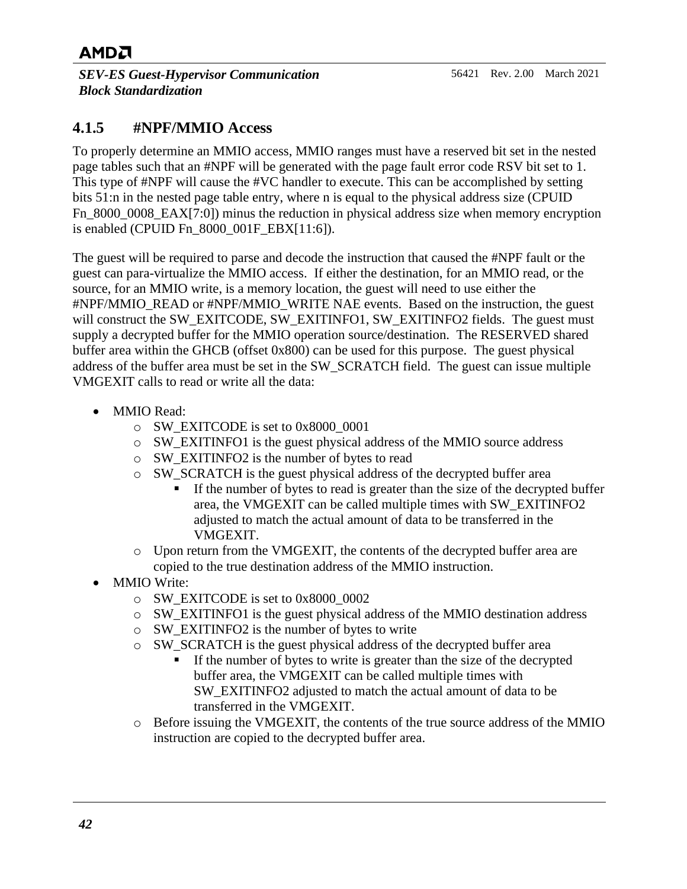*SEV-ES Guest-Hypervisor Communication Block Standardization*

### <span id="page-41-0"></span>**4.1.5 #NPF/MMIO Access**

To properly determine an MMIO access, MMIO ranges must have a reserved bit set in the nested page tables such that an #NPF will be generated with the page fault error code RSV bit set to 1. This type of #NPF will cause the #VC handler to execute. This can be accomplished by setting bits 51:n in the nested page table entry, where n is equal to the physical address size (CPUID Fn 8000 0008 EAX[7:0]) minus the reduction in physical address size when memory encryption is enabled (CPUID Fn\_8000\_001F\_EBX[11:6]).

The guest will be required to parse and decode the instruction that caused the #NPF fault or the guest can para-virtualize the MMIO access. If either the destination, for an MMIO read, or the source, for an MMIO write, is a memory location, the guest will need to use either the #NPF/MMIO\_READ or #NPF/MMIO\_WRITE NAE events. Based on the instruction, the guest will construct the SW\_EXITCODE, SW\_EXITINFO1, SW\_EXITINFO2 fields. The guest must supply a decrypted buffer for the MMIO operation source/destination. The RESERVED shared buffer area within the GHCB (offset 0x800) can be used for this purpose. The guest physical address of the buffer area must be set in the SW\_SCRATCH field. The guest can issue multiple VMGEXIT calls to read or write all the data:

- MMIO Read:
	- o SW\_EXITCODE is set to 0x8000\_0001
	- $\circ$  SW\_EXITINFO1 is the guest physical address of the MMIO source address
	- o SW\_EXITINFO2 is the number of bytes to read
	- o SW\_SCRATCH is the guest physical address of the decrypted buffer area
		- If the number of bytes to read is greater than the size of the decrypted buffer area, the VMGEXIT can be called multiple times with SW\_EXITINFO2 adjusted to match the actual amount of data to be transferred in the VMGEXIT.
	- o Upon return from the VMGEXIT, the contents of the decrypted buffer area are copied to the true destination address of the MMIO instruction.
- MMIO Write:
	- o SW\_EXITCODE is set to 0x8000\_0002
	- o SW\_EXITINFO1 is the guest physical address of the MMIO destination address
	- o SW\_EXITINFO2 is the number of bytes to write
	- o SW\_SCRATCH is the guest physical address of the decrypted buffer area
		- **If the number of bytes to write is greater than the size of the decrypted** buffer area, the VMGEXIT can be called multiple times with SW\_EXITINFO2 adjusted to match the actual amount of data to be transferred in the VMGEXIT.
	- o Before issuing the VMGEXIT, the contents of the true source address of the MMIO instruction are copied to the decrypted buffer area.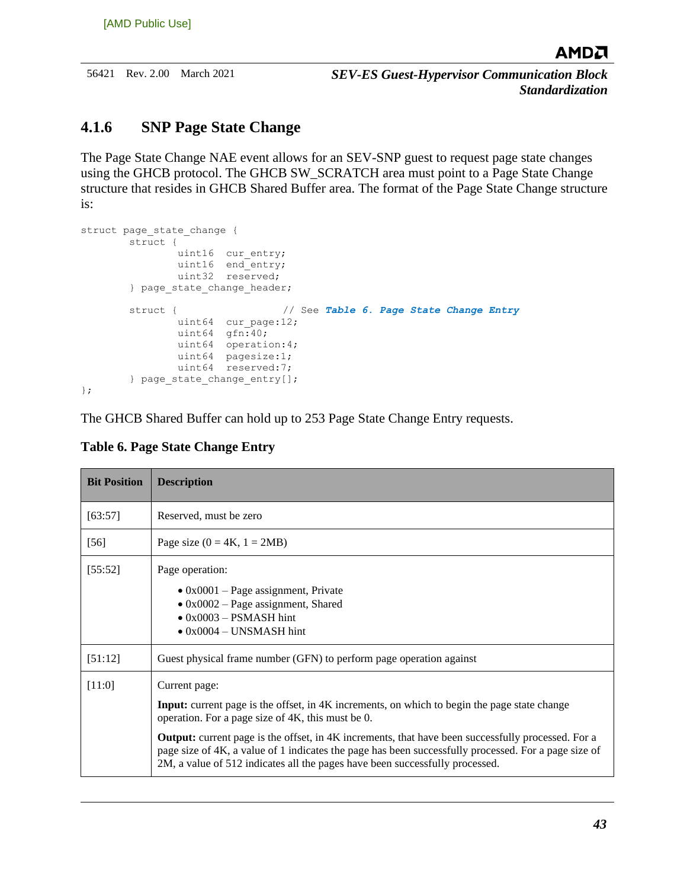56421 Rev. 2.00 March 2021 *SEV-ES Guest-Hypervisor Communication Block Standardization*

#### <span id="page-42-0"></span>**4.1.6 SNP Page State Change**

The Page State Change NAE event allows for an SEV-SNP guest to request page state changes using the GHCB protocol. The GHCB SW\_SCRATCH area must point to a Page State Change structure that resides in GHCB Shared Buffer area. The format of the Page State Change structure is:

```
struct page state change {
        struct {
              uint16 cur entry;
             uint16 end_entry;
              uint32 reserved;
       } page state change header;
        struct { // See Table 6. Page State Change Entry
              uint64 cur page:12;
uint64 gfn:40;
              uint64 operation:4;
               uint64 pagesize:1;
               uint64 reserved:7;
        } page_state_change_entry[];
};
```
The GHCB Shared Buffer can hold up to 253 Page State Change Entry requests.

| <b>Bit Position</b> | <b>Description</b>                                                                                                                                                                                                                                                                                                                                                                                                                                                             |  |
|---------------------|--------------------------------------------------------------------------------------------------------------------------------------------------------------------------------------------------------------------------------------------------------------------------------------------------------------------------------------------------------------------------------------------------------------------------------------------------------------------------------|--|
| [63:57]             | Reserved, must be zero                                                                                                                                                                                                                                                                                                                                                                                                                                                         |  |
| $[56]$              | Page size $(0 = 4K, 1 = 2MB)$                                                                                                                                                                                                                                                                                                                                                                                                                                                  |  |
| [55:52]             | Page operation:<br>$\bullet$ 0x0001 – Page assignment, Private<br>$\bullet$ 0x0002 – Page assignment, Shared<br>$\bullet$ 0x0003 – PSMASH hint<br>$\bullet$ 0x0004 – UNSMASH hint                                                                                                                                                                                                                                                                                              |  |
| [51:12]             | Guest physical frame number (GFN) to perform page operation against                                                                                                                                                                                                                                                                                                                                                                                                            |  |
| [11:0]              | Current page:<br><b>Input:</b> current page is the offset, in 4K increments, on which to begin the page state change<br>operation. For a page size of 4K, this must be 0.<br><b>Output:</b> current page is the offset, in 4K increments, that have been successfully processed. For a<br>page size of 4K, a value of 1 indicates the page has been successfully processed. For a page size of<br>2M, a value of 512 indicates all the pages have been successfully processed. |  |

#### <span id="page-42-1"></span>**Table 6. Page State Change Entry**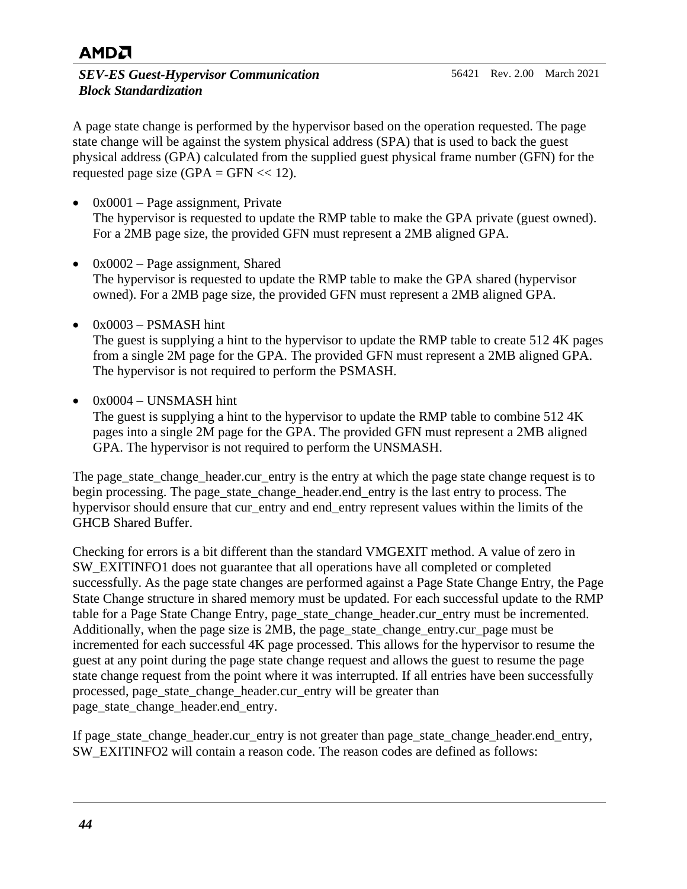#### *SEV-ES Guest-Hypervisor Communication Block Standardization*

A page state change is performed by the hypervisor based on the operation requested. The page state change will be against the system physical address (SPA) that is used to back the guest physical address (GPA) calculated from the supplied guest physical frame number (GFN) for the requested page size  $(GPA = GFN \ll 12)$ .

- $0x0001$  Page assignment, Private The hypervisor is requested to update the RMP table to make the GPA private (guest owned). For a 2MB page size, the provided GFN must represent a 2MB aligned GPA.
- 0x0002 Page assignment, Shared The hypervisor is requested to update the RMP table to make the GPA shared (hypervisor owned). For a 2MB page size, the provided GFN must represent a 2MB aligned GPA.
- 0x0003 PSMASH hint The guest is supplying a hint to the hypervisor to update the RMP table to create 512 4K pages from a single 2M page for the GPA. The provided GFN must represent a 2MB aligned GPA. The hypervisor is not required to perform the PSMASH.
- 0x0004 UNSMASH hint

The guest is supplying a hint to the hypervisor to update the RMP table to combine 512 4K pages into a single 2M page for the GPA. The provided GFN must represent a 2MB aligned GPA. The hypervisor is not required to perform the UNSMASH.

The page state change header.cur entry is the entry at which the page state change request is to begin processing. The page\_state\_change\_header.end\_entry is the last entry to process. The hypervisor should ensure that cur entry and end entry represent values within the limits of the GHCB Shared Buffer.

Checking for errors is a bit different than the standard VMGEXIT method. A value of zero in SW\_EXITINFO1 does not guarantee that all operations have all completed or completed successfully. As the page state changes are performed against a Page State Change Entry, the Page State Change structure in shared memory must be updated. For each successful update to the RMP table for a Page State Change Entry, page\_state\_change\_header.cur\_entry must be incremented. Additionally, when the page size is 2MB, the page\_state\_change\_entry.cur\_page must be incremented for each successful 4K page processed. This allows for the hypervisor to resume the guest at any point during the page state change request and allows the guest to resume the page state change request from the point where it was interrupted. If all entries have been successfully processed, page\_state\_change\_header.cur\_entry will be greater than page state change header.end entry.

If page\_state\_change\_header.cur\_entry is not greater than page\_state\_change\_header.end\_entry, SW\_EXITINFO2 will contain a reason code. The reason codes are defined as follows: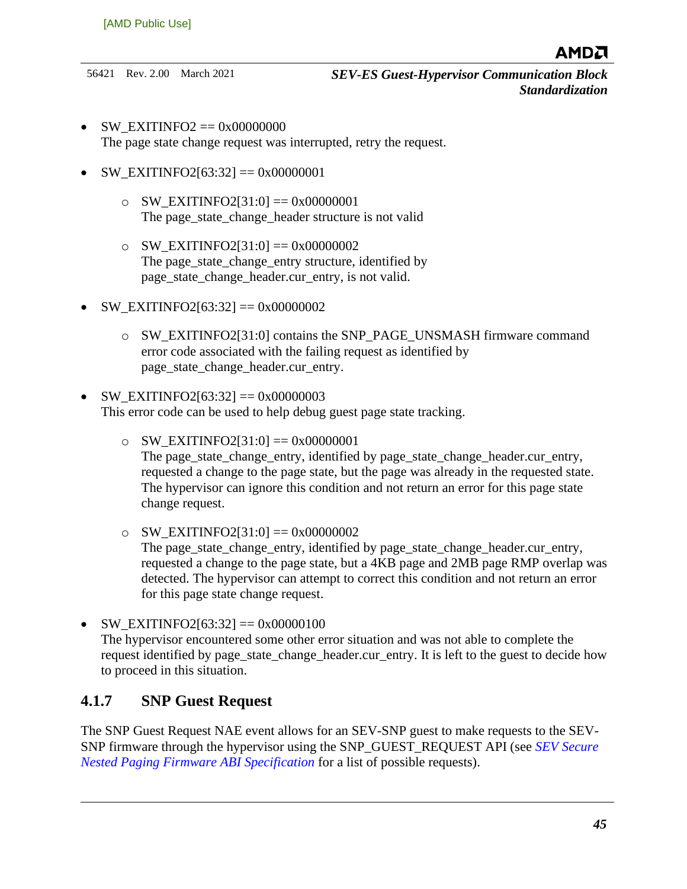- SW\_EXITINFO2 ==  $0x00000000$ The page state change request was interrupted, retry the request.
- SW\_EXITINFO2[63:32] == 0x00000001
	- $\circ$  SW\_EXITINFO2[31:0] = 0x00000001 The page state change header structure is not valid
	- $\circ$  SW EXITINFO2[31:0] == 0x00000002 The page\_state\_change\_entry structure, identified by page\_state\_change\_header.cur\_entry, is not valid.
- SW\_EXITINFO2[63:32] == 0x000000002
	- o SW\_EXITINFO2[31:0] contains the SNP\_PAGE\_UNSMASH firmware command error code associated with the failing request as identified by page state change header.cur entry.
- SW\_EXITINFO2[63:32] == 0x00000003 This error code can be used to help debug guest page state tracking.
	- $\circ$  SW EXITINFO2[31:0] == 0x00000001 The page\_state\_change\_entry, identified by page\_state\_change\_header.cur\_entry, requested a change to the page state, but the page was already in the requested state. The hypervisor can ignore this condition and not return an error for this page state change request.
	- $\circ$  SW EXITINFO2[31:0] == 0x00000002 The page\_state\_change\_entry, identified by page\_state\_change\_header.cur\_entry, requested a change to the page state, but a 4KB page and 2MB page RMP overlap was detected. The hypervisor can attempt to correct this condition and not return an error for this page state change request.
- SW\_EXITINFO2[63:32] == 0x00000100 The hypervisor encountered some other error situation and was not able to complete the request identified by page state change header.cur entry. It is left to the guest to decide how to proceed in this situation.

#### <span id="page-44-0"></span>**4.1.7 SNP Guest Request**

The SNP Guest Request NAE event allows for an SEV-SNP guest to make requests to the SEV-SNP firmware through the hypervisor using the SNP\_GUEST\_REQUEST API (see *[SEV Secure](https://www.amd.com/system/files/TechDocs/56860.pdf)  [Nested Paging Firmware ABI Specification](https://www.amd.com/system/files/TechDocs/56860.pdf)* for a list of possible requests).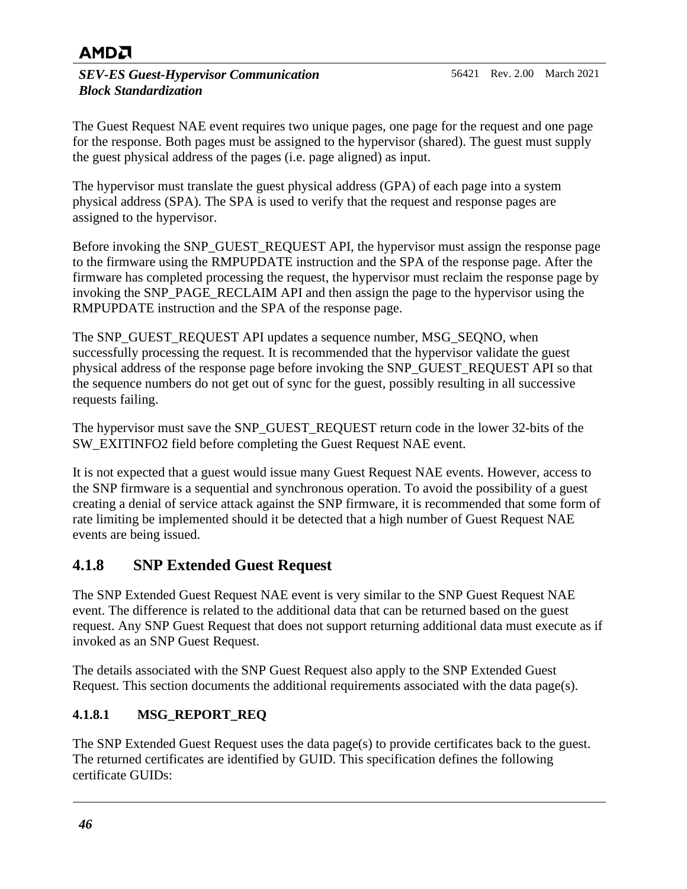*SEV-ES Guest-Hypervisor Communication Block Standardization*

The Guest Request NAE event requires two unique pages, one page for the request and one page for the response. Both pages must be assigned to the hypervisor (shared). The guest must supply the guest physical address of the pages (i.e. page aligned) as input.

The hypervisor must translate the guest physical address (GPA) of each page into a system physical address (SPA). The SPA is used to verify that the request and response pages are assigned to the hypervisor.

Before invoking the SNP\_GUEST\_REQUEST API, the hypervisor must assign the response page to the firmware using the RMPUPDATE instruction and the SPA of the response page. After the firmware has completed processing the request, the hypervisor must reclaim the response page by invoking the SNP\_PAGE\_RECLAIM API and then assign the page to the hypervisor using the RMPUPDATE instruction and the SPA of the response page.

The SNP\_GUEST\_REQUEST API updates a sequence number, MSG\_SEQNO, when successfully processing the request. It is recommended that the hypervisor validate the guest physical address of the response page before invoking the SNP\_GUEST\_REQUEST API so that the sequence numbers do not get out of sync for the guest, possibly resulting in all successive requests failing.

The hypervisor must save the SNP\_GUEST\_REQUEST return code in the lower 32-bits of the SW\_EXITINFO2 field before completing the Guest Request NAE event.

It is not expected that a guest would issue many Guest Request NAE events. However, access to the SNP firmware is a sequential and synchronous operation. To avoid the possibility of a guest creating a denial of service attack against the SNP firmware, it is recommended that some form of rate limiting be implemented should it be detected that a high number of Guest Request NAE events are being issued.

### <span id="page-45-0"></span>**4.1.8 SNP Extended Guest Request**

The SNP Extended Guest Request NAE event is very similar to the SNP Guest Request NAE event. The difference is related to the additional data that can be returned based on the guest request. Any SNP Guest Request that does not support returning additional data must execute as if invoked as an SNP Guest Request.

The details associated with the SNP Guest Request also apply to the SNP Extended Guest Request. This section documents the additional requirements associated with the data page(s).

#### **4.1.8.1 MSG\_REPORT\_REQ**

The SNP Extended Guest Request uses the data page(s) to provide certificates back to the guest. The returned certificates are identified by GUID. This specification defines the following certificate GUIDs: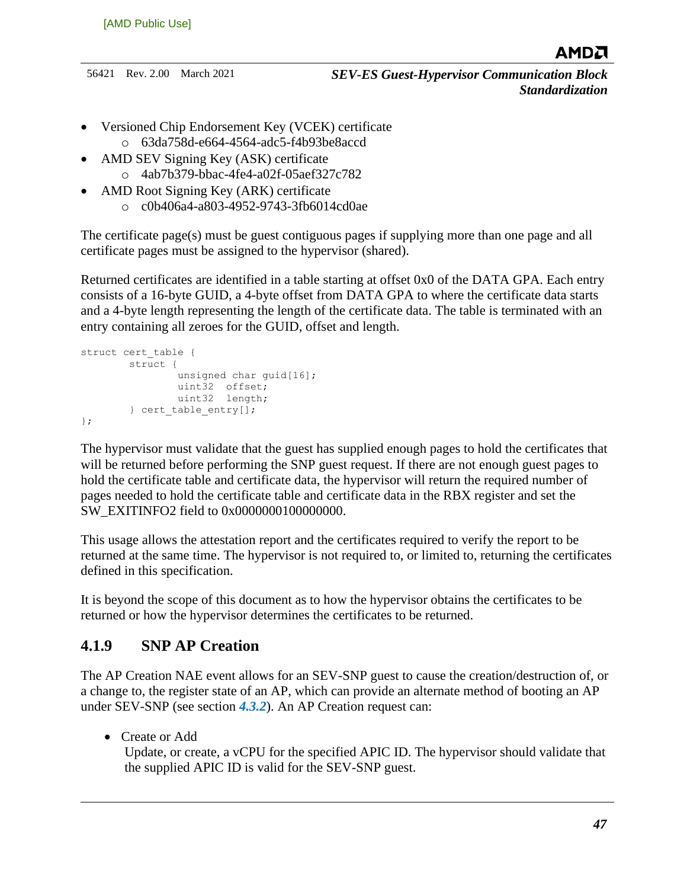- Versioned Chip Endorsement Key (VCEK) certificate o 63da758d-e664-4564-adc5-f4b93be8accd
- AMD SEV Signing Key (ASK) certificate
	- o 4ab7b379-bbac-4fe4-a02f-05aef327c782
- AMD Root Signing Key (ARK) certificate
	- o c0b406a4-a803-4952-9743-3fb6014cd0ae

The certificate page(s) must be guest contiguous pages if supplying more than one page and all certificate pages must be assigned to the hypervisor (shared).

Returned certificates are identified in a table starting at offset 0x0 of the DATA GPA. Each entry consists of a 16-byte GUID, a 4-byte offset from DATA GPA to where the certificate data starts and a 4-byte length representing the length of the certificate data. The table is terminated with an entry containing all zeroes for the GUID, offset and length.

```
struct cert_table {
         struct { 
                 unsigned char guid[16]; 
                 uint32 offset;
                 uint32 length;
        } cert table entry[];
};
```
The hypervisor must validate that the guest has supplied enough pages to hold the certificates that will be returned before performing the SNP guest request. If there are not enough guest pages to hold the certificate table and certificate data, the hypervisor will return the required number of pages needed to hold the certificate table and certificate data in the RBX register and set the SW\_EXITINFO2 field to 0x0000000100000000.

This usage allows the attestation report and the certificates required to verify the report to be returned at the same time. The hypervisor is not required to, or limited to, returning the certificates defined in this specification.

It is beyond the scope of this document as to how the hypervisor obtains the certificates to be returned or how the hypervisor determines the certificates to be returned.

### <span id="page-46-0"></span>**4.1.9 SNP AP Creation**

The AP Creation NAE event allows for an SEV-SNP guest to cause the creation/destruction of, or a change to, the register state of an AP, which can provide an alternate method of booting an AP under SEV-SNP (see section *[4.3.2](#page-53-0)*). An AP Creation request can:

• Create or Add

Update, or create, a vCPU for the specified APIC ID. The hypervisor should validate that the supplied APIC ID is valid for the SEV-SNP guest.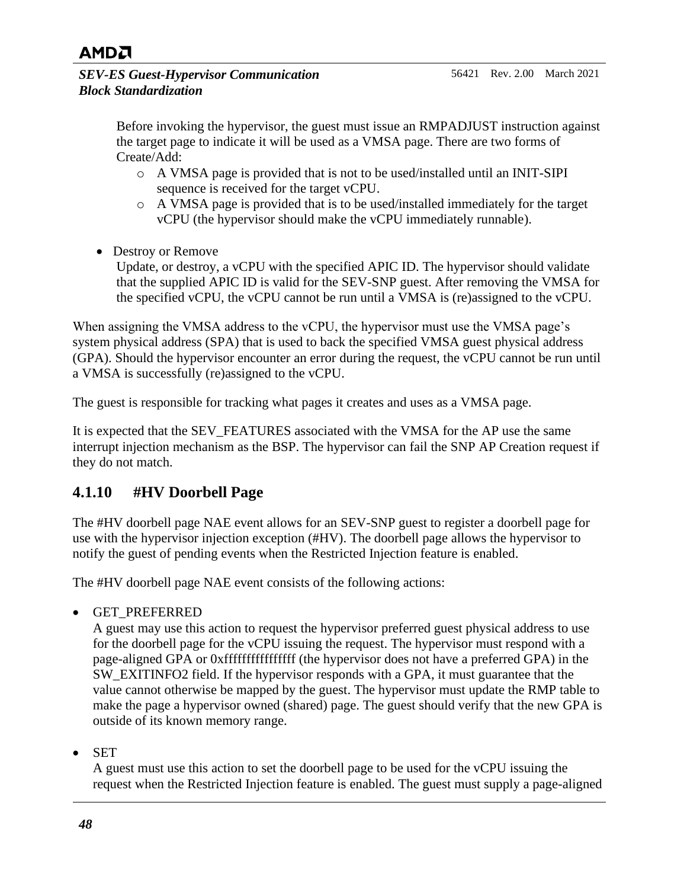

*SEV-ES Guest-Hypervisor Communication Block Standardization*

> Before invoking the hypervisor, the guest must issue an RMPADJUST instruction against the target page to indicate it will be used as a VMSA page. There are two forms of Create/Add:

- o A VMSA page is provided that is not to be used/installed until an INIT-SIPI sequence is received for the target vCPU.
- o A VMSA page is provided that is to be used/installed immediately for the target vCPU (the hypervisor should make the vCPU immediately runnable).
- Destroy or Remove

Update, or destroy, a vCPU with the specified APIC ID. The hypervisor should validate that the supplied APIC ID is valid for the SEV-SNP guest. After removing the VMSA for the specified vCPU, the vCPU cannot be run until a VMSA is (re)assigned to the vCPU.

When assigning the VMSA address to the vCPU, the hypervisor must use the VMSA page's system physical address (SPA) that is used to back the specified VMSA guest physical address (GPA). Should the hypervisor encounter an error during the request, the vCPU cannot be run until a VMSA is successfully (re)assigned to the vCPU.

The guest is responsible for tracking what pages it creates and uses as a VMSA page.

It is expected that the SEV\_FEATURES associated with the VMSA for the AP use the same interrupt injection mechanism as the BSP. The hypervisor can fail the SNP AP Creation request if they do not match.

### <span id="page-47-0"></span>**4.1.10 #HV Doorbell Page**

The #HV doorbell page NAE event allows for an SEV-SNP guest to register a doorbell page for use with the hypervisor injection exception (#HV). The doorbell page allows the hypervisor to notify the guest of pending events when the Restricted Injection feature is enabled.

The #HV doorbell page NAE event consists of the following actions:

• GET\_PREFERRED

A guest may use this action to request the hypervisor preferred guest physical address to use for the doorbell page for the vCPU issuing the request. The hypervisor must respond with a page-aligned GPA or 0xffffffffffffffff (the hypervisor does not have a preferred GPA) in the SW\_EXITINFO2 field. If the hypervisor responds with a GPA, it must guarantee that the value cannot otherwise be mapped by the guest. The hypervisor must update the RMP table to make the page a hypervisor owned (shared) page. The guest should verify that the new GPA is outside of its known memory range.

• SET

A guest must use this action to set the doorbell page to be used for the vCPU issuing the request when the Restricted Injection feature is enabled. The guest must supply a page-aligned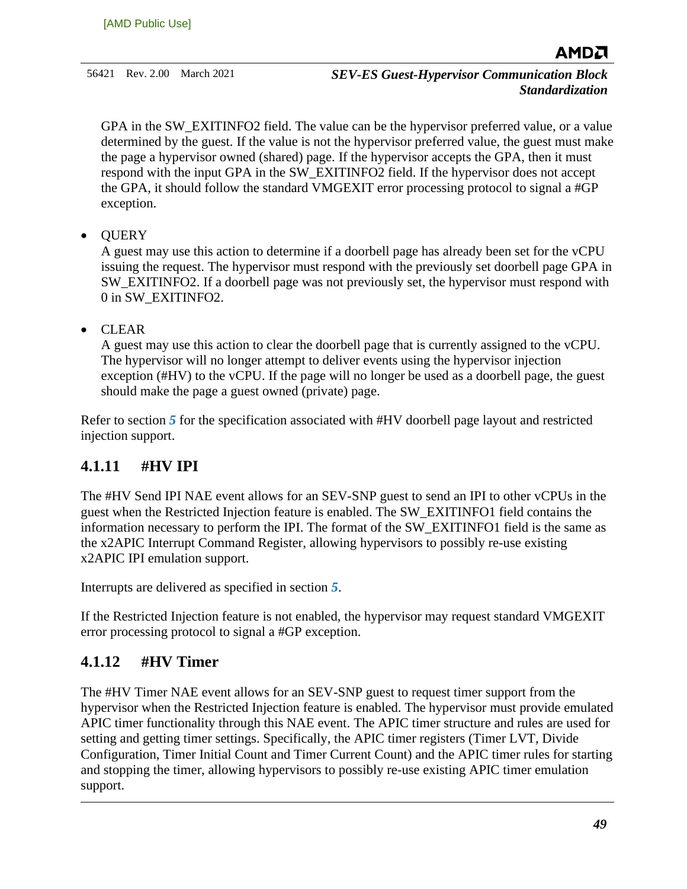GPA in the SW EXITINFO2 field. The value can be the hypervisor preferred value, or a value determined by the guest. If the value is not the hypervisor preferred value, the guest must make the page a hypervisor owned (shared) page. If the hypervisor accepts the GPA, then it must respond with the input GPA in the SW\_EXITINFO2 field. If the hypervisor does not accept the GPA, it should follow the standard VMGEXIT error processing protocol to signal a #GP exception.

• QUERY

A guest may use this action to determine if a doorbell page has already been set for the vCPU issuing the request. The hypervisor must respond with the previously set doorbell page GPA in SW\_EXITINFO2. If a doorbell page was not previously set, the hypervisor must respond with 0 in SW\_EXITINFO2.

• CLEAR

A guest may use this action to clear the doorbell page that is currently assigned to the vCPU. The hypervisor will no longer attempt to deliver events using the hypervisor injection exception (#HV) to the vCPU. If the page will no longer be used as a doorbell page, the guest should make the page a guest owned (private) page.

Refer to section *[5](#page-56-0)* for the specification associated with #HV doorbell page layout and restricted injection support.

### <span id="page-48-0"></span>**4.1.11 #HV IPI**

The #HV Send IPI NAE event allows for an SEV-SNP guest to send an IPI to other vCPUs in the guest when the Restricted Injection feature is enabled. The SW\_EXITINFO1 field contains the information necessary to perform the IPI. The format of the SW\_EXITINFO1 field is the same as the x2APIC Interrupt Command Register, allowing hypervisors to possibly re-use existing x2APIC IPI emulation support.

Interrupts are delivered as specified in section *[5](#page-56-0)*.

If the Restricted Injection feature is not enabled, the hypervisor may request standard VMGEXIT error processing protocol to signal a #GP exception.

#### <span id="page-48-1"></span>**4.1.12 #HV Timer**

The #HV Timer NAE event allows for an SEV-SNP guest to request timer support from the hypervisor when the Restricted Injection feature is enabled. The hypervisor must provide emulated APIC timer functionality through this NAE event. The APIC timer structure and rules are used for setting and getting timer settings. Specifically, the APIC timer registers (Timer LVT, Divide Configuration, Timer Initial Count and Timer Current Count) and the APIC timer rules for starting and stopping the timer, allowing hypervisors to possibly re-use existing APIC timer emulation support.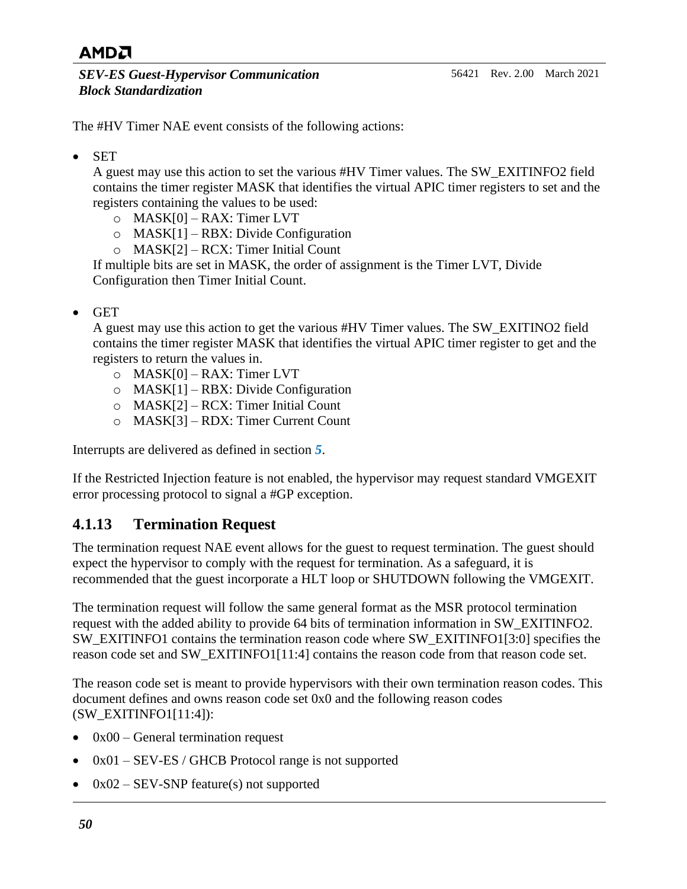The #HV Timer NAE event consists of the following actions:

• SET

A guest may use this action to set the various #HV Timer values. The SW\_EXITINFO2 field contains the timer register MASK that identifies the virtual APIC timer registers to set and the registers containing the values to be used:

- o MASK[0] RAX: Timer LVT
- o MASK[1] RBX: Divide Configuration
- o MASK[2] RCX: Timer Initial Count

If multiple bits are set in MASK, the order of assignment is the Timer LVT, Divide Configuration then Timer Initial Count.

• GET

A guest may use this action to get the various #HV Timer values. The SW\_EXITINO2 field contains the timer register MASK that identifies the virtual APIC timer register to get and the registers to return the values in.

- $O$  MASK[0] RAX: Timer LVT
- o MASK[1] RBX: Divide Configuration
- o MASK[2] RCX: Timer Initial Count
- o MASK[3] RDX: Timer Current Count

Interrupts are delivered as defined in section *[5](#page-56-0)*.

If the Restricted Injection feature is not enabled, the hypervisor may request standard VMGEXIT error processing protocol to signal a #GP exception.

### <span id="page-49-0"></span>**4.1.13 Termination Request**

The termination request NAE event allows for the guest to request termination. The guest should expect the hypervisor to comply with the request for termination. As a safeguard, it is recommended that the guest incorporate a HLT loop or SHUTDOWN following the VMGEXIT.

The termination request will follow the same general format as the MSR protocol termination request with the added ability to provide 64 bits of termination information in SW\_EXITINFO2. SW\_EXITINFO1 contains the termination reason code where SW\_EXITINFO1[3:0] specifies the reason code set and SW\_EXITINFO1[11:4] contains the reason code from that reason code set.

The reason code set is meant to provide hypervisors with their own termination reason codes. This document defines and owns reason code set 0x0 and the following reason codes (SW\_EXITINFO1[11:4]):

- $0x00$  General termination request
- $0x01 SEV-ES / GHCB$  Protocol range is not supported
- $0x02 SEV-SNP$  feature(s) not supported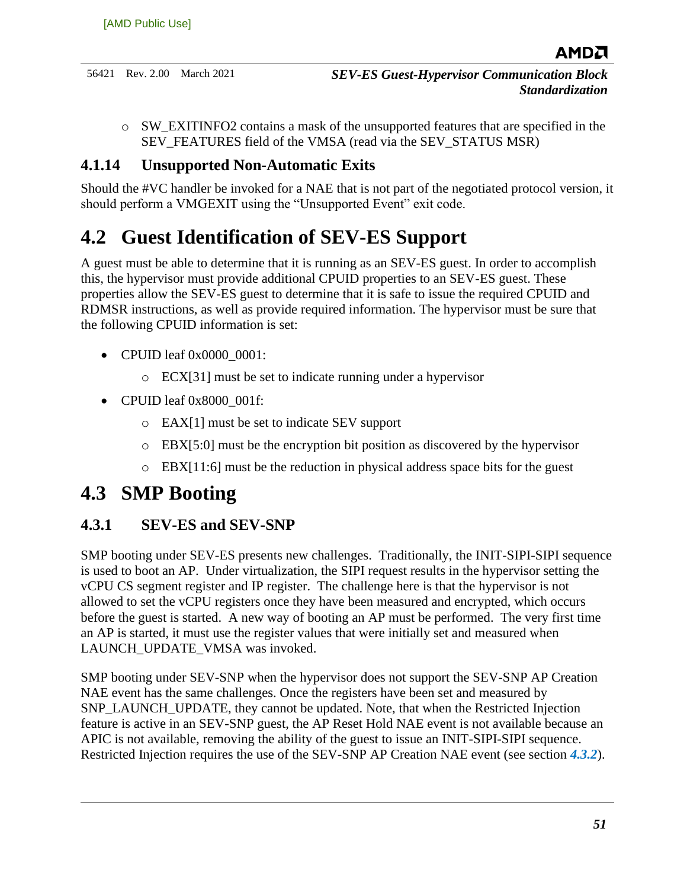$\circ$  SW EXITINFO2 contains a mask of the unsupported features that are specified in the SEV\_FEATURES field of the VMSA (read via the SEV\_STATUS MSR)

#### <span id="page-50-0"></span>**4.1.14 Unsupported Non-Automatic Exits**

Should the #VC handler be invoked for a NAE that is not part of the negotiated protocol version, it should perform a VMGEXIT using the "Unsupported Event" exit code.

## <span id="page-50-1"></span>**4.2 Guest Identification of SEV-ES Support**

A guest must be able to determine that it is running as an SEV-ES guest. In order to accomplish this, the hypervisor must provide additional CPUID properties to an SEV-ES guest. These properties allow the SEV-ES guest to determine that it is safe to issue the required CPUID and RDMSR instructions, as well as provide required information. The hypervisor must be sure that the following CPUID information is set:

- CPUID leaf  $0x0000$  0001:
	- o ECX[31] must be set to indicate running under a hypervisor
- CPUID leaf 0x8000 001f:
	- o EAX[1] must be set to indicate SEV support
	- $\circ$  EBX[5:0] must be the encryption bit position as discovered by the hypervisor
	- $\circ$  EBX[11:6] must be the reduction in physical address space bits for the guest

## <span id="page-50-2"></span>**4.3 SMP Booting**

### <span id="page-50-3"></span>**4.3.1 SEV-ES and SEV-SNP**

SMP booting under SEV-ES presents new challenges. Traditionally, the INIT-SIPI-SIPI sequence is used to boot an AP. Under virtualization, the SIPI request results in the hypervisor setting the vCPU CS segment register and IP register. The challenge here is that the hypervisor is not allowed to set the vCPU registers once they have been measured and encrypted, which occurs before the guest is started. A new way of booting an AP must be performed. The very first time an AP is started, it must use the register values that were initially set and measured when LAUNCH\_UPDATE\_VMSA was invoked.

SMP booting under SEV-SNP when the hypervisor does not support the SEV-SNP AP Creation NAE event has the same challenges. Once the registers have been set and measured by SNP\_LAUNCH\_UPDATE, they cannot be updated. Note, that when the Restricted Injection feature is active in an SEV-SNP guest, the AP Reset Hold NAE event is not available because an APIC is not available, removing the ability of the guest to issue an INIT-SIPI-SIPI sequence. Restricted Injection requires the use of the SEV-SNP AP Creation NAE event (see section *[4.3.2](#page-53-0)*).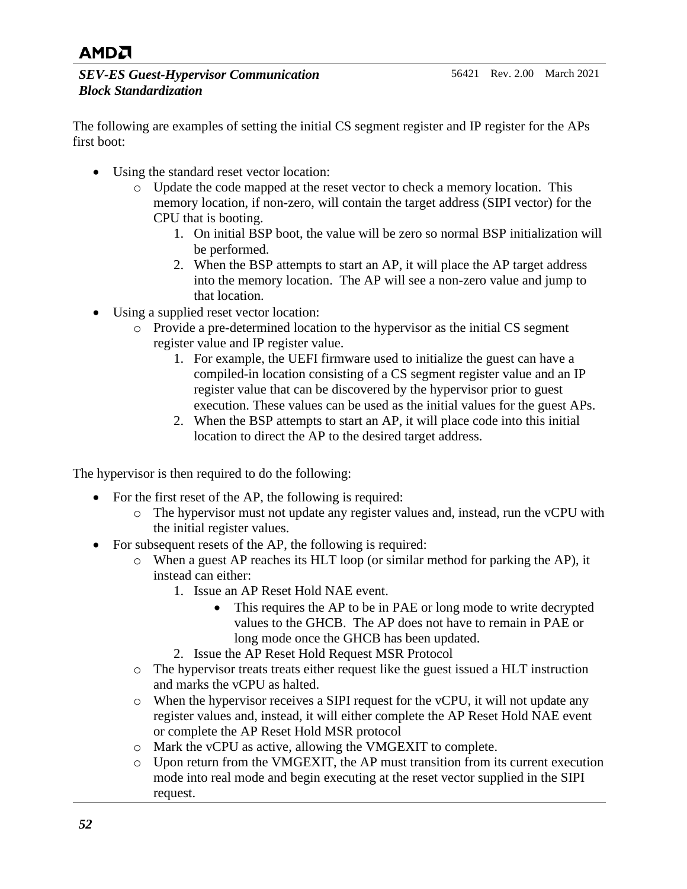*SEV-ES Guest-Hypervisor Communication Block Standardization*

The following are examples of setting the initial CS segment register and IP register for the APs first boot:

- Using the standard reset vector location:
	- o Update the code mapped at the reset vector to check a memory location. This memory location, if non-zero, will contain the target address (SIPI vector) for the CPU that is booting.
		- 1. On initial BSP boot, the value will be zero so normal BSP initialization will be performed.
		- 2. When the BSP attempts to start an AP, it will place the AP target address into the memory location. The AP will see a non-zero value and jump to that location.
- Using a supplied reset vector location:
	- o Provide a pre-determined location to the hypervisor as the initial CS segment register value and IP register value.
		- 1. For example, the UEFI firmware used to initialize the guest can have a compiled-in location consisting of a CS segment register value and an IP register value that can be discovered by the hypervisor prior to guest execution. These values can be used as the initial values for the guest APs.
		- 2. When the BSP attempts to start an AP, it will place code into this initial location to direct the AP to the desired target address.

The hypervisor is then required to do the following:

- For the first reset of the AP, the following is required:
	- o The hypervisor must not update any register values and, instead, run the vCPU with the initial register values.
- For subsequent resets of the AP, the following is required:
	- o When a guest AP reaches its HLT loop (or similar method for parking the AP), it instead can either:
		- 1. Issue an AP Reset Hold NAE event.
			- This requires the AP to be in PAE or long mode to write decrypted values to the GHCB. The AP does not have to remain in PAE or long mode once the GHCB has been updated.
		- 2. Issue the AP Reset Hold Request MSR Protocol
	- $\circ$  The hypervisor treats treats either request like the guest issued a HLT instruction and marks the vCPU as halted.
	- o When the hypervisor receives a SIPI request for the vCPU, it will not update any register values and, instead, it will either complete the AP Reset Hold NAE event or complete the AP Reset Hold MSR protocol
	- o Mark the vCPU as active, allowing the VMGEXIT to complete.
	- o Upon return from the VMGEXIT, the AP must transition from its current execution mode into real mode and begin executing at the reset vector supplied in the SIPI request.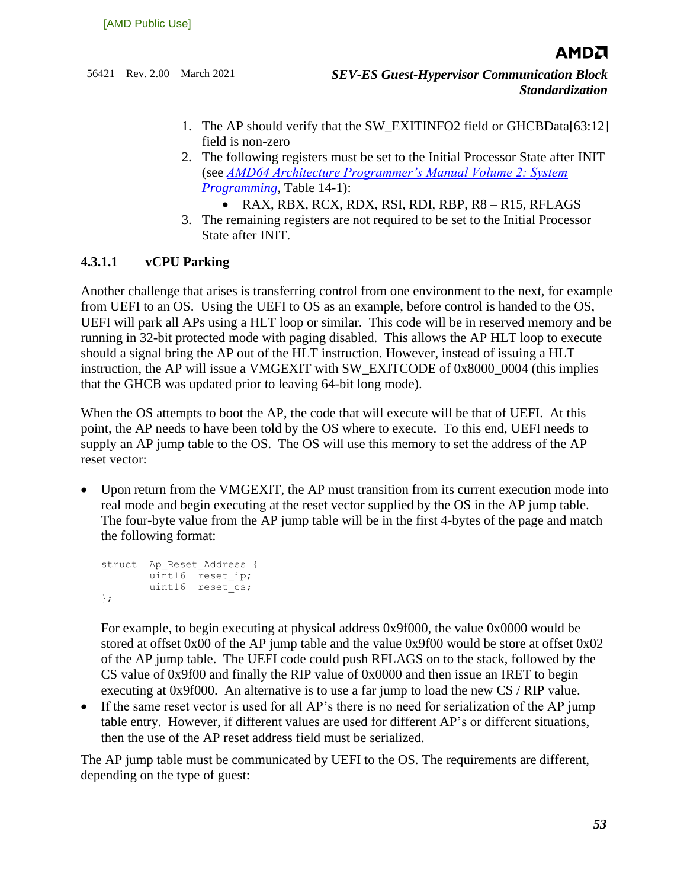- 1. The AP should verify that the SW\_EXITINFO2 field or GHCBData[63:12] field is non-zero
- 2. The following registers must be set to the Initial Processor State after INIT (see *[AMD64 Architecture Programmer's Manual Volume 2: System](http://support.amd.com/TechDocs/24593.pdf)  [Programming](http://support.amd.com/TechDocs/24593.pdf)*, Table 14-1):
	- RAX, RBX, RCX, RDX, RSI, RDI, RBP, R8 R15, RFLAGS
- 3. The remaining registers are not required to be set to the Initial Processor State after INIT.

#### **4.3.1.1 vCPU Parking**

Another challenge that arises is transferring control from one environment to the next, for example from UEFI to an OS. Using the UEFI to OS as an example, before control is handed to the OS, UEFI will park all APs using a HLT loop or similar. This code will be in reserved memory and be running in 32-bit protected mode with paging disabled. This allows the AP HLT loop to execute should a signal bring the AP out of the HLT instruction. However, instead of issuing a HLT instruction, the AP will issue a VMGEXIT with SW\_EXITCODE of 0x8000\_0004 (this implies that the GHCB was updated prior to leaving 64-bit long mode).

When the OS attempts to boot the AP, the code that will execute will be that of UEFI. At this point, the AP needs to have been told by the OS where to execute. To this end, UEFI needs to supply an AP jump table to the OS. The OS will use this memory to set the address of the AP reset vector:

Upon return from the VMGEXIT, the AP must transition from its current execution mode into real mode and begin executing at the reset vector supplied by the OS in the AP jump table. The four-byte value from the AP jump table will be in the first 4-bytes of the page and match the following format:

```
struct Ap Reset Address {
        uint16 reset_ip;
       uint16 reset cs;
};
```
For example, to begin executing at physical address 0x9f000, the value 0x0000 would be stored at offset 0x00 of the AP jump table and the value 0x9f00 would be store at offset 0x02 of the AP jump table. The UEFI code could push RFLAGS on to the stack, followed by the CS value of 0x9f00 and finally the RIP value of 0x0000 and then issue an IRET to begin executing at 0x9f000. An alternative is to use a far jump to load the new CS / RIP value.

• If the same reset vector is used for all AP's there is no need for serialization of the AP jump table entry. However, if different values are used for different AP's or different situations, then the use of the AP reset address field must be serialized.

The AP jump table must be communicated by UEFI to the OS. The requirements are different, depending on the type of guest: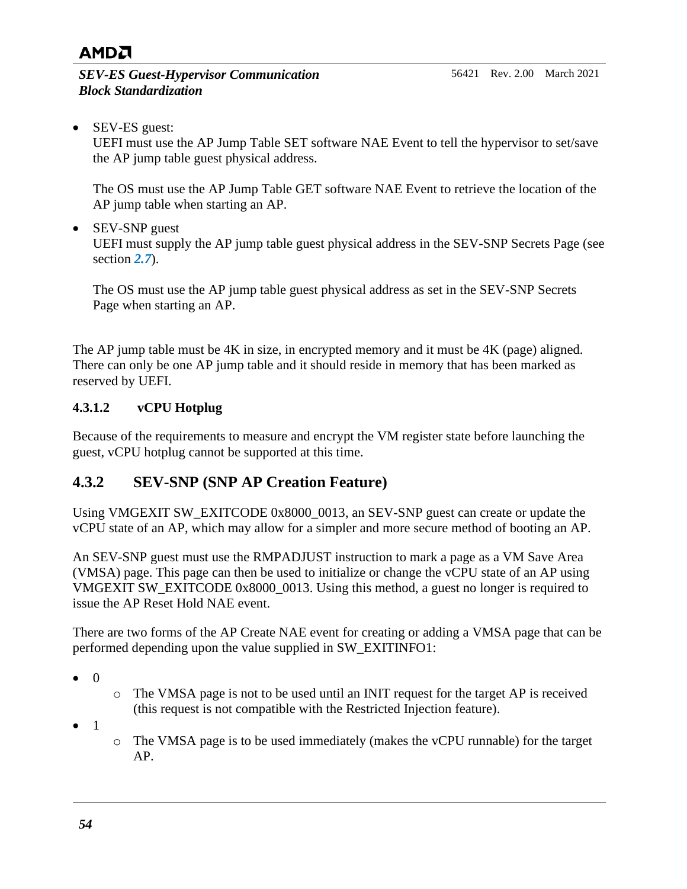*SEV-ES Guest-Hypervisor Communication Block Standardization*

• SEV-ES guest:

UEFI must use the AP Jump Table SET software NAE Event to tell the hypervisor to set/save the AP jump table guest physical address.

The OS must use the AP Jump Table GET software NAE Event to retrieve the location of the AP jump table when starting an AP.

• SEV-SNP guest

UEFI must supply the AP jump table guest physical address in the SEV-SNP Secrets Page (see section *[2.7](#page-24-0)*).

The OS must use the AP jump table guest physical address as set in the SEV-SNP Secrets Page when starting an AP.

The AP jump table must be 4K in size, in encrypted memory and it must be 4K (page) aligned. There can only be one AP jump table and it should reside in memory that has been marked as reserved by UEFI.

#### **4.3.1.2 vCPU Hotplug**

Because of the requirements to measure and encrypt the VM register state before launching the guest, vCPU hotplug cannot be supported at this time.

### <span id="page-53-0"></span>**4.3.2 SEV-SNP (SNP AP Creation Feature)**

Using VMGEXIT SW\_EXITCODE 0x8000\_0013, an SEV-SNP guest can create or update the vCPU state of an AP, which may allow for a simpler and more secure method of booting an AP.

An SEV-SNP guest must use the RMPADJUST instruction to mark a page as a VM Save Area (VMSA) page. This page can then be used to initialize or change the vCPU state of an AP using VMGEXIT SW\_EXITCODE 0x8000\_0013. Using this method, a guest no longer is required to issue the AP Reset Hold NAE event.

There are two forms of the AP Create NAE event for creating or adding a VMSA page that can be performed depending upon the value supplied in SW\_EXITINFO1:

- 0
- o The VMSA page is not to be used until an INIT request for the target AP is received (this request is not compatible with the Restricted Injection feature).
- 1
- o The VMSA page is to be used immediately (makes the vCPU runnable) for the target AP.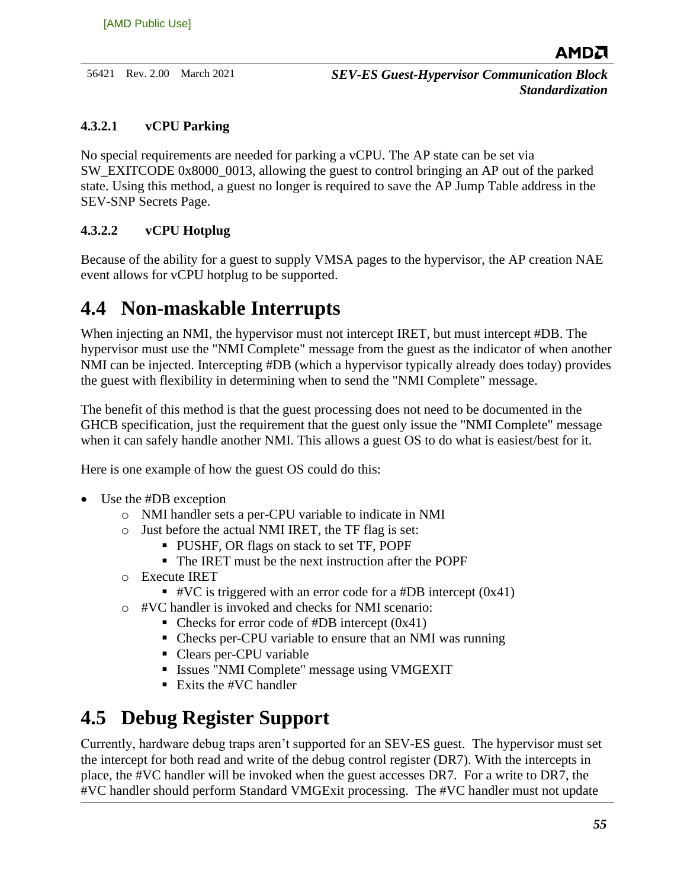#### **4.3.2.1 vCPU Parking**

No special requirements are needed for parking a vCPU. The AP state can be set via SW\_EXITCODE 0x8000\_0013, allowing the guest to control bringing an AP out of the parked state. Using this method, a guest no longer is required to save the AP Jump Table address in the SEV-SNP Secrets Page.

#### **4.3.2.2 vCPU Hotplug**

Because of the ability for a guest to supply VMSA pages to the hypervisor, the AP creation NAE event allows for vCPU hotplug to be supported.

## <span id="page-54-0"></span>**4.4 Non-maskable Interrupts**

When injecting an NMI, the hypervisor must not intercept IRET, but must intercept #DB. The hypervisor must use the "NMI Complete" message from the guest as the indicator of when another NMI can be injected. Intercepting #DB (which a hypervisor typically already does today) provides the guest with flexibility in determining when to send the "NMI Complete" message.

The benefit of this method is that the guest processing does not need to be documented in the GHCB specification, just the requirement that the guest only issue the "NMI Complete" message when it can safely handle another NMI. This allows a guest OS to do what is easiest/best for it.

Here is one example of how the guest OS could do this:

- Use the #DB exception
	- o NMI handler sets a per-CPU variable to indicate in NMI
	- o Just before the actual NMI IRET, the TF flag is set:
		- PUSHF, OR flags on stack to set TF, POPF
			- The IRET must be the next instruction after the POPF
	- o Execute IRET
		- #VC is triggered with an error code for a #DB intercept  $(0x41)$
	- o #VC handler is invoked and checks for NMI scenario:
		- $\blacksquare$  Checks for error code of #DB intercept (0x41)
		- Checks per-CPU variable to ensure that an NMI was running
		- Clears per-CPU variable
		- **EXECUTE:** Issues "NMI Complete" message using VMGEXIT
		- $\blacksquare$  Exits the #VC handler

## <span id="page-54-1"></span>**4.5 Debug Register Support**

Currently, hardware debug traps aren't supported for an SEV-ES guest. The hypervisor must set the intercept for both read and write of the debug control register (DR7). With the intercepts in place, the #VC handler will be invoked when the guest accesses DR7. For a write to DR7, the #VC handler should perform [Standard VMGExit](#page-39-1) processing. The #VC handler must not update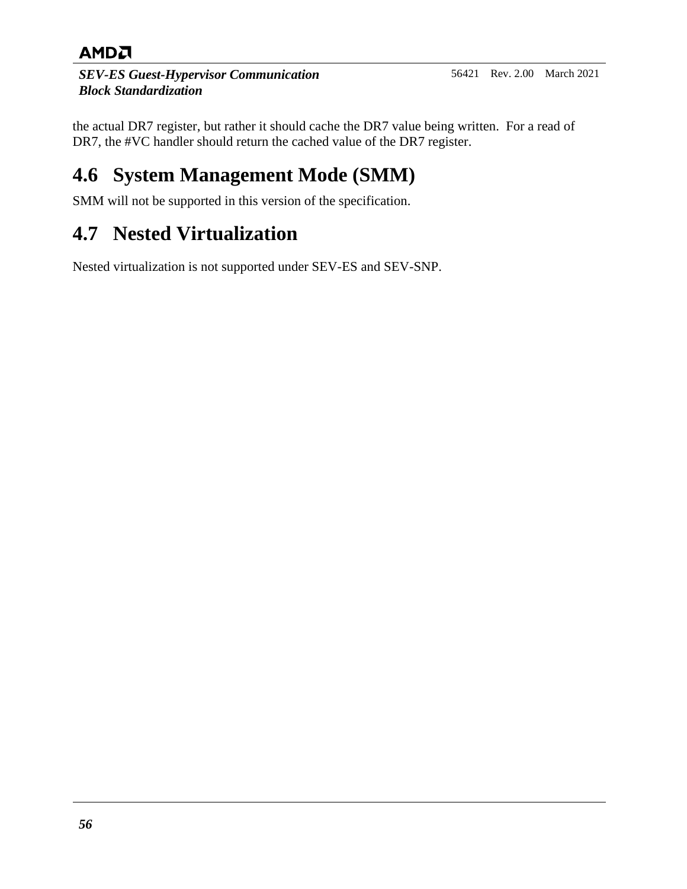*SEV-ES Guest-Hypervisor Communication Block Standardization*

the actual DR7 register, but rather it should cache the DR7 value being written. For a read of DR7, the #VC handler should return the cached value of the DR7 register.

## <span id="page-55-0"></span>**4.6 System Management Mode (SMM)**

SMM will not be supported in this version of the specification.

## <span id="page-55-1"></span>**4.7 Nested Virtualization**

Nested virtualization is not supported under SEV-ES and SEV-SNP.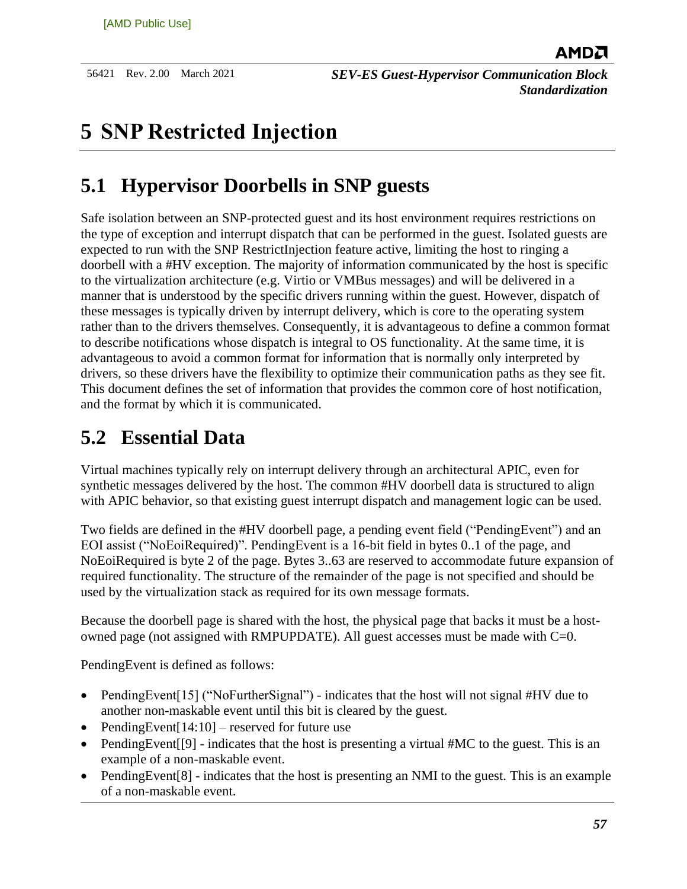## <span id="page-56-0"></span>**5 SNP Restricted Injection**

## <span id="page-56-1"></span>**5.1 Hypervisor Doorbells in SNP guests**

Safe isolation between an SNP-protected guest and its host environment requires restrictions on the type of exception and interrupt dispatch that can be performed in the guest. Isolated guests are expected to run with the SNP RestrictInjection feature active, limiting the host to ringing a doorbell with a #HV exception. The majority of information communicated by the host is specific to the virtualization architecture (e.g. Virtio or VMBus messages) and will be delivered in a manner that is understood by the specific drivers running within the guest. However, dispatch of these messages is typically driven by interrupt delivery, which is core to the operating system rather than to the drivers themselves. Consequently, it is advantageous to define a common format to describe notifications whose dispatch is integral to OS functionality. At the same time, it is advantageous to avoid a common format for information that is normally only interpreted by drivers, so these drivers have the flexibility to optimize their communication paths as they see fit. This document defines the set of information that provides the common core of host notification, and the format by which it is communicated.

## <span id="page-56-2"></span>**5.2 Essential Data**

Virtual machines typically rely on interrupt delivery through an architectural APIC, even for synthetic messages delivered by the host. The common #HV doorbell data is structured to align with APIC behavior, so that existing guest interrupt dispatch and management logic can be used.

Two fields are defined in the #HV doorbell page, a pending event field ("PendingEvent") and an EOI assist ("NoEoiRequired)". PendingEvent is a 16-bit field in bytes 0..1 of the page, and NoEoiRequired is byte 2 of the page. Bytes 3..63 are reserved to accommodate future expansion of required functionality. The structure of the remainder of the page is not specified and should be used by the virtualization stack as required for its own message formats.

Because the doorbell page is shared with the host, the physical page that backs it must be a hostowned page (not assigned with RMPUPDATE). All guest accesses must be made with  $C=0$ .

PendingEvent is defined as follows:

- PendingEvent[15] ("NoFurtherSignal") indicates that the host will not signal #HV due to another non-maskable event until this bit is cleared by the guest.
- PendingEvent[ $14:10$ ] reserved for future use
- PendingEvent<sup>[[9]</sup> indicates that the host is presenting a virtual #MC to the guest. This is an example of a non-maskable event.
- PendingEvent<sup>[8]</sup> indicates that the host is presenting an NMI to the guest. This is an example of a non-maskable event.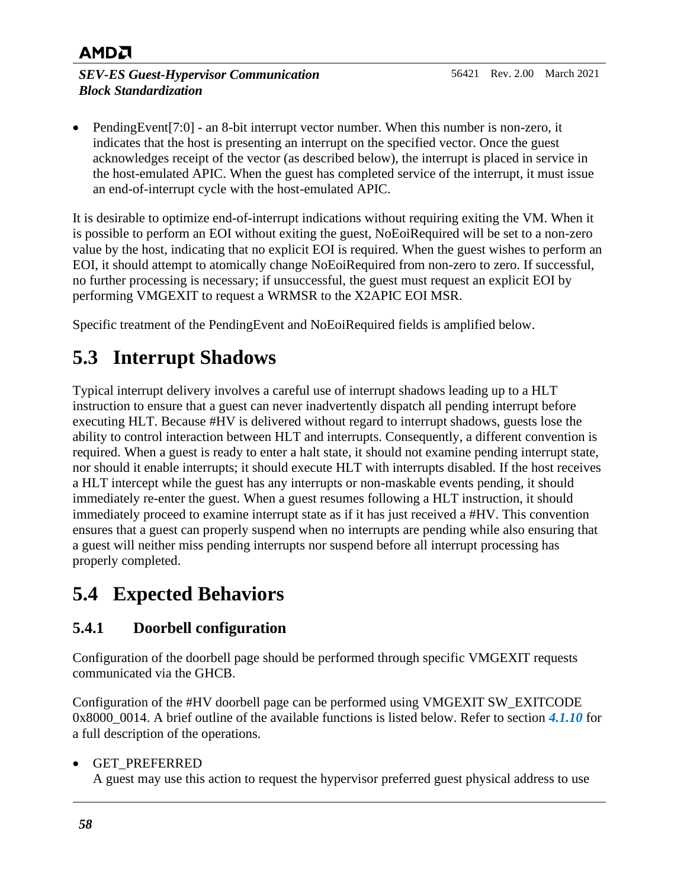#### *SEV-ES Guest-Hypervisor Communication Block Standardization*

• PendingEvent[7:0] - an 8-bit interrupt vector number. When this number is non-zero, it indicates that the host is presenting an interrupt on the specified vector. Once the guest acknowledges receipt of the vector (as described below), the interrupt is placed in service in the host-emulated APIC. When the guest has completed service of the interrupt, it must issue an end-of-interrupt cycle with the host-emulated APIC.

It is desirable to optimize end-of-interrupt indications without requiring exiting the VM. When it is possible to perform an EOI without exiting the guest, NoEoiRequired will be set to a non-zero value by the host, indicating that no explicit EOI is required. When the guest wishes to perform an EOI, it should attempt to atomically change NoEoiRequired from non-zero to zero. If successful, no further processing is necessary; if unsuccessful, the guest must request an explicit EOI by performing VMGEXIT to request a WRMSR to the X2APIC EOI MSR.

Specific treatment of the PendingEvent and NoEoiRequired fields is amplified below.

## <span id="page-57-0"></span>**5.3 Interrupt Shadows**

Typical interrupt delivery involves a careful use of interrupt shadows leading up to a HLT instruction to ensure that a guest can never inadvertently dispatch all pending interrupt before executing HLT. Because #HV is delivered without regard to interrupt shadows, guests lose the ability to control interaction between HLT and interrupts. Consequently, a different convention is required. When a guest is ready to enter a halt state, it should not examine pending interrupt state, nor should it enable interrupts; it should execute HLT with interrupts disabled. If the host receives a HLT intercept while the guest has any interrupts or non-maskable events pending, it should immediately re-enter the guest. When a guest resumes following a HLT instruction, it should immediately proceed to examine interrupt state as if it has just received a #HV. This convention ensures that a guest can properly suspend when no interrupts are pending while also ensuring that a guest will neither miss pending interrupts nor suspend before all interrupt processing has properly completed.

## <span id="page-57-1"></span>**5.4 Expected Behaviors**

### <span id="page-57-2"></span>**5.4.1 Doorbell configuration**

Configuration of the doorbell page should be performed through specific VMGEXIT requests communicated via the GHCB.

Configuration of the #HV doorbell page can be performed using VMGEXIT SW\_EXITCODE 0x8000 0014. A brief outline of the available functions is listed below. Refer to section [4.1.10](#page-47-0) for a full description of the operations.

#### • GET\_PREFERRED

A guest may use this action to request the hypervisor preferred guest physical address to use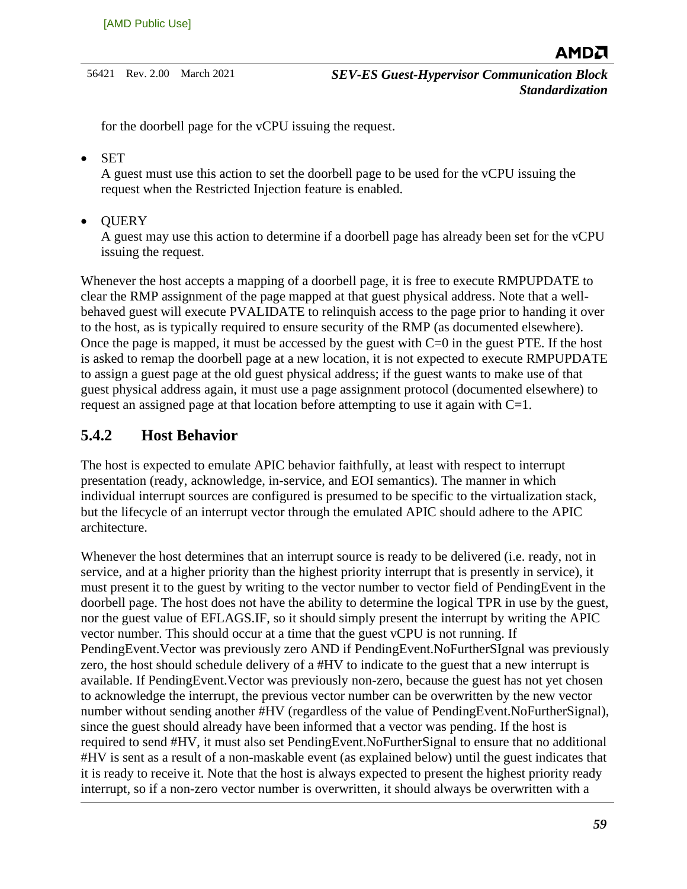for the doorbell page for the vCPU issuing the request.

• SET

A guest must use this action to set the doorbell page to be used for the vCPU issuing the request when the Restricted Injection feature is enabled.

• QUERY

A guest may use this action to determine if a doorbell page has already been set for the vCPU issuing the request.

Whenever the host accepts a mapping of a doorbell page, it is free to execute RMPUPDATE to clear the RMP assignment of the page mapped at that guest physical address. Note that a wellbehaved guest will execute PVALIDATE to relinquish access to the page prior to handing it over to the host, as is typically required to ensure security of the RMP (as documented elsewhere). Once the page is mapped, it must be accessed by the guest with  $C=0$  in the guest PTE. If the host is asked to remap the doorbell page at a new location, it is not expected to execute RMPUPDATE to assign a guest page at the old guest physical address; if the guest wants to make use of that guest physical address again, it must use a page assignment protocol (documented elsewhere) to request an assigned page at that location before attempting to use it again with C=1.

#### <span id="page-58-0"></span>**5.4.2 Host Behavior**

The host is expected to emulate APIC behavior faithfully, at least with respect to interrupt presentation (ready, acknowledge, in-service, and EOI semantics). The manner in which individual interrupt sources are configured is presumed to be specific to the virtualization stack, but the lifecycle of an interrupt vector through the emulated APIC should adhere to the APIC architecture.

Whenever the host determines that an interrupt source is ready to be delivered (i.e. ready, not in service, and at a higher priority than the highest priority interrupt that is presently in service), it must present it to the guest by writing to the vector number to vector field of PendingEvent in the doorbell page. The host does not have the ability to determine the logical TPR in use by the guest, nor the guest value of EFLAGS.IF, so it should simply present the interrupt by writing the APIC vector number. This should occur at a time that the guest vCPU is not running. If PendingEvent.Vector was previously zero AND if PendingEvent.NoFurtherSIgnal was previously zero, the host should schedule delivery of a #HV to indicate to the guest that a new interrupt is available. If PendingEvent.Vector was previously non-zero, because the guest has not yet chosen to acknowledge the interrupt, the previous vector number can be overwritten by the new vector number without sending another #HV (regardless of the value of PendingEvent.NoFurtherSignal), since the guest should already have been informed that a vector was pending. If the host is required to send #HV, it must also set PendingEvent.NoFurtherSignal to ensure that no additional #HV is sent as a result of a non-maskable event (as explained below) until the guest indicates that it is ready to receive it. Note that the host is always expected to present the highest priority ready interrupt, so if a non-zero vector number is overwritten, it should always be overwritten with a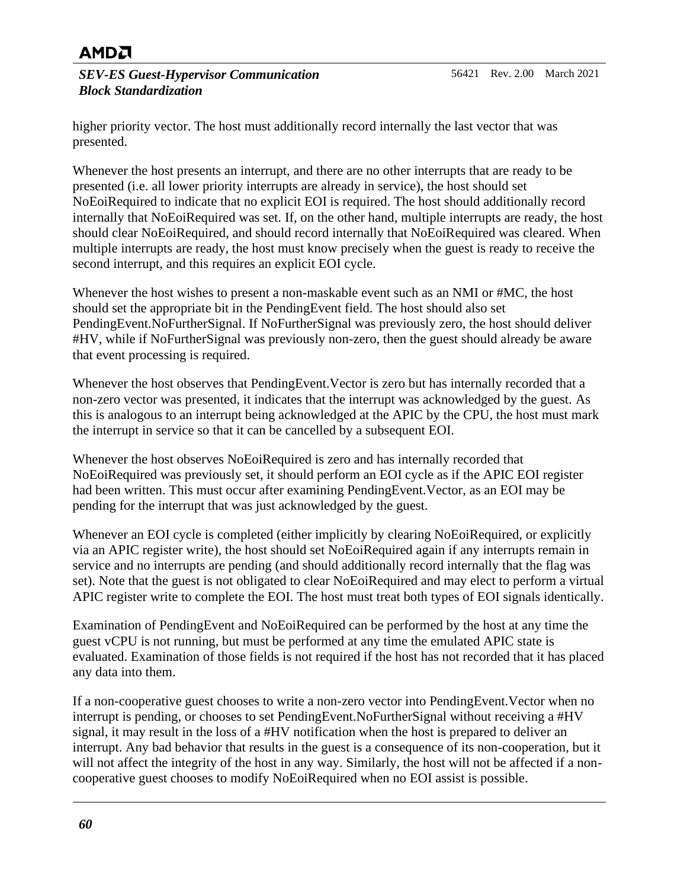*SEV-ES Guest-Hypervisor Communication Block Standardization*

higher priority vector. The host must additionally record internally the last vector that was presented.

Whenever the host presents an interrupt, and there are no other interrupts that are ready to be presented (i.e. all lower priority interrupts are already in service), the host should set NoEoiRequired to indicate that no explicit EOI is required. The host should additionally record internally that NoEoiRequired was set. If, on the other hand, multiple interrupts are ready, the host should clear NoEoiRequired, and should record internally that NoEoiRequired was cleared. When multiple interrupts are ready, the host must know precisely when the guest is ready to receive the second interrupt, and this requires an explicit EOI cycle.

Whenever the host wishes to present a non-maskable event such as an NMI or #MC, the host should set the appropriate bit in the PendingEvent field. The host should also set PendingEvent.NoFurtherSignal. If NoFurtherSignal was previously zero, the host should deliver #HV, while if NoFurtherSignal was previously non-zero, then the guest should already be aware that event processing is required.

Whenever the host observes that PendingEvent.Vector is zero but has internally recorded that a non-zero vector was presented, it indicates that the interrupt was acknowledged by the guest. As this is analogous to an interrupt being acknowledged at the APIC by the CPU, the host must mark the interrupt in service so that it can be cancelled by a subsequent EOI.

Whenever the host observes NoEoiRequired is zero and has internally recorded that NoEoiRequired was previously set, it should perform an EOI cycle as if the APIC EOI register had been written. This must occur after examining PendingEvent.Vector, as an EOI may be pending for the interrupt that was just acknowledged by the guest.

Whenever an EOI cycle is completed (either implicitly by clearing NoEoiRequired, or explicitly via an APIC register write), the host should set NoEoiRequired again if any interrupts remain in service and no interrupts are pending (and should additionally record internally that the flag was set). Note that the guest is not obligated to clear NoEoiRequired and may elect to perform a virtual APIC register write to complete the EOI. The host must treat both types of EOI signals identically.

Examination of PendingEvent and NoEoiRequired can be performed by the host at any time the guest vCPU is not running, but must be performed at any time the emulated APIC state is evaluated. Examination of those fields is not required if the host has not recorded that it has placed any data into them.

If a non-cooperative guest chooses to write a non-zero vector into PendingEvent.Vector when no interrupt is pending, or chooses to set PendingEvent.NoFurtherSignal without receiving a #HV signal, it may result in the loss of a #HV notification when the host is prepared to deliver an interrupt. Any bad behavior that results in the guest is a consequence of its non-cooperation, but it will not affect the integrity of the host in any way. Similarly, the host will not be affected if a noncooperative guest chooses to modify NoEoiRequired when no EOI assist is possible.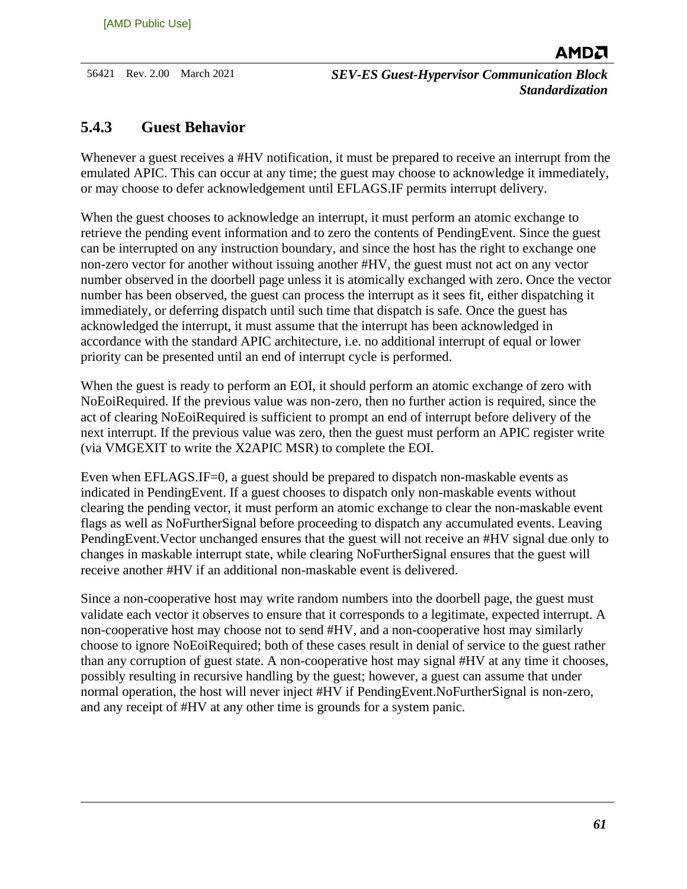#### <span id="page-60-0"></span>**5.4.3 Guest Behavior**

Whenever a guest receives a #HV notification, it must be prepared to receive an interrupt from the emulated APIC. This can occur at any time; the guest may choose to acknowledge it immediately, or may choose to defer acknowledgement until EFLAGS.IF permits interrupt delivery.

When the guest chooses to acknowledge an interrupt, it must perform an atomic exchange to retrieve the pending event information and to zero the contents of PendingEvent. Since the guest can be interrupted on any instruction boundary, and since the host has the right to exchange one non-zero vector for another without issuing another #HV, the guest must not act on any vector number observed in the doorbell page unless it is atomically exchanged with zero. Once the vector number has been observed, the guest can process the interrupt as it sees fit, either dispatching it immediately, or deferring dispatch until such time that dispatch is safe. Once the guest has acknowledged the interrupt, it must assume that the interrupt has been acknowledged in accordance with the standard APIC architecture, i.e. no additional interrupt of equal or lower priority can be presented until an end of interrupt cycle is performed.

When the guest is ready to perform an EOI, it should perform an atomic exchange of zero with NoEoiRequired. If the previous value was non-zero, then no further action is required, since the act of clearing NoEoiRequired is sufficient to prompt an end of interrupt before delivery of the next interrupt. If the previous value was zero, then the guest must perform an APIC register write (via VMGEXIT to write the X2APIC MSR) to complete the EOI.

Even when EFLAGS.IF=0, a guest should be prepared to dispatch non-maskable events as indicated in PendingEvent. If a guest chooses to dispatch only non-maskable events without clearing the pending vector, it must perform an atomic exchange to clear the non-maskable event flags as well as NoFurtherSignal before proceeding to dispatch any accumulated events. Leaving PendingEvent.Vector unchanged ensures that the guest will not receive an #HV signal due only to changes in maskable interrupt state, while clearing NoFurtherSignal ensures that the guest will receive another #HV if an additional non-maskable event is delivered.

Since a non-cooperative host may write random numbers into the doorbell page, the guest must validate each vector it observes to ensure that it corresponds to a legitimate, expected interrupt. A non-cooperative host may choose not to send #HV, and a non-cooperative host may similarly choose to ignore NoEoiRequired; both of these cases result in denial of service to the guest rather than any corruption of guest state. A non-cooperative host may signal #HV at any time it chooses, possibly resulting in recursive handling by the guest; however, a guest can assume that under normal operation, the host will never inject #HV if PendingEvent.NoFurtherSignal is non-zero, and any receipt of #HV at any other time is grounds for a system panic.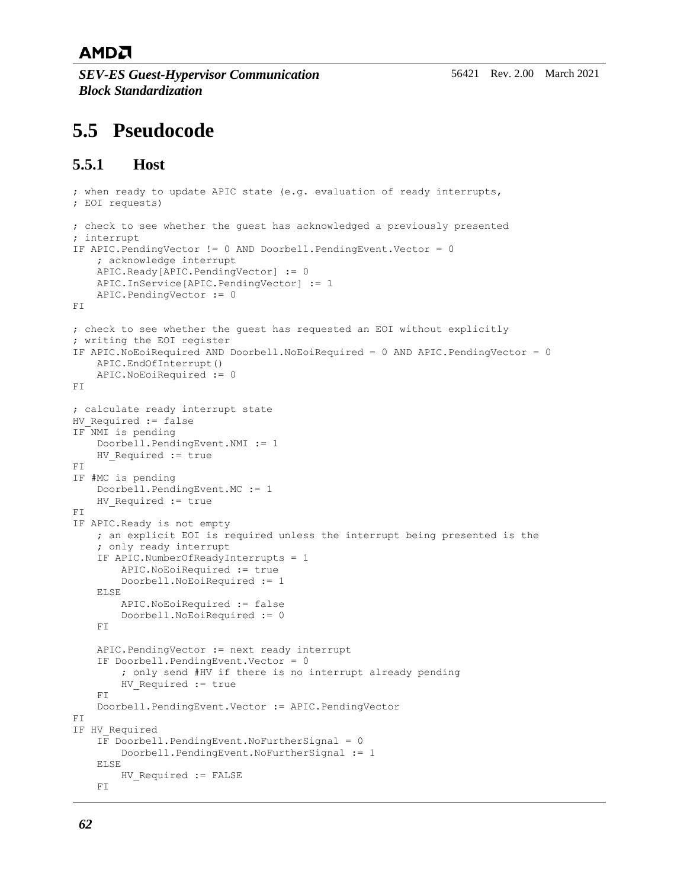*SEV-ES Guest-Hypervisor Communication Block Standardization*

## <span id="page-61-0"></span>**5.5 Pseudocode**

#### <span id="page-61-1"></span>**5.5.1 Host**

```
; when ready to update APIC state (e.g. evaluation of ready interrupts,
; EOI requests)
; check to see whether the guest has acknowledged a previously presented
; interrupt
IF APIC.PendingVector != 0 AND Doorbell.PendingEvent.Vector = 0
     ; acknowledge interrupt
     APIC.Ready[APIC.PendingVector] := 0
     APIC.InService[APIC.PendingVector] := 1
     APIC.PendingVector := 0
FI
; check to see whether the guest has requested an EOI without explicitly
; writing the EOI register
IF APIC.NoEoiRequired AND Doorbell.NoEoiRequired = 0 AND APIC.PendingVector = 0
     APIC.EndOfInterrupt()
     APIC.NoEoiRequired := 0
FI
; calculate ready interrupt state
HV Required := false
IF NMI is pending
     Doorbell.PendingEvent.NMI := 1
    HV Required := true
F<sub>T</sub>
IF #MC is pending
     Doorbell.PendingEvent.MC := 1
    HV Required := true
\mathbb{F} \, \mathbb{I}IF APIC.Ready is not empty
     ; an explicit EOI is required unless the interrupt being presented is the
     ; only ready interrupt
     IF APIC.NumberOfReadyInterrupts = 1
         APIC.NoEoiRequired := true
         Doorbell.NoEoiRequired := 1
     ELSE
         APIC.NoEoiRequired := false
         Doorbell.NoEoiRequired := 0
    F<sub>T</sub>
     APIC.PendingVector := next ready interrupt
     IF Doorbell.PendingEvent.Vector = 0
         ; only send #HV if there is no interrupt already pending
        HV Required := true
     FI
     Doorbell.PendingEvent.Vector := APIC.PendingVector
F<sub>T</sub>
IF HV_Required
     IF Doorbell.PendingEvent.NoFurtherSignal = 0
         Doorbell.PendingEvent.NoFurtherSignal := 1
     ELSE
        HV Required := FALSE
     FI
```